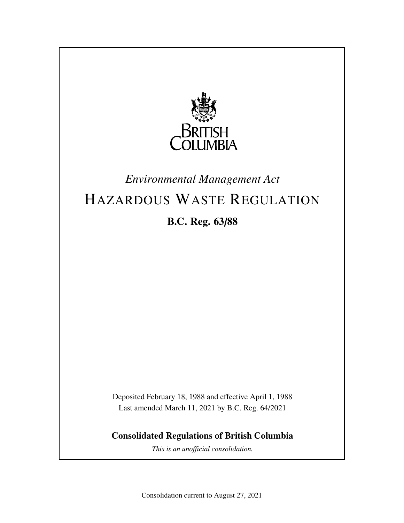

# *Environmental Management Act* HAZARDOUS WASTE REGULATION **B.C. Reg. 63/88**

Deposited February 18, 1988 and effective April 1, 1988 Last amended March 11, 2021 by B.C. Reg. 64/2021

**Consolidated Regulations of British Columbia**

*This is an unofficial consolidation.*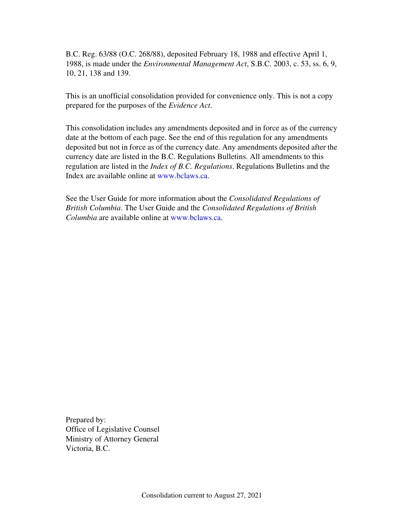B.C. Reg. 63/88 (O.C. 268/88), deposited February 18, 1988 and effective April 1, 1988, is made under the *Environmental Management Act*, S.B.C. 2003, c. 53, ss. 6, 9, 10, 21, 138 and 139.

This is an unofficial consolidation provided for convenience only. This is not a copy prepared for the purposes of the *Evidence Act*.

This consolidation includes any amendments deposited and in force as of the currency date at the bottom of each page. See the end of this regulation for any amendments deposited but not in force as of the currency date. Any amendments deposited after the currency date are listed in the B.C. Regulations Bulletins. All amendments to this regulation are listed in the *Index of B.C. Regulations*. Regulations Bulletins and the Index are available online at www.bclaws.ca.

See the User Guide for more information about the *Consolidated Regulations of British Columbia*. The User Guide and the *Consolidated Regulations of British Columbia* are available online at www.bclaws.ca.

Prepared by: Office of Legislative Counsel Ministry of Attorney General Victoria, B.C.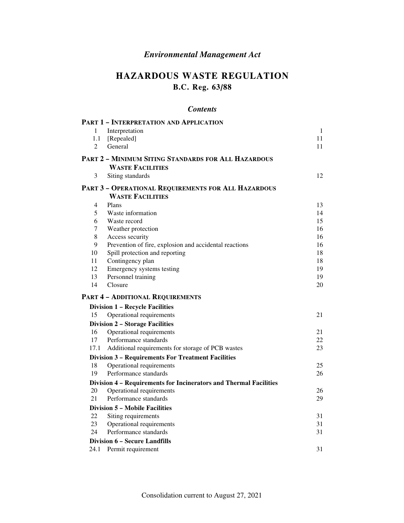# **HAZARDOUS WASTE REGULATION B.C. Reg. 63/88**

## *Contents*

|                | PART 1 - INTERPRETATION AND APPLICATION                           |    |
|----------------|-------------------------------------------------------------------|----|
| 1              | Interpretation                                                    | 1  |
| 1.1            | [Repealed]                                                        | 11 |
| $\overline{2}$ | General                                                           | 11 |
|                | PART 2 - MINIMUM SITING STANDARDS FOR ALL HAZARDOUS               |    |
|                | <b>WASTE FACILITIES</b>                                           |    |
| 3              | Siting standards                                                  | 12 |
|                | PART 3 - OPERATIONAL REQUIREMENTS FOR ALL HAZARDOUS               |    |
|                | <b>WASTE FACILITIES</b>                                           |    |
| $\overline{4}$ | Plans                                                             | 13 |
| 5              | Waste information                                                 | 14 |
| 6              | Waste record                                                      | 15 |
| 7              | Weather protection                                                | 16 |
| 8              | Access security                                                   | 16 |
| 9              | Prevention of fire, explosion and accidental reactions            | 16 |
| 10             | Spill protection and reporting                                    | 18 |
| 11             | Contingency plan                                                  | 18 |
| 12             | Emergency systems testing                                         | 19 |
| 13             | Personnel training                                                | 19 |
| 14             | Closure                                                           | 20 |
|                | <b>PART 4 - ADDITIONAL REQUIREMENTS</b>                           |    |
|                | <b>Division 1 - Recycle Facilities</b>                            |    |
| 15             | Operational requirements                                          | 21 |
|                | <b>Division 2 - Storage Facilities</b>                            |    |
| 16             | Operational requirements                                          | 21 |
| 17             | Performance standards                                             | 22 |
|                | 17.1 Additional requirements for storage of PCB wastes            | 23 |
|                | <b>Division 3 - Requirements For Treatment Facilities</b>         |    |
| 18             | Operational requirements                                          | 25 |
| 19             | Performance standards                                             | 26 |
|                | Division 4 - Requirements for Incinerators and Thermal Facilities |    |
| 20             | Operational requirements                                          | 26 |
| 21             | Performance standards                                             | 29 |
|                | <b>Division 5 - Mobile Facilities</b>                             |    |
| 22             | Siting requirements                                               | 31 |
| 23             | Operational requirements                                          | 31 |
| 24             | Performance standards                                             | 31 |
|                | <b>Division 6 - Secure Landfills</b>                              |    |
| 24.1           | Permit requirement                                                | 31 |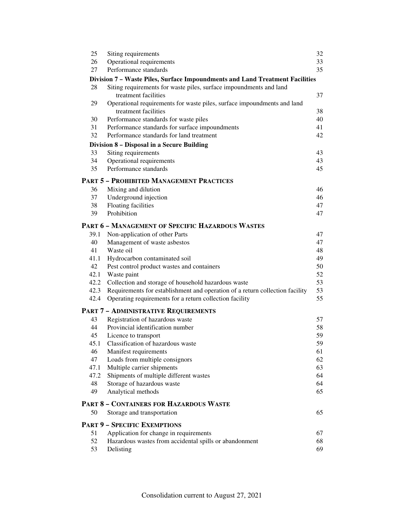| 25   | Siting requirements                                                          | 32 |
|------|------------------------------------------------------------------------------|----|
| 26   | Operational requirements                                                     | 33 |
| 27   | Performance standards                                                        | 35 |
|      | Division 7 - Waste Piles, Surface Impoundments and Land Treatment Facilities |    |
| 28   | Siting requirements for waste piles, surface impoundments and land           |    |
|      | treatment facilities                                                         | 37 |
| 29   | Operational requirements for waste piles, surface impoundments and land      |    |
|      | treatment facilities                                                         | 38 |
| 30   | Performance standards for waste piles                                        | 40 |
| 31   | Performance standards for surface impoundments                               | 41 |
| 32   | Performance standards for land treatment                                     | 42 |
|      | Division 8 - Disposal in a Secure Building                                   |    |
| 33   | Siting requirements                                                          | 43 |
| 34   | Operational requirements                                                     | 43 |
| 35   | Performance standards                                                        | 45 |
|      | <b>PART 5 - PROHIBITED MANAGEMENT PRACTICES</b>                              |    |
| 36   | Mixing and dilution                                                          | 46 |
| 37   | Underground injection                                                        | 46 |
| 38   | Floating facilities                                                          | 47 |
| 39   | Prohibition                                                                  | 47 |
|      |                                                                              |    |
|      | PART 6 - MANAGEMENT OF SPECIFIC HAZARDOUS WASTES                             |    |
| 39.1 | Non-application of other Parts                                               | 47 |
| 40   | Management of waste asbestos                                                 | 47 |
| 41   | Waste oil                                                                    | 48 |
| 41.1 | Hydrocarbon contaminated soil                                                | 49 |
| 42   | Pest control product wastes and containers                                   | 50 |
| 42.1 | Waste paint                                                                  | 52 |
| 42.2 | Collection and storage of household hazardous waste                          | 53 |
| 42.3 | Requirements for establishment and operation of a return collection facility | 53 |
| 42.4 | Operating requirements for a return collection facility                      | 55 |
|      | <b>PART 7 - ADMINISTRATIVE REQUIREMENTS</b>                                  |    |
| 43   | Registration of hazardous waste                                              | 57 |
| 44   | Provincial identification number                                             | 58 |
| 45   | Licence to transport                                                         | 59 |
| 45.1 | Classification of hazardous waste                                            | 59 |
| 46   | Manifest requirements                                                        | 61 |
| 47   | Loads from multiple consignors                                               | 62 |
| 47.1 | Multiple carrier shipments                                                   | 63 |
| 47.2 | Shipments of multiple different wastes                                       | 64 |
| 48   | Storage of hazardous waste                                                   | 64 |
| 49   | Analytical methods                                                           | 65 |
|      |                                                                              |    |
|      | <b>PART 8 - CONTAINERS FOR HAZARDOUS WASTE</b>                               |    |
| 50   | Storage and transportation                                                   | 65 |
|      | <b>PART 9 - SPECIFIC EXEMPTIONS</b>                                          |    |
| 51   | Application for change in requirements                                       | 67 |
| 52   | Hazardous wastes from accidental spills or abandonment                       | 68 |
| 53   | Delisting                                                                    | 69 |
|      |                                                                              |    |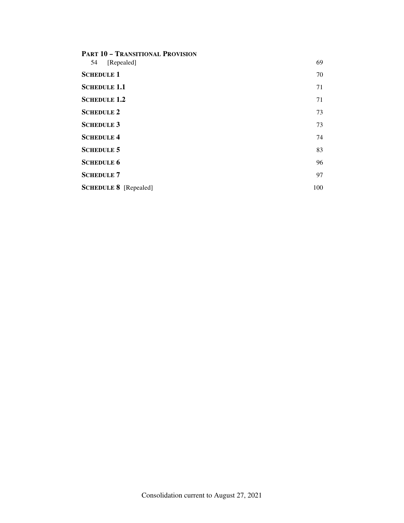| <b>PART 10 - TRANSITIONAL PROVISION</b> |     |
|-----------------------------------------|-----|
| [Repealed]<br>54                        | 69  |
| <b>SCHEDULE 1</b>                       | 70  |
| <b>SCHEDULE 1.1</b>                     | 71  |
| <b>SCHEDULE 1.2</b>                     | 71  |
| <b>SCHEDULE 2</b>                       | 73  |
| <b>SCHEDULE 3</b>                       | 73  |
| <b>SCHEDULE 4</b>                       | 74  |
| <b>SCHEDULE 5</b>                       | 83  |
| <b>SCHEDULE 6</b>                       | 96  |
| <b>SCHEDULE 7</b>                       | 97  |
| <b>SCHEDULE 8</b> [Repealed]            | 100 |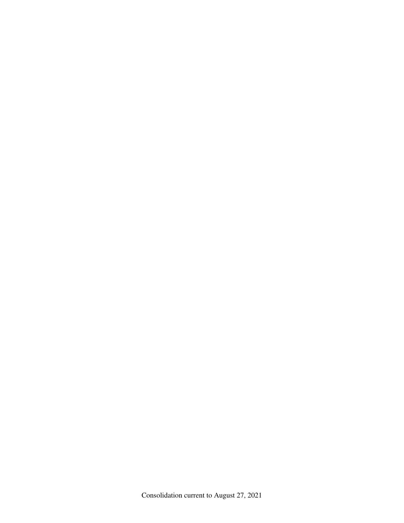Consolidation current to August 27, 2021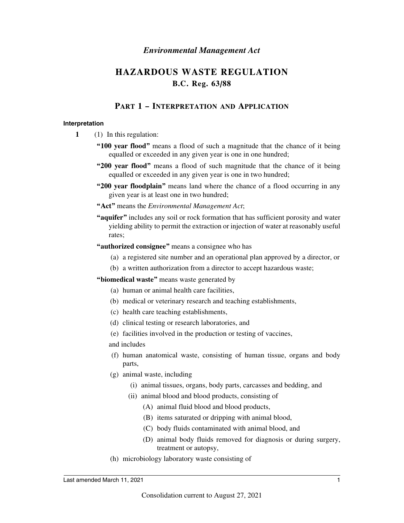# *Environmental Management Act*

# **HAZARDOUS WASTE REGULATION B.C. Reg. 63/88**

# **PART 1 – INTERPRETATION AND APPLICATION**

#### **Interpretation**

**1** (1) In this regulation:

- **"100 year flood"** means a flood of such a magnitude that the chance of it being equalled or exceeded in any given year is one in one hundred;
- **"200 year flood"** means a flood of such magnitude that the chance of it being equalled or exceeded in any given year is one in two hundred;
- **"200 year floodplain"** means land where the chance of a flood occurring in any given year is at least one in two hundred;
- **"Act"** means the *Environmental Management Act*;
- **"aquifer"** includes any soil or rock formation that has sufficient porosity and water yielding ability to permit the extraction or injection of water at reasonably useful rates;
- **"authorized consignee"** means a consignee who has
	- (a) a registered site number and an operational plan approved by a director, or
	- (b) a written authorization from a director to accept hazardous waste;

**"biomedical waste"** means waste generated by

- (a) human or animal health care facilities,
- (b) medical or veterinary research and teaching establishments,
- (c) health care teaching establishments,
- (d) clinical testing or research laboratories, and
- (e) facilities involved in the production or testing of vaccines,

and includes

- (f) human anatomical waste, consisting of human tissue, organs and body parts,
- (g) animal waste, including
	- (i) animal tissues, organs, body parts, carcasses and bedding, and
	- (ii) animal blood and blood products, consisting of
		- (A) animal fluid blood and blood products,
		- (B) items saturated or dripping with animal blood,
		- (C) body fluids contaminated with animal blood, and
		- (D) animal body fluids removed for diagnosis or during surgery, treatment or autopsy,
- (h) microbiology laboratory waste consisting of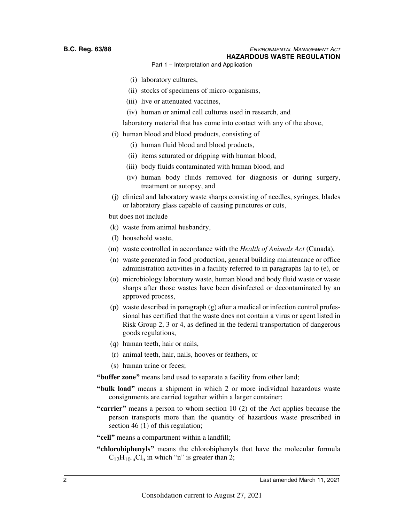- (i) laboratory cultures,
- (ii) stocks of specimens of micro-organisms,
- (iii) live or attenuated vaccines,
- (iv) human or animal cell cultures used in research, and

laboratory material that has come into contact with any of the above,

- (i) human blood and blood products, consisting of
	- (i) human fluid blood and blood products,
	- (ii) items saturated or dripping with human blood,
	- (iii) body fluids contaminated with human blood, and
	- (iv) human body fluids removed for diagnosis or during surgery, treatment or autopsy, and
- (j) clinical and laboratory waste sharps consisting of needles, syringes, blades or laboratory glass capable of causing punctures or cuts,

but does not include

- (k) waste from animal husbandry,
- (l) household waste,
- (m) waste controlled in accordance with the *Health of Animals Act* (Canada),
- (n) waste generated in food production, general building maintenance or office administration activities in a facility referred to in paragraphs (a) to (e), or
- (o) microbiology laboratory waste, human blood and body fluid waste or waste sharps after those wastes have been disinfected or decontaminated by an approved process,
- (p) waste described in paragraph (g) after a medical or infection control professional has certified that the waste does not contain a virus or agent listed in Risk Group 2, 3 or 4, as defined in the federal transportation of dangerous goods regulations,
- (q) human teeth, hair or nails,
- (r) animal teeth, hair, nails, hooves or feathers, or
- (s) human urine or feces;

**"buffer zone"** means land used to separate a facility from other land;

- **"bulk load"** means a shipment in which 2 or more individual hazardous waste consignments are carried together within a larger container;
- **"carrier"** means a person to whom section 10 (2) of the Act applies because the person transports more than the quantity of hazardous waste prescribed in section 46 (1) of this regulation;
- **"cell"** means a compartment within a landfill;
- **"chlorobiphenyls"** means the chlorobiphenyls that have the molecular formula  $C_{12}H_{10-n}Cl_n$  in which "n" is greater than 2;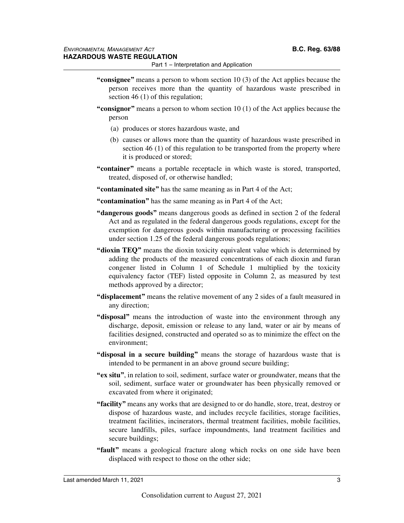- **"consignee"** means a person to whom section 10 (3) of the Act applies because the person receives more than the quantity of hazardous waste prescribed in section 46 (1) of this regulation;
- **"consignor"** means a person to whom section 10 (1) of the Act applies because the person
	- (a) produces or stores hazardous waste, and
	- (b) causes or allows more than the quantity of hazardous waste prescribed in section 46 (1) of this regulation to be transported from the property where it is produced or stored;
- **"container"** means a portable receptacle in which waste is stored, transported, treated, disposed of, or otherwise handled;
- **"contaminated site"** has the same meaning as in Part 4 of the Act;
- **"contamination"** has the same meaning as in Part 4 of the Act;
- **"dangerous goods"** means dangerous goods as defined in section 2 of the federal Act and as regulated in the federal dangerous goods regulations, except for the exemption for dangerous goods within manufacturing or processing facilities under section 1.25 of the federal dangerous goods regulations;
- **"dioxin TEQ"** means the dioxin toxicity equivalent value which is determined by adding the products of the measured concentrations of each dioxin and furan congener listed in Column 1 of Schedule 1 multiplied by the toxicity equivalency factor (TEF) listed opposite in Column 2, as measured by test methods approved by a director;
- **"displacement"** means the relative movement of any 2 sides of a fault measured in any direction;
- **"disposal"** means the introduction of waste into the environment through any discharge, deposit, emission or release to any land, water or air by means of facilities designed, constructed and operated so as to minimize the effect on the environment;
- **"disposal in a secure building"** means the storage of hazardous waste that is intended to be permanent in an above ground secure building;
- **"ex situ"**, in relation to soil, sediment, surface water or groundwater, means that the soil, sediment, surface water or groundwater has been physically removed or excavated from where it originated;
- **"facility"** means any works that are designed to or do handle, store, treat, destroy or dispose of hazardous waste, and includes recycle facilities, storage facilities, treatment facilities, incinerators, thermal treatment facilities, mobile facilities, secure landfills, piles, surface impoundments, land treatment facilities and secure buildings;
- **"fault"** means a geological fracture along which rocks on one side have been displaced with respect to those on the other side;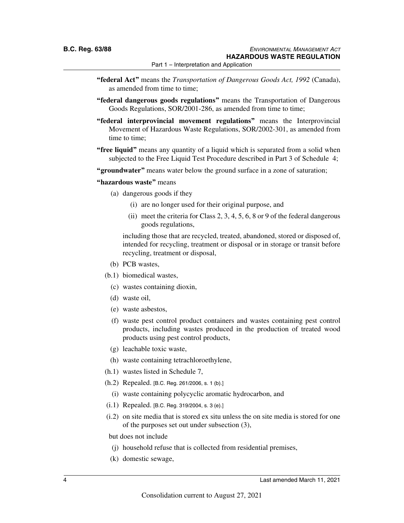- Part 1 Interpretation and Application
- **"federal Act"** means the *Transportation of Dangerous Goods Act, 1992* (Canada), as amended from time to time;
- **"federal dangerous goods regulations"** means the Transportation of Dangerous Goods Regulations, SOR/2001-286, as amended from time to time;
- **"federal interprovincial movement regulations"** means the Interprovincial Movement of Hazardous Waste Regulations, SOR/2002-301, as amended from time to time;
- **"free liquid"** means any quantity of a liquid which is separated from a solid when subjected to the Free Liquid Test Procedure described in Part 3 of Schedule 4;
- **"groundwater"** means water below the ground surface in a zone of saturation;

#### **"hazardous waste"** means

- (a) dangerous goods if they
	- (i) are no longer used for their original purpose, and
	- (ii) meet the criteria for Class 2, 3, 4, 5, 6, 8 or 9 of the federal dangerous goods regulations,

including those that are recycled, treated, abandoned, stored or disposed of, intended for recycling, treatment or disposal or in storage or transit before recycling, treatment or disposal,

- (b) PCB wastes,
- (b.1) biomedical wastes,
	- (c) wastes containing dioxin,
	- (d) waste oil,
	- (e) waste asbestos,
	- (f) waste pest control product containers and wastes containing pest control products, including wastes produced in the production of treated wood products using pest control products,
	- (g) leachable toxic waste,
	- (h) waste containing tetrachloroethylene,
- (h.1) wastes listed in Schedule 7,
- (h.2) Repealed. [B.C. Reg. 261/2006, s. 1 (b).]
	- (i) waste containing polycyclic aromatic hydrocarbon, and
- (i.1) Repealed. [B.C. Reg. 319/2004, s. 3 (e).]
- (i.2) on site media that is stored ex situ unless the on site media is stored for one of the purposes set out under subsection (3),

but does not include

- (j) household refuse that is collected from residential premises,
- (k) domestic sewage,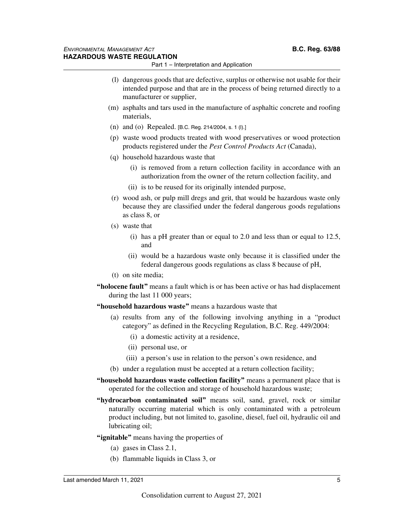- (l) dangerous goods that are defective, surplus or otherwise not usable for their intended purpose and that are in the process of being returned directly to a manufacturer or supplier,
- (m) asphalts and tars used in the manufacture of asphaltic concrete and roofing materials,
- (n) and (o) Repealed. [B.C. Reg. 214/2004, s. 1 (l).]
- (p) waste wood products treated with wood preservatives or wood protection products registered under the *Pest Control Products Act* (Canada),
- (q) household hazardous waste that
	- (i) is removed from a return collection facility in accordance with an authorization from the owner of the return collection facility, and
	- (ii) is to be reused for its originally intended purpose,
- (r) wood ash, or pulp mill dregs and grit, that would be hazardous waste only because they are classified under the federal dangerous goods regulations as class 8, or
- (s) waste that
	- (i) has a pH greater than or equal to 2.0 and less than or equal to 12.5, and
	- (ii) would be a hazardous waste only because it is classified under the federal dangerous goods regulations as class 8 because of pH,
- (t) on site media;
- **"holocene fault"** means a fault which is or has been active or has had displacement during the last 11 000 years;
- **"household hazardous waste"** means a hazardous waste that
	- (a) results from any of the following involving anything in a "product category" as defined in the Recycling Regulation, B.C. Reg. 449/2004:
		- (i) a domestic activity at a residence,
		- (ii) personal use, or
		- (iii) a person's use in relation to the person's own residence, and
	- (b) under a regulation must be accepted at a return collection facility;
- **"household hazardous waste collection facility"** means a permanent place that is operated for the collection and storage of household hazardous waste;
- **"hydrocarbon contaminated soil"** means soil, sand, gravel, rock or similar naturally occurring material which is only contaminated with a petroleum product including, but not limited to, gasoline, diesel, fuel oil, hydraulic oil and lubricating oil;
- **"ignitable"** means having the properties of
	- (a) gases in Class 2.1,
	- (b) flammable liquids in Class 3, or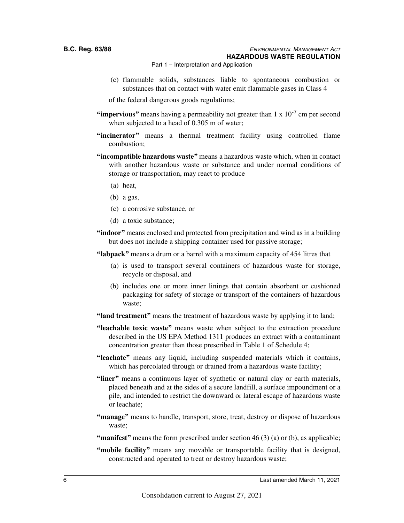(c) flammable solids, substances liable to spontaneous combustion or substances that on contact with water emit flammable gases in Class 4

of the federal dangerous goods regulations;

- "**impervious**" means having a permeability not greater than  $1 \times 10^{-7}$  cm per second when subjected to a head of 0.305 m of water;
- **"incinerator"** means a thermal treatment facility using controlled flame combustion;
- **"incompatible hazardous waste"** means a hazardous waste which, when in contact with another hazardous waste or substance and under normal conditions of storage or transportation, may react to produce
	- (a) heat,
	- (b) a gas,
	- (c) a corrosive substance, or
	- (d) a toxic substance;
- **"indoor"** means enclosed and protected from precipitation and wind as in a building but does not include a shipping container used for passive storage;
- **"labpack"** means a drum or a barrel with a maximum capacity of 454 litres that
	- (a) is used to transport several containers of hazardous waste for storage, recycle or disposal, and
	- (b) includes one or more inner linings that contain absorbent or cushioned packaging for safety of storage or transport of the containers of hazardous waste;
- **"land treatment"** means the treatment of hazardous waste by applying it to land;
- **"leachable toxic waste"** means waste when subject to the extraction procedure described in the US EPA Method 1311 produces an extract with a contaminant concentration greater than those prescribed in Table 1 of Schedule 4;
- **"leachate"** means any liquid, including suspended materials which it contains, which has percolated through or drained from a hazardous waste facility;
- **"liner"** means a continuous layer of synthetic or natural clay or earth materials, placed beneath and at the sides of a secure landfill, a surface impoundment or a pile, and intended to restrict the downward or lateral escape of hazardous waste or leachate;
- **"manage"** means to handle, transport, store, treat, destroy or dispose of hazardous waste;
- **"manifest"** means the form prescribed under section 46 (3) (a) or (b), as applicable;
- "mobile facility" means any movable or transportable facility that is designed, constructed and operated to treat or destroy hazardous waste;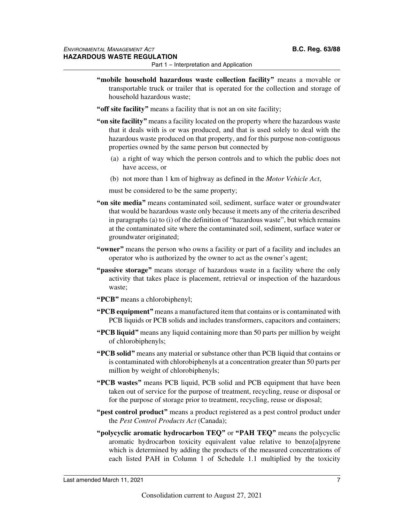**"mobile household hazardous waste collection facility"** means a movable or transportable truck or trailer that is operated for the collection and storage of household hazardous waste;

**"off site facility"** means a facility that is not an on site facility;

- **"on site facility"** means a facility located on the property where the hazardous waste that it deals with is or was produced, and that is used solely to deal with the hazardous waste produced on that property, and for this purpose non-contiguous properties owned by the same person but connected by
	- (a) a right of way which the person controls and to which the public does not have access, or
	- (b) not more than 1 km of highway as defined in the *Motor Vehicle Act*,

must be considered to be the same property;

- **"on site media"** means contaminated soil, sediment, surface water or groundwater that would be hazardous waste only because it meets any of the criteria described in paragraphs (a) to (i) of the definition of "hazardous waste", but which remains at the contaminated site where the contaminated soil, sediment, surface water or groundwater originated;
- **"owner"** means the person who owns a facility or part of a facility and includes an operator who is authorized by the owner to act as the owner's agent;
- **"passive storage"** means storage of hazardous waste in a facility where the only activity that takes place is placement, retrieval or inspection of the hazardous waste;
- **"PCB"** means a chlorobiphenyl;
- **"PCB equipment"** means a manufactured item that contains or is contaminated with PCB liquids or PCB solids and includes transformers, capacitors and containers;
- **"PCB liquid"** means any liquid containing more than 50 parts per million by weight of chlorobiphenyls;
- **"PCB solid"** means any material or substance other than PCB liquid that contains or is contaminated with chlorobiphenyls at a concentration greater than 50 parts per million by weight of chlorobiphenyls;
- **"PCB wastes"** means PCB liquid, PCB solid and PCB equipment that have been taken out of service for the purpose of treatment, recycling, reuse or disposal or for the purpose of storage prior to treatment, recycling, reuse or disposal;
- **"pest control product"** means a product registered as a pest control product under the *Pest Control Products Act* (Canada);
- **"polycyclic aromatic hydrocarbon TEQ"** or **"PAH TEQ"** means the polycyclic aromatic hydrocarbon toxicity equivalent value relative to benzo[a]pyrene which is determined by adding the products of the measured concentrations of each listed PAH in Column 1 of Schedule 1.1 multiplied by the toxicity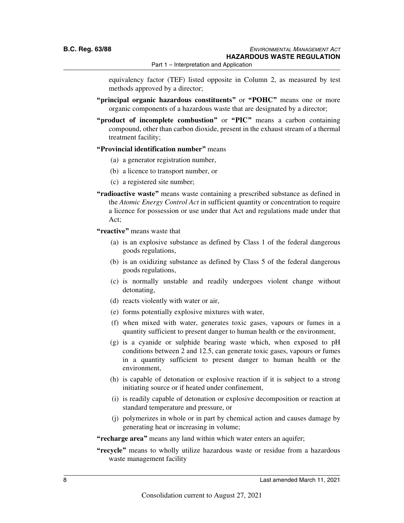equivalency factor (TEF) listed opposite in Column 2, as measured by test methods approved by a director;

- **"principal organic hazardous constituents"** or **"POHC"** means one or more organic components of a hazardous waste that are designated by a director;
- **"product of incomplete combustion"** or **"PIC"** means a carbon containing compound, other than carbon dioxide, present in the exhaust stream of a thermal treatment facility;

#### **"Provincial identification number"** means

- (a) a generator registration number,
- (b) a licence to transport number, or
- (c) a registered site number;
- **"radioactive waste"** means waste containing a prescribed substance as defined in the *Atomic Energy Control Act* in sufficient quantity or concentration to require a licence for possession or use under that Act and regulations made under that Act;
- **"reactive"** means waste that
	- (a) is an explosive substance as defined by Class 1 of the federal dangerous goods regulations,
	- (b) is an oxidizing substance as defined by Class 5 of the federal dangerous goods regulations,
	- (c) is normally unstable and readily undergoes violent change without detonating,
	- (d) reacts violently with water or air,
	- (e) forms potentially explosive mixtures with water,
	- (f) when mixed with water, generates toxic gases, vapours or fumes in a quantity sufficient to present danger to human health or the environment,
	- (g) is a cyanide or sulphide bearing waste which, when exposed to pH conditions between 2 and 12.5, can generate toxic gases, vapours or fumes in a quantity sufficient to present danger to human health or the environment,
	- (h) is capable of detonation or explosive reaction if it is subject to a strong initiating source or if heated under confinement,
	- (i) is readily capable of detonation or explosive decomposition or reaction at standard temperature and pressure, or
	- (j) polymerizes in whole or in part by chemical action and causes damage by generating heat or increasing in volume;

**"recharge area"** means any land within which water enters an aquifer;

**"recycle"** means to wholly utilize hazardous waste or residue from a hazardous waste management facility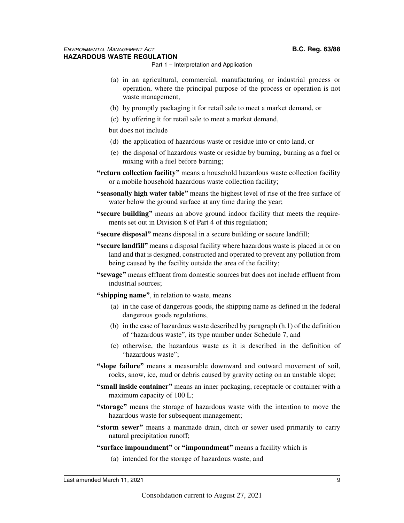- (a) in an agricultural, commercial, manufacturing or industrial process or operation, where the principal purpose of the process or operation is not waste management,
- (b) by promptly packaging it for retail sale to meet a market demand, or
- (c) by offering it for retail sale to meet a market demand,

but does not include

- (d) the application of hazardous waste or residue into or onto land, or
- (e) the disposal of hazardous waste or residue by burning, burning as a fuel or mixing with a fuel before burning;
- **"return collection facility"** means a household hazardous waste collection facility or a mobile household hazardous waste collection facility;
- **"seasonally high water table"** means the highest level of rise of the free surface of water below the ground surface at any time during the year;
- **"secure building"** means an above ground indoor facility that meets the requirements set out in Division 8 of Part 4 of this regulation;
- **"secure disposal"** means disposal in a secure building or secure landfill;
- **"secure landfill"** means a disposal facility where hazardous waste is placed in or on land and that is designed, constructed and operated to prevent any pollution from being caused by the facility outside the area of the facility;
- **"sewage"** means effluent from domestic sources but does not include effluent from industrial sources;

**"shipping name"**, in relation to waste, means

- (a) in the case of dangerous goods, the shipping name as defined in the federal dangerous goods regulations,
- (b) in the case of hazardous waste described by paragraph (h.1) of the definition of "hazardous waste", its type number under Schedule 7, and
- (c) otherwise, the hazardous waste as it is described in the definition of "hazardous waste";
- **"slope failure"** means a measurable downward and outward movement of soil, rocks, snow, ice, mud or debris caused by gravity acting on an unstable slope;
- **"small inside container"** means an inner packaging, receptacle or container with a maximum capacity of 100 L;
- **"storage"** means the storage of hazardous waste with the intention to move the hazardous waste for subsequent management;
- **"storm sewer"** means a manmade drain, ditch or sewer used primarily to carry natural precipitation runoff;
- **"surface impoundment"** or **"impoundment"** means a facility which is
	- (a) intended for the storage of hazardous waste, and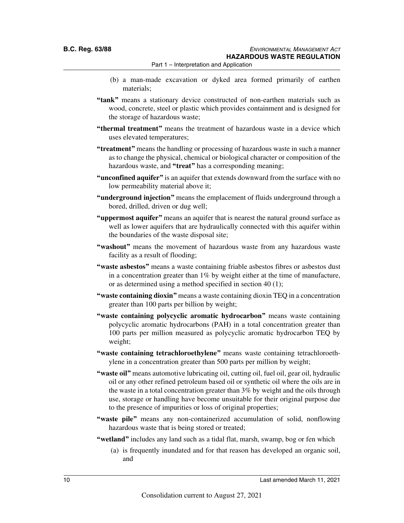- (b) a man-made excavation or dyked area formed primarily of earthen materials;
- **"tank"** means a stationary device constructed of non-earthen materials such as wood, concrete, steel or plastic which provides containment and is designed for the storage of hazardous waste;
- **"thermal treatment"** means the treatment of hazardous waste in a device which uses elevated temperatures;
- **"treatment"** means the handling or processing of hazardous waste in such a manner as to change the physical, chemical or biological character or composition of the hazardous waste, and **"treat"** has a corresponding meaning;
- **"unconfined aquifer"** is an aquifer that extends downward from the surface with no low permeability material above it;
- **"underground injection"** means the emplacement of fluids underground through a bored, drilled, driven or dug well;
- **"uppermost aquifer"** means an aquifer that is nearest the natural ground surface as well as lower aquifers that are hydraulically connected with this aquifer within the boundaries of the waste disposal site;
- **"washout"** means the movement of hazardous waste from any hazardous waste facility as a result of flooding;
- **"waste asbestos"** means a waste containing friable asbestos fibres or asbestos dust in a concentration greater than  $1\%$  by weight either at the time of manufacture, or as determined using a method specified in section 40 (1);
- **"waste containing dioxin"** means a waste containing dioxin TEQ in a concentration greater than 100 parts per billion by weight;
- **"waste containing polycyclic aromatic hydrocarbon"** means waste containing polycyclic aromatic hydrocarbons (PAH) in a total concentration greater than 100 parts per million measured as polycyclic aromatic hydrocarbon TEQ by weight;
- **"waste containing tetrachloroethylene"** means waste containing tetrachloroethylene in a concentration greater than 500 parts per million by weight;
- **"waste oil"** means automotive lubricating oil, cutting oil, fuel oil, gear oil, hydraulic oil or any other refined petroleum based oil or synthetic oil where the oils are in the waste in a total concentration greater than 3% by weight and the oils through use, storage or handling have become unsuitable for their original purpose due to the presence of impurities or loss of original properties;
- **"waste pile"** means any non-containerized accumulation of solid, nonflowing hazardous waste that is being stored or treated;
- **"wetland"** includes any land such as a tidal flat, marsh, swamp, bog or fen which
	- (a) is frequently inundated and for that reason has developed an organic soil, and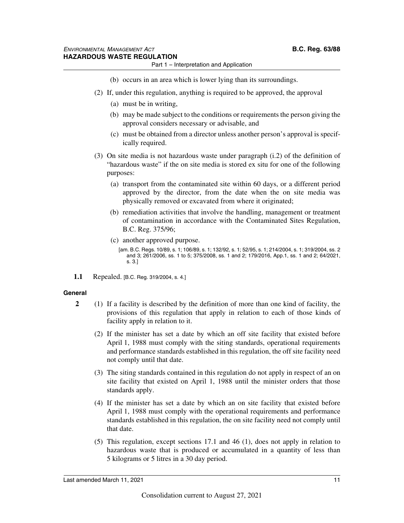- (b) occurs in an area which is lower lying than its surroundings.
- (2) If, under this regulation, anything is required to be approved, the approval
	- (a) must be in writing,
	- (b) may be made subject to the conditions or requirements the person giving the approval considers necessary or advisable, and
	- (c) must be obtained from a director unless another person's approval is specifically required.
- (3) On site media is not hazardous waste under paragraph (i.2) of the definition of "hazardous waste" if the on site media is stored ex situ for one of the following purposes:
	- (a) transport from the contaminated site within 60 days, or a different period approved by the director, from the date when the on site media was physically removed or excavated from where it originated;
	- (b) remediation activities that involve the handling, management or treatment of contamination in accordance with the Contaminated Sites Regulation, B.C. Reg. 375/96;
	- (c) another approved purpose.

[am. B.C. Regs. 10/89, s. 1; 106/89, s. 1; 132/92, s. 1; 52/95, s. 1; 214/2004, s. 1; 319/2004, ss. 2 and 3; 261/2006, ss. 1 to 5; 375/2008, ss. 1 and 2; 179/2016, App.1, ss. 1 and 2; 64/2021, s. 3.]

**1.1** Repealed. [B.C. Reg. 319/2004, s. 4.]

#### **General**

- **2** (1) If a facility is described by the definition of more than one kind of facility, the provisions of this regulation that apply in relation to each of those kinds of facility apply in relation to it.
	- (2) If the minister has set a date by which an off site facility that existed before April 1, 1988 must comply with the siting standards, operational requirements and performance standards established in this regulation, the off site facility need not comply until that date.
	- (3) The siting standards contained in this regulation do not apply in respect of an on site facility that existed on April 1, 1988 until the minister orders that those standards apply.
	- (4) If the minister has set a date by which an on site facility that existed before April 1, 1988 must comply with the operational requirements and performance standards established in this regulation, the on site facility need not comply until that date.
	- (5) This regulation, except sections 17.1 and 46 (1), does not apply in relation to hazardous waste that is produced or accumulated in a quantity of less than 5 kilograms or 5 litres in a 30 day period.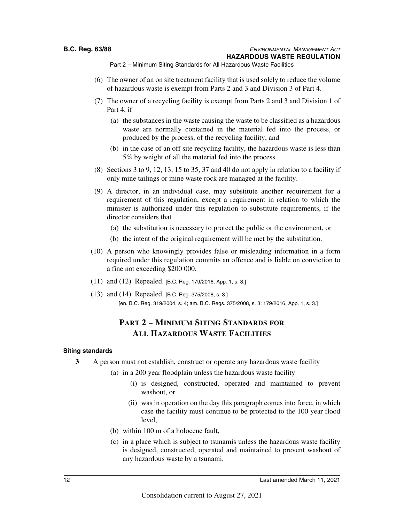- (6) The owner of an on site treatment facility that is used solely to reduce the volume of hazardous waste is exempt from Parts 2 and 3 and Division 3 of Part 4.
- (7) The owner of a recycling facility is exempt from Parts 2 and 3 and Division 1 of Part 4, if
	- (a) the substances in the waste causing the waste to be classified as a hazardous waste are normally contained in the material fed into the process, or produced by the process, of the recycling facility, and
	- (b) in the case of an off site recycling facility, the hazardous waste is less than 5% by weight of all the material fed into the process.
- (8) Sections 3 to 9, 12, 13, 15 to 35, 37 and 40 do not apply in relation to a facility if only mine tailings or mine waste rock are managed at the facility.
- (9) A director, in an individual case, may substitute another requirement for a requirement of this regulation, except a requirement in relation to which the minister is authorized under this regulation to substitute requirements, if the director considers that
	- (a) the substitution is necessary to protect the public or the environment, or
	- (b) the intent of the original requirement will be met by the substitution.
- (10) A person who knowingly provides false or misleading information in a form required under this regulation commits an offence and is liable on conviction to a fine not exceeding \$200 000.
- (11) and (12) Repealed. [B.C. Reg. 179/2016, App. 1, s. 3.]
- (13) and (14) Repealed. [B.C. Reg. 375/2008, s. 3.] [en. B.C. Reg. 319/2004, s. 4; am. B.C. Regs. 375/2008, s. 3; 179/2016, App. 1, s. 3.]

# **PART 2 – MINIMUM SITING STANDARDS FOR ALL HAZARDOUS WASTE FACILITIES**

## **Siting standards**

- **3** A person must not establish, construct or operate any hazardous waste facility
	- (a) in a 200 year floodplain unless the hazardous waste facility
		- (i) is designed, constructed, operated and maintained to prevent washout, or
		- (ii) was in operation on the day this paragraph comes into force, in which case the facility must continue to be protected to the 100 year flood level,
	- (b) within 100 m of a holocene fault,
	- (c) in a place which is subject to tsunamis unless the hazardous waste facility is designed, constructed, operated and maintained to prevent washout of any hazardous waste by a tsunami,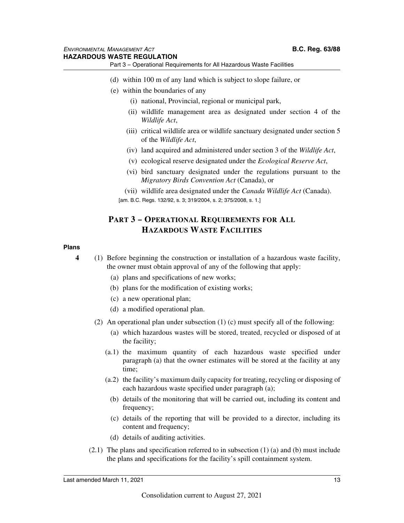Part 3 – Operational Requirements for All Hazardous Waste Facilities

- (d) within 100 m of any land which is subject to slope failure, or
- (e) within the boundaries of any
	- (i) national, Provincial, regional or municipal park,
	- (ii) wildlife management area as designated under section 4 of the *Wildlife Act*,
	- (iii) critical wildlife area or wildlife sanctuary designated under section 5 of the *Wildlife Act*,
	- (iv) land acquired and administered under section 3 of the *Wildlife Act*,
	- (v) ecological reserve designated under the *Ecological Reserve Act*,
	- (vi) bird sanctuary designated under the regulations pursuant to the *Migratory Birds Convention Act* (Canada), or
	- (vii) wildlife area designated under the *Canada Wildlife Act* (Canada). [am. B.C. Regs. 132/92, s. 3; 319/2004, s. 2; 375/2008, s. 1.]

# **PART 3 – OPERATIONAL REQUIREMENTS FOR ALL HAZARDOUS WASTE FACILITIES**

#### **Plans**

**4** (1) Before beginning the construction or installation of a hazardous waste facility, the owner must obtain approval of any of the following that apply:

- (a) plans and specifications of new works;
- (b) plans for the modification of existing works;
- (c) a new operational plan;
- (d) a modified operational plan.
- (2) An operational plan under subsection  $(1)$  (c) must specify all of the following:
	- (a) which hazardous wastes will be stored, treated, recycled or disposed of at the facility;
	- (a.1) the maximum quantity of each hazardous waste specified under paragraph (a) that the owner estimates will be stored at the facility at any time;
	- (a.2) the facility's maximum daily capacity for treating, recycling or disposing of each hazardous waste specified under paragraph (a);
		- (b) details of the monitoring that will be carried out, including its content and frequency;
		- (c) details of the reporting that will be provided to a director, including its content and frequency;
		- (d) details of auditing activities.
- (2.1) The plans and specification referred to in subsection (1) (a) and (b) must include the plans and specifications for the facility's spill containment system.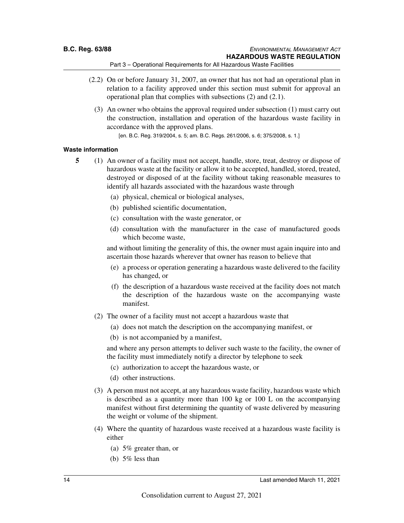- (2.2) On or before January 31, 2007, an owner that has not had an operational plan in relation to a facility approved under this section must submit for approval an operational plan that complies with subsections (2) and (2.1).
	- (3) An owner who obtains the approval required under subsection (1) must carry out the construction, installation and operation of the hazardous waste facility in accordance with the approved plans.

[en. B.C. Reg. 319/2004, s. 5; am. B.C. Regs. 261/2006, s. 6; 375/2008, s. 1.]

#### **Waste information**

- **5** (1) An owner of a facility must not accept, handle, store, treat, destroy or dispose of hazardous waste at the facility or allow it to be accepted, handled, stored, treated, destroyed or disposed of at the facility without taking reasonable measures to identify all hazards associated with the hazardous waste through
	- (a) physical, chemical or biological analyses,
	- (b) published scientific documentation,
	- (c) consultation with the waste generator, or
	- (d) consultation with the manufacturer in the case of manufactured goods which become waste,

and without limiting the generality of this, the owner must again inquire into and ascertain those hazards wherever that owner has reason to believe that

- (e) a process or operation generating a hazardous waste delivered to the facility has changed, or
- (f) the description of a hazardous waste received at the facility does not match the description of the hazardous waste on the accompanying waste manifest.
- (2) The owner of a facility must not accept a hazardous waste that
	- (a) does not match the description on the accompanying manifest, or
	- (b) is not accompanied by a manifest,

and where any person attempts to deliver such waste to the facility, the owner of the facility must immediately notify a director by telephone to seek

- (c) authorization to accept the hazardous waste, or
- (d) other instructions.
- (3) A person must not accept, at any hazardous waste facility, hazardous waste which is described as a quantity more than 100 kg or 100 L on the accompanying manifest without first determining the quantity of waste delivered by measuring the weight or volume of the shipment.
- (4) Where the quantity of hazardous waste received at a hazardous waste facility is either
	- (a) 5% greater than, or
	- (b) 5% less than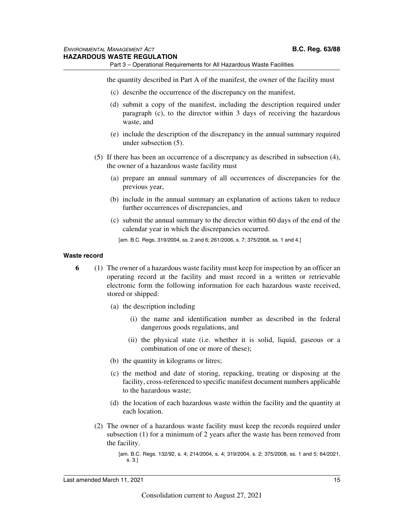Part 3 – Operational Requirements for All Hazardous Waste Facilities

the quantity described in Part A of the manifest, the owner of the facility must

- (c) describe the occurrence of the discrepancy on the manifest,
- (d) submit a copy of the manifest, including the description required under paragraph (c), to the director within 3 days of receiving the hazardous waste, and
- (e) include the description of the discrepancy in the annual summary required under subsection (5).
- (5) If there has been an occurrence of a discrepancy as described in subsection (4), the owner of a hazardous waste facility must
	- (a) prepare an annual summary of all occurrences of discrepancies for the previous year,
	- (b) include in the annual summary an explanation of actions taken to reduce further occurrences of discrepancies, and
	- (c) submit the annual summary to the director within 60 days of the end of the calendar year in which the discrepancies occurred.

[am. B.C. Regs. 319/2004, ss. 2 and 6; 261/2006, s. 7; 375/2008, ss. 1 and 4.]

#### **Waste record**

- **6** (1) The owner of a hazardous waste facility must keep for inspection by an officer an operating record at the facility and must record in a written or retrievable electronic form the following information for each hazardous waste received, stored or shipped:
	- (a) the description including
		- (i) the name and identification number as described in the federal dangerous goods regulations, and
		- (ii) the physical state (i.e. whether it is solid, liquid, gaseous or a combination of one or more of these);
	- (b) the quantity in kilograms or litres;
	- (c) the method and date of storing, repacking, treating or disposing at the facility, cross-referenced to specific manifest document numbers applicable to the hazardous waste;
	- (d) the location of each hazardous waste within the facility and the quantity at each location.
	- (2) The owner of a hazardous waste facility must keep the records required under subsection (1) for a minimum of 2 years after the waste has been removed from the facility.

<sup>[</sup>am. B.C. Regs. 132/92, s. 4; 214/2004, s. 4; 319/2004, s. 2; 375/2008, ss. 1 and 5; 64/2021, s. 3.]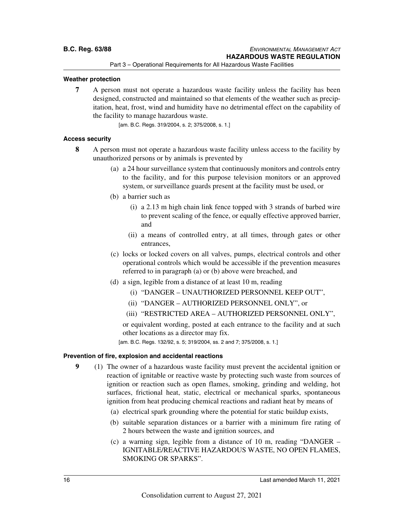# **Weather protection**

**7** A person must not operate a hazardous waste facility unless the facility has been designed, constructed and maintained so that elements of the weather such as precipitation, heat, frost, wind and humidity have no detrimental effect on the capability of the facility to manage hazardous waste.

[am. B.C. Regs. 319/2004, s. 2; 375/2008, s. 1.]

#### **Access security**

- **8** A person must not operate a hazardous waste facility unless access to the facility by unauthorized persons or by animals is prevented by
	- (a) a 24 hour surveillance system that continuously monitors and controls entry to the facility, and for this purpose television monitors or an approved system, or surveillance guards present at the facility must be used, or
	- (b) a barrier such as
		- (i) a 2.13 m high chain link fence topped with 3 strands of barbed wire to prevent scaling of the fence, or equally effective approved barrier, and
		- (ii) a means of controlled entry, at all times, through gates or other entrances,
	- (c) locks or locked covers on all valves, pumps, electrical controls and other operational controls which would be accessible if the prevention measures referred to in paragraph (a) or (b) above were breached, and
	- (d) a sign, legible from a distance of at least 10 m, reading
		- (i) "DANGER UNAUTHORIZED PERSONNEL KEEP OUT",
		- (ii) "DANGER AUTHORIZED PERSONNEL ONLY", or
		- (iii) "RESTRICTED AREA AUTHORIZED PERSONNEL ONLY",

or equivalent wording, posted at each entrance to the facility and at such other locations as a director may fix.

[am. B.C. Regs. 132/92, s. 5; 319/2004, ss. 2 and 7; 375/2008, s. 1.]

#### **Prevention of fire, explosion and accidental reactions**

- **9** (1) The owner of a hazardous waste facility must prevent the accidental ignition or reaction of ignitable or reactive waste by protecting such waste from sources of ignition or reaction such as open flames, smoking, grinding and welding, hot surfaces, frictional heat, static, electrical or mechanical sparks, spontaneous ignition from heat producing chemical reactions and radiant heat by means of
	- (a) electrical spark grounding where the potential for static buildup exists,
	- (b) suitable separation distances or a barrier with a minimum fire rating of 2 hours between the waste and ignition sources, and
	- (c) a warning sign, legible from a distance of 10 m, reading "DANGER IGNITABLE/REACTIVE HAZARDOUS WASTE, NO OPEN FLAMES, SMOKING OR SPARKS".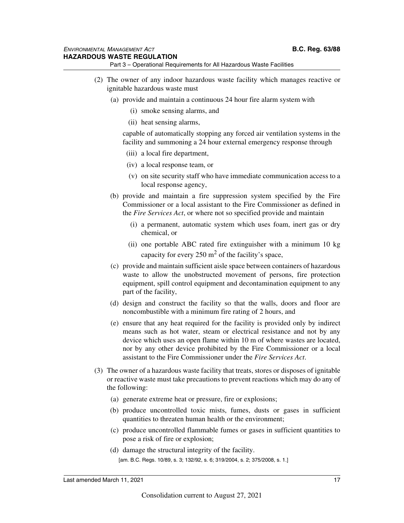# *ENVIRONMENTAL MANAGEMENT ACT* **B.C. Reg. 63/88 HAZARDOUS WASTE REGULATION**

- (2) The owner of any indoor hazardous waste facility which manages reactive or ignitable hazardous waste must
	- (a) provide and maintain a continuous 24 hour fire alarm system with
		- (i) smoke sensing alarms, and
		- (ii) heat sensing alarms,

capable of automatically stopping any forced air ventilation systems in the facility and summoning a 24 hour external emergency response through

- (iii) a local fire department,
- (iv) a local response team, or
- (v) on site security staff who have immediate communication access to a local response agency,
- (b) provide and maintain a fire suppression system specified by the Fire Commissioner or a local assistant to the Fire Commissioner as defined in the *Fire Services Act*, or where not so specified provide and maintain
	- (i) a permanent, automatic system which uses foam, inert gas or dry chemical, or
	- (ii) one portable ABC rated fire extinguisher with a minimum 10 kg capacity for every 250  $m<sup>2</sup>$  of the facility's space,
- (c) provide and maintain sufficient aisle space between containers of hazardous waste to allow the unobstructed movement of persons, fire protection equipment, spill control equipment and decontamination equipment to any part of the facility,
- (d) design and construct the facility so that the walls, doors and floor are noncombustible with a minimum fire rating of 2 hours, and
- (e) ensure that any heat required for the facility is provided only by indirect means such as hot water, steam or electrical resistance and not by any device which uses an open flame within 10 m of where wastes are located, nor by any other device prohibited by the Fire Commissioner or a local assistant to the Fire Commissioner under the *Fire Services Act*.
- (3) The owner of a hazardous waste facility that treats, stores or disposes of ignitable or reactive waste must take precautions to prevent reactions which may do any of the following:
	- (a) generate extreme heat or pressure, fire or explosions;
	- (b) produce uncontrolled toxic mists, fumes, dusts or gases in sufficient quantities to threaten human health or the environment;
	- (c) produce uncontrolled flammable fumes or gases in sufficient quantities to pose a risk of fire or explosion;
	- (d) damage the structural integrity of the facility. [am. B.C. Regs. 10/89, s. 3; 132/92, s. 6; 319/2004, s. 2; 375/2008, s. 1.]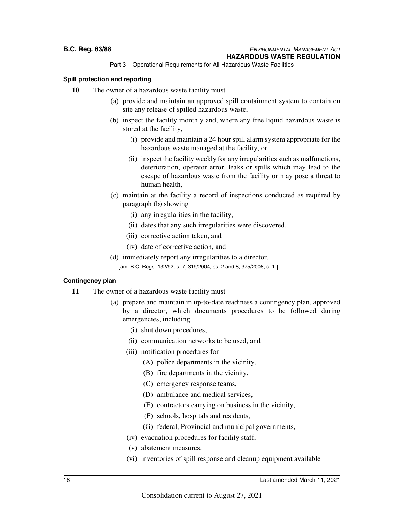# **Spill protection and reporting**

- **10** The owner of a hazardous waste facility must
	- (a) provide and maintain an approved spill containment system to contain on site any release of spilled hazardous waste,
	- (b) inspect the facility monthly and, where any free liquid hazardous waste is stored at the facility,
		- (i) provide and maintain a 24 hour spill alarm system appropriate for the hazardous waste managed at the facility, or
		- (ii) inspect the facility weekly for any irregularities such as malfunctions, deterioration, operator error, leaks or spills which may lead to the escape of hazardous waste from the facility or may pose a threat to human health,
	- (c) maintain at the facility a record of inspections conducted as required by paragraph (b) showing
		- (i) any irregularities in the facility,
		- (ii) dates that any such irregularities were discovered,
		- (iii) corrective action taken, and
		- (iv) date of corrective action, and
	- (d) immediately report any irregularities to a director.

[am. B.C. Regs. 132/92, s. 7; 319/2004, ss. 2 and 8; 375/2008, s. 1.]

#### **Contingency plan**

- **11** The owner of a hazardous waste facility must
	- (a) prepare and maintain in up-to-date readiness a contingency plan, approved by a director, which documents procedures to be followed during emergencies, including
		- (i) shut down procedures,
		- (ii) communication networks to be used, and
		- (iii) notification procedures for
			- (A) police departments in the vicinity,
			- (B) fire departments in the vicinity,
			- (C) emergency response teams,
			- (D) ambulance and medical services,
			- (E) contractors carrying on business in the vicinity,
			- (F) schools, hospitals and residents,
			- (G) federal, Provincial and municipal governments,
		- (iv) evacuation procedures for facility staff,
		- (v) abatement measures,
		- (vi) inventories of spill response and cleanup equipment available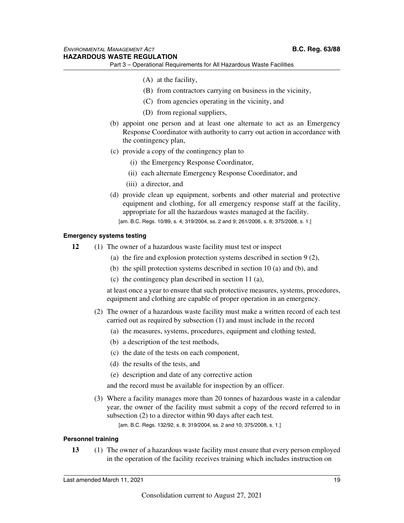## *ENVIRONMENTAL MANAGEMENT ACT* **B.C. Reg. 63/88 HAZARDOUS WASTE REGULATION**

Part 3 – Operational Requirements for All Hazardous Waste Facilities

- (A) at the facility,
- (B) from contractors carrying on business in the vicinity,
- (C) from agencies operating in the vicinity, and
- (D) from regional suppliers,
- (b) appoint one person and at least one alternate to act as an Emergency Response Coordinator with authority to carry out action in accordance with the contingency plan,
- (c) provide a copy of the contingency plan to
	- (i) the Emergency Response Coordinator,
	- (ii) each alternate Emergency Response Coordinator, and
	- (iii) a director, and
- (d) provide clean up equipment, sorbents and other material and protective equipment and clothing, for all emergency response staff at the facility, appropriate for all the hazardous wastes managed at the facility. [am. B.C. Regs. 10/89, s. 4; 319/2004, ss. 2 and 9; 261/2006, s. 8; 375/2008, s. 1.]

#### **Emergency systems testing**

- **12** (1) The owner of a hazardous waste facility must test or inspect
	- (a) the fire and explosion protection systems described in section 9 (2),
	- (b) the spill protection systems described in section 10 (a) and (b), and
	- (c) the contingency plan described in section 11 (a),

at least once a year to ensure that such protective measures, systems, procedures, equipment and clothing are capable of proper operation in an emergency.

- (2) The owner of a hazardous waste facility must make a written record of each test carried out as required by subsection (1) and must include in the record
	- (a) the measures, systems, procedures, equipment and clothing tested,
	- (b) a description of the test methods,
	- (c) the date of the tests on each component,
	- (d) the results of the tests, and
	- (e) description and date of any corrective action

and the record must be available for inspection by an officer.

(3) Where a facility manages more than 20 tonnes of hazardous waste in a calendar year, the owner of the facility must submit a copy of the record referred to in subsection (2) to a director within 90 days after each test.

[am. B.C. Regs. 132/92, s. 8; 319/2004, ss. 2 and 10; 375/2008, s. 1.]

#### **Personnel training**

**13** (1) The owner of a hazardous waste facility must ensure that every person employed in the operation of the facility receives training which includes instruction on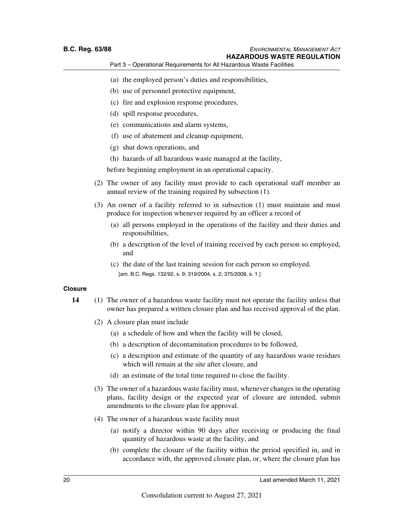- (a) the employed person's duties and responsibilities,
- (b) use of personnel protective equipment,
- (c) fire and explosion response procedures,
- (d) spill response procedures,
- (e) communications and alarm systems,
- (f) use of abatement and cleanup equipment,
- (g) shut down operations, and
- (h) hazards of all hazardous waste managed at the facility,

before beginning employment in an operational capacity.

- (2) The owner of any facility must provide to each operational staff member an annual review of the training required by subsection (1).
- (3) An owner of a facility referred to in subsection (1) must maintain and must produce for inspection whenever required by an officer a record of
	- (a) all persons employed in the operations of the facility and their duties and responsibilities,
	- (b) a description of the level of training received by each person so employed, and
	- (c) the date of the last training session for each person so employed. [am. B.C. Regs. 132/92, s. 9; 319/2004, s. 2; 375/2008, s. 1.]

#### **Closure**

- **14** (1) The owner of a hazardous waste facility must not operate the facility unless that owner has prepared a written closure plan and has received approval of the plan.
	- (2) A closure plan must include
		- (a) a schedule of how and when the facility will be closed,
		- (b) a description of decontamination procedures to be followed,
		- (c) a description and estimate of the quantity of any hazardous waste residues which will remain at the site after closure, and
		- (d) an estimate of the total time required to close the facility.
	- (3) The owner of a hazardous waste facility must, whenever changes in the operating plans, facility design or the expected year of closure are intended, submit amendments to the closure plan for approval.
	- (4) The owner of a hazardous waste facility must
		- (a) notify a director within 90 days after receiving or producing the final quantity of hazardous waste at the facility, and
		- (b) complete the closure of the facility within the period specified in, and in accordance with, the approved closure plan, or, where the closure plan has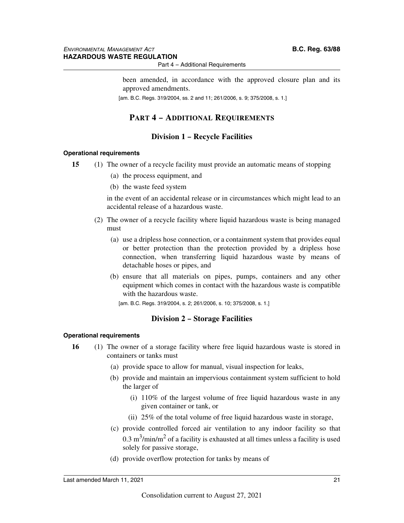been amended, in accordance with the approved closure plan and its approved amendments.

[am. B.C. Regs. 319/2004, ss. 2 and 11; 261/2006, s. 9; 375/2008, s. 1.]

# **PART 4 – ADDITIONAL REQUIREMENTS**

## **Division 1 – Recycle Facilities**

#### **Operational requirements**

- **15** (1) The owner of a recycle facility must provide an automatic means of stopping
	- (a) the process equipment, and
	- (b) the waste feed system

in the event of an accidental release or in circumstances which might lead to an accidental release of a hazardous waste.

- (2) The owner of a recycle facility where liquid hazardous waste is being managed must
	- (a) use a dripless hose connection, or a containment system that provides equal or better protection than the protection provided by a dripless hose connection, when transferring liquid hazardous waste by means of detachable hoses or pipes, and
	- (b) ensure that all materials on pipes, pumps, containers and any other equipment which comes in contact with the hazardous waste is compatible with the hazardous waste.

[am. B.C. Regs. 319/2004, s. 2; 261/2006, s. 10; 375/2008, s. 1.]

## **Division 2 – Storage Facilities**

#### **Operational requirements**

- **16** (1) The owner of a storage facility where free liquid hazardous waste is stored in containers or tanks must
	- (a) provide space to allow for manual, visual inspection for leaks,
	- (b) provide and maintain an impervious containment system sufficient to hold the larger of
		- (i) 110% of the largest volume of free liquid hazardous waste in any given container or tank, or
		- (ii) 25% of the total volume of free liquid hazardous waste in storage,
	- (c) provide controlled forced air ventilation to any indoor facility so that 0.3 m<sup>3</sup>/min/m<sup>2</sup> of a facility is exhausted at all times unless a facility is used solely for passive storage,
	- (d) provide overflow protection for tanks by means of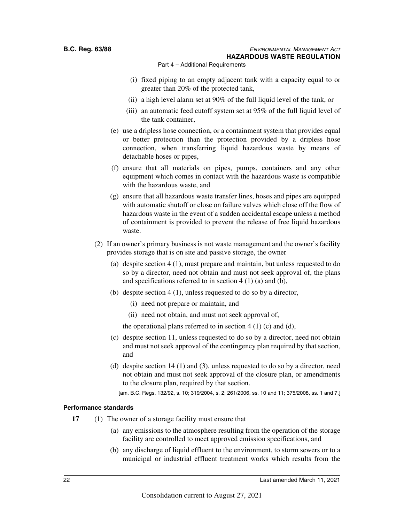- (i) fixed piping to an empty adjacent tank with a capacity equal to or greater than 20% of the protected tank,
- (ii) a high level alarm set at 90% of the full liquid level of the tank, or
- (iii) an automatic feed cutoff system set at 95% of the full liquid level of the tank container,
- (e) use a dripless hose connection, or a containment system that provides equal or better protection than the protection provided by a dripless hose connection, when transferring liquid hazardous waste by means of detachable hoses or pipes,
- (f) ensure that all materials on pipes, pumps, containers and any other equipment which comes in contact with the hazardous waste is compatible with the hazardous waste, and
- (g) ensure that all hazardous waste transfer lines, hoses and pipes are equipped with automatic shutoff or close on failure valves which close off the flow of hazardous waste in the event of a sudden accidental escape unless a method of containment is provided to prevent the release of free liquid hazardous waste.
- (2) If an owner's primary business is not waste management and the owner's facility provides storage that is on site and passive storage, the owner
	- (a) despite section 4 (1), must prepare and maintain, but unless requested to do so by a director, need not obtain and must not seek approval of, the plans and specifications referred to in section 4 (1) (a) and (b),
	- (b) despite section 4 (1), unless requested to do so by a director,
		- (i) need not prepare or maintain, and
		- (ii) need not obtain, and must not seek approval of,
		- the operational plans referred to in section  $4(1)(c)$  and  $(d)$ ,
	- (c) despite section 11, unless requested to do so by a director, need not obtain and must not seek approval of the contingency plan required by that section, and
	- (d) despite section 14 (1) and (3), unless requested to do so by a director, need not obtain and must not seek approval of the closure plan, or amendments to the closure plan, required by that section.
		- [am. B.C. Regs. 132/92, s. 10; 319/2004, s. 2; 261/2006, ss. 10 and 11; 375/2008, ss. 1 and 7.]

#### **Performance standards**

- **17** (1) The owner of a storage facility must ensure that
	- (a) any emissions to the atmosphere resulting from the operation of the storage facility are controlled to meet approved emission specifications, and
	- (b) any discharge of liquid effluent to the environment, to storm sewers or to a municipal or industrial effluent treatment works which results from the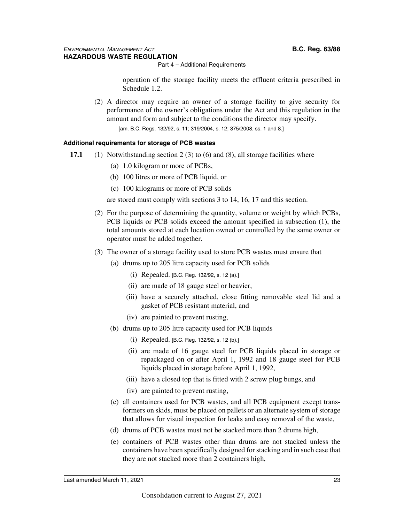operation of the storage facility meets the effluent criteria prescribed in Schedule 1.2.

(2) A director may require an owner of a storage facility to give security for performance of the owner's obligations under the Act and this regulation in the amount and form and subject to the conditions the director may specify. [am. B.C. Regs. 132/92, s. 11; 319/2004, s. 12; 375/2008, ss. 1 and 8.]

#### **Additional requirements for storage of PCB wastes**

- **17.1** (1) Notwithstanding section 2 (3) to (6) and (8), all storage facilities where
	- (a) 1.0 kilogram or more of PCBs,
	- (b) 100 litres or more of PCB liquid, or
	- (c) 100 kilograms or more of PCB solids

are stored must comply with sections 3 to 14, 16, 17 and this section.

- (2) For the purpose of determining the quantity, volume or weight by which PCBs, PCB liquids or PCB solids exceed the amount specified in subsection (1), the total amounts stored at each location owned or controlled by the same owner or operator must be added together.
- (3) The owner of a storage facility used to store PCB wastes must ensure that
	- (a) drums up to 205 litre capacity used for PCB solids
		- (i) Repealed. [B.C. Reg. 132/92, s. 12 (a).]
		- (ii) are made of 18 gauge steel or heavier,
		- (iii) have a securely attached, close fitting removable steel lid and a gasket of PCB resistant material, and
		- (iv) are painted to prevent rusting,
	- (b) drums up to 205 litre capacity used for PCB liquids
		- (i) Repealed. [B.C. Reg. 132/92, s. 12 (b).]
		- (ii) are made of 16 gauge steel for PCB liquids placed in storage or repackaged on or after April 1, 1992 and 18 gauge steel for PCB liquids placed in storage before April 1, 1992,
		- (iii) have a closed top that is fitted with 2 screw plug bungs, and
		- (iv) are painted to prevent rusting,
	- (c) all containers used for PCB wastes, and all PCB equipment except transformers on skids, must be placed on pallets or an alternate system of storage that allows for visual inspection for leaks and easy removal of the waste,
	- (d) drums of PCB wastes must not be stacked more than 2 drums high,
	- (e) containers of PCB wastes other than drums are not stacked unless the containers have been specifically designed for stacking and in such case that they are not stacked more than 2 containers high,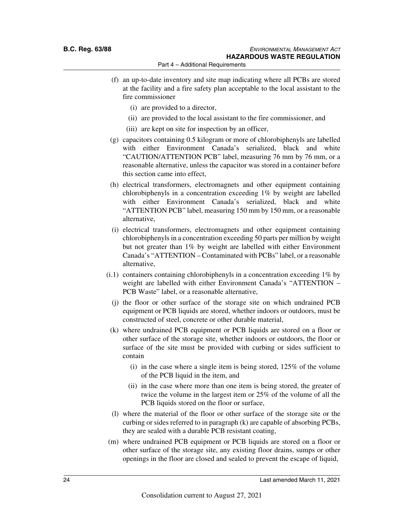- (f) an up-to-date inventory and site map indicating where all PCBs are stored at the facility and a fire safety plan acceptable to the local assistant to the fire commissioner
	- (i) are provided to a director,
	- (ii) are provided to the local assistant to the fire commissioner, and
	- (iii) are kept on site for inspection by an officer,
- (g) capacitors containing 0.5 kilogram or more of chlorobiphenyls are labelled with either Environment Canada's serialized, black and white "CAUTION/ATTENTION PCB" label, measuring 76 mm by 76 mm, or a reasonable alternative, unless the capacitor was stored in a container before this section came into effect,
- (h) electrical transformers, electromagnets and other equipment containing chlorobiphenyls in a concentration exceeding 1% by weight are labelled with either Environment Canada's serialized, black and white "ATTENTION PCB" label, measuring 150 mm by 150 mm, or a reasonable alternative,
- (i) electrical transformers, electromagnets and other equipment containing chlorobiphenyls in a concentration exceeding 50 parts per million by weight but not greater than 1% by weight are labelled with either Environment Canada's "ATTENTION – Contaminated with PCBs" label, or a reasonable alternative,
- $(i.1)$  containers containing chlorobiphenyls in a concentration exceeding 1% by weight are labelled with either Environment Canada's "ATTENTION – PCB Waste" label, or a reasonable alternative,
	- (j) the floor or other surface of the storage site on which undrained PCB equipment or PCB liquids are stored, whether indoors or outdoors, must be constructed of steel, concrete or other durable material,
- (k) where undrained PCB equipment or PCB liquids are stored on a floor or other surface of the storage site, whether indoors or outdoors, the floor or surface of the site must be provided with curbing or sides sufficient to contain
	- (i) in the case where a single item is being stored, 125% of the volume of the PCB liquid in the item, and
	- (ii) in the case where more than one item is being stored, the greater of twice the volume in the largest item or 25% of the volume of all the PCB liquids stored on the floor or surface,
- (l) where the material of the floor or other surface of the storage site or the curbing or sides referred to in paragraph (k) are capable of absorbing PCBs, they are sealed with a durable PCB resistant coating,
- (m) where undrained PCB equipment or PCB liquids are stored on a floor or other surface of the storage site, any existing floor drains, sumps or other openings in the floor are closed and sealed to prevent the escape of liquid,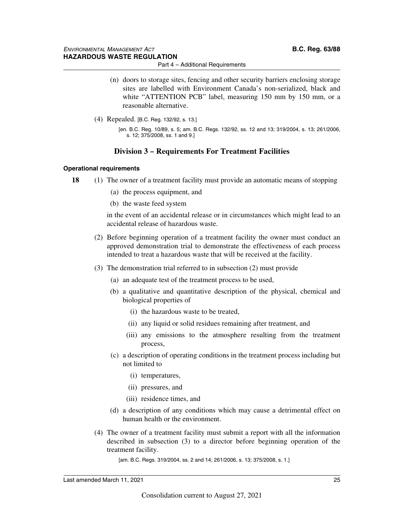- (n) doors to storage sites, fencing and other security barriers enclosing storage sites are labelled with Environment Canada's non-serialized, black and white "ATTENTION PCB" label, measuring 150 mm by 150 mm, or a reasonable alternative.
- (4) Repealed. [B.C. Reg. 132/92, s. 13.]
	- [en. B.C. Reg. 10/89, s. 5; am. B.C. Regs. 132/92, ss. 12 and 13; 319/2004, s. 13; 261/2006, s. 12; 375/2008, ss. 1 and 9.]

# **Division 3 – Requirements For Treatment Facilities**

#### **Operational requirements**

- **18** (1) The owner of a treatment facility must provide an automatic means of stopping
	- (a) the process equipment, and
	- (b) the waste feed system

in the event of an accidental release or in circumstances which might lead to an accidental release of hazardous waste.

- (2) Before beginning operation of a treatment facility the owner must conduct an approved demonstration trial to demonstrate the effectiveness of each process intended to treat a hazardous waste that will be received at the facility.
- (3) The demonstration trial referred to in subsection (2) must provide
	- (a) an adequate test of the treatment process to be used,
	- (b) a qualitative and quantitative description of the physical, chemical and biological properties of
		- (i) the hazardous waste to be treated,
		- (ii) any liquid or solid residues remaining after treatment, and
		- (iii) any emissions to the atmosphere resulting from the treatment process,
	- (c) a description of operating conditions in the treatment process including but not limited to
		- (i) temperatures,
		- (ii) pressures, and
		- (iii) residence times, and
	- (d) a description of any conditions which may cause a detrimental effect on human health or the environment.
- (4) The owner of a treatment facility must submit a report with all the information described in subsection (3) to a director before beginning operation of the treatment facility.

[am. B.C. Regs. 319/2004, ss. 2 and 14; 261/2006, s. 13; 375/2008, s. 1.]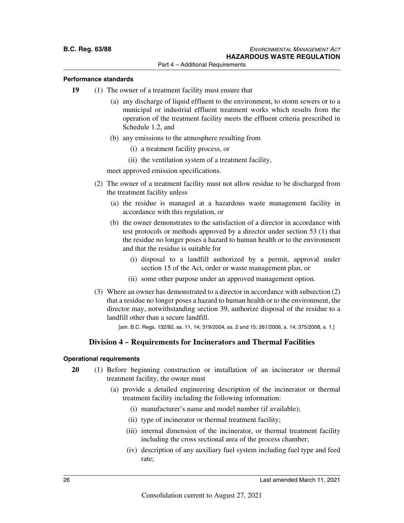#### **Performance standards**

- **19** (1) The owner of a treatment facility must ensure that
	- (a) any discharge of liquid effluent to the environment, to storm sewers or to a municipal or industrial effluent treatment works which results from the operation of the treatment facility meets the effluent criteria prescribed in Schedule 1.2, and
	- (b) any emissions to the atmosphere resulting from
		- (i) a treatment facility process, or
		- (ii) the ventilation system of a treatment facility,

meet approved emission specifications.

- (2) The owner of a treatment facility must not allow residue to be discharged from the treatment facility unless
	- (a) the residue is managed at a hazardous waste management facility in accordance with this regulation, or
	- (b) the owner demonstrates to the satisfaction of a director in accordance with test protocols or methods approved by a director under section 53 (1) that the residue no longer poses a hazard to human health or to the environment and that the residue is suitable for
		- (i) disposal to a landfill authorized by a permit, approval under section 15 of the Act, order or waste management plan, or
		- (ii) some other purpose under an approved management option.
- (3) Where an owner has demonstrated to a director in accordance with subsection (2) that a residue no longer poses a hazard to human health or to the environment, the director may, notwithstanding section 39, authorize disposal of the residue to a landfill other than a secure landfill.

[am. B.C. Regs. 132/92, ss. 11, 14; 319/2004, ss. 2 and 15; 261/2006, s. 14; 375/2008, s. 1.]

## **Division 4 – Requirements for Incinerators and Thermal Facilities**

#### **Operational requirements**

- **20** (1) Before beginning construction or installation of an incinerator or thermal treatment facility, the owner must
	- (a) provide a detailed engineering description of the incinerator or thermal treatment facility including the following information:
		- (i) manufacturer's name and model number (if available);
		- (ii) type of incinerator or thermal treatment facility;
		- (iii) internal dimension of the incinerator, or thermal treatment facility including the cross sectional area of the process chamber;
		- (iv) description of any auxiliary fuel system including fuel type and feed rate;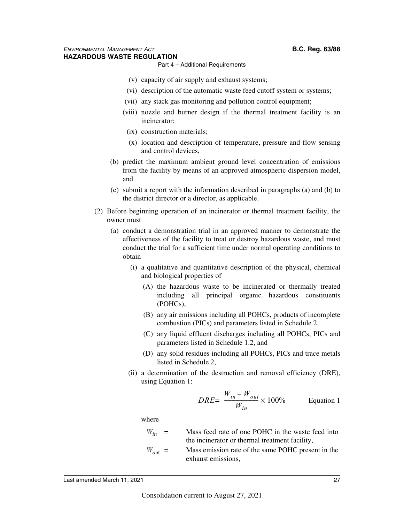- (v) capacity of air supply and exhaust systems;
- (vi) description of the automatic waste feed cutoff system or systems;
- (vii) any stack gas monitoring and pollution control equipment;
- (viii) nozzle and burner design if the thermal treatment facility is an incinerator;
- (ix) construction materials;
- (x) location and description of temperature, pressure and flow sensing and control devices,
- (b) predict the maximum ambient ground level concentration of emissions from the facility by means of an approved atmospheric dispersion model, and
- (c) submit a report with the information described in paragraphs (a) and (b) to the district director or a director, as applicable.
- (2) Before beginning operation of an incinerator or thermal treatment facility, the owner must
	- (a) conduct a demonstration trial in an approved manner to demonstrate the effectiveness of the facility to treat or destroy hazardous waste, and must conduct the trial for a sufficient time under normal operating conditions to obtain
		- (i) a qualitative and quantitative description of the physical, chemical and biological properties of
			- (A) the hazardous waste to be incinerated or thermally treated including all principal organic hazardous constituents (POHCs),
			- (B) any air emissions including all POHCs, products of incomplete combustion (PICs) and parameters listed in Schedule 2,
			- (C) any liquid effluent discharges including all POHCs, PICs and parameters listed in Schedule 1.2, and
			- (D) any solid residues including all POHCs, PICs and trace metals listed in Schedule 2,
		- (ii) a determination of the destruction and removal efficiency (DRE), using Equation 1:

$$
DRE = \frac{W_{in} - W_{out}}{W_{in}} \times 100\%
$$
 Equation 1

where

| $W_{in}$ | Mass feed rate of one POHC in the waste feed into<br>$=$ |                                                |
|----------|----------------------------------------------------------|------------------------------------------------|
|          |                                                          | the incinerator or thermal treatment facility, |

*Wou*<sup>t</sup> = Mass emission rate of the same POHC present in the exhaust emissions,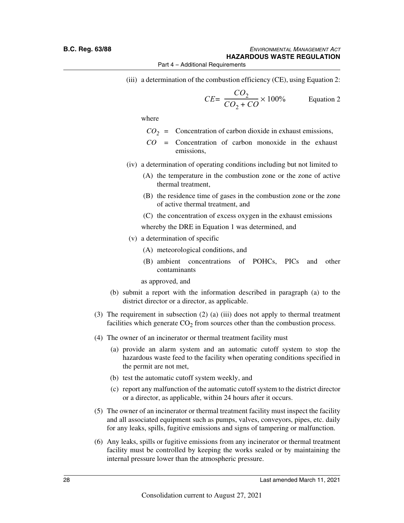(iii) a determination of the combustion efficiency (CE), using Equation 2:

$$
CE = \frac{CO_2}{CO_2 + CO} \times 100\%
$$
 Equation 2

where

- $CO<sub>2</sub> =$  Concentration of carbon dioxide in exhaust emissions,
- *CO* = Concentration of carbon monoxide in the exhaust emissions,
- (iv) a determination of operating conditions including but not limited to
	- (A) the temperature in the combustion zone or the zone of active thermal treatment,
	- (B) the residence time of gases in the combustion zone or the zone of active thermal treatment, and
	- (C) the concentration of excess oxygen in the exhaust emissions

whereby the DRE in Equation 1 was determined, and

- (v) a determination of specific
	- (A) meteorological conditions, and
	- (B) ambient concentrations of POHCs, PICs and other contaminants

as approved, and

- (b) submit a report with the information described in paragraph (a) to the district director or a director, as applicable.
- (3) The requirement in subsection (2) (a) (iii) does not apply to thermal treatment facilities which generate  $CO<sub>2</sub>$  from sources other than the combustion process.
- (4) The owner of an incinerator or thermal treatment facility must
	- (a) provide an alarm system and an automatic cutoff system to stop the hazardous waste feed to the facility when operating conditions specified in the permit are not met,
	- (b) test the automatic cutoff system weekly, and
	- (c) report any malfunction of the automatic cutoff system to the district director or a director, as applicable, within 24 hours after it occurs.
- (5) The owner of an incinerator or thermal treatment facility must inspect the facility and all associated equipment such as pumps, valves, conveyors, pipes, etc. daily for any leaks, spills, fugitive emissions and signs of tampering or malfunction.
- (6) Any leaks, spills or fugitive emissions from any incinerator or thermal treatment facility must be controlled by keeping the works sealed or by maintaining the internal pressure lower than the atmospheric pressure.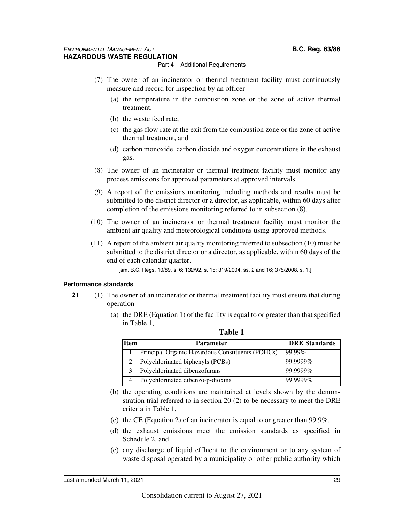- (7) The owner of an incinerator or thermal treatment facility must continuously measure and record for inspection by an officer
	- (a) the temperature in the combustion zone or the zone of active thermal treatment,
	- (b) the waste feed rate,
	- (c) the gas flow rate at the exit from the combustion zone or the zone of active thermal treatment, and
	- (d) carbon monoxide, carbon dioxide and oxygen concentrations in the exhaust gas.
- (8) The owner of an incinerator or thermal treatment facility must monitor any process emissions for approved parameters at approved intervals.
- (9) A report of the emissions monitoring including methods and results must be submitted to the district director or a director, as applicable, within 60 days after completion of the emissions monitoring referred to in subsection (8).
- (10) The owner of an incinerator or thermal treatment facility must monitor the ambient air quality and meteorological conditions using approved methods.
- (11) A report of the ambient air quality monitoring referred to subsection (10) must be submitted to the district director or a director, as applicable, within 60 days of the end of each calendar quarter.

[am. B.C. Regs. 10/89, s. 6; 132/92, s. 15; 319/2004, ss. 2 and 16; 375/2008, s. 1.]

#### **Performance standards**

- **21** (1) The owner of an incinerator or thermal treatment facility must ensure that during operation
	- (a) the DRE (Equation 1) of the facility is equal to or greater than that specified in Table 1,

| <b>Item</b> | <b>Parameter</b>                                 | <b>DRE</b> Standards |
|-------------|--------------------------------------------------|----------------------|
|             | Principal Organic Hazardous Constituents (POHCs) | $99.99\%$            |
|             | Polychlorinated biphenyls (PCBs)                 | $99.9999\%$          |
| 3           | Polychlorinated dibenzofurans                    | $99.9999\%$          |
|             | Polychlorinated dibenzo-p-dioxins                | 99.9999%             |

**Table 1**

(b) the operating conditions are maintained at levels shown by the demonstration trial referred to in section 20 (2) to be necessary to meet the DRE criteria in Table 1,

- (c) the CE (Equation 2) of an incinerator is equal to or greater than  $99.9\%$ ,
- (d) the exhaust emissions meet the emission standards as specified in Schedule 2, and
- (e) any discharge of liquid effluent to the environment or to any system of waste disposal operated by a municipality or other public authority which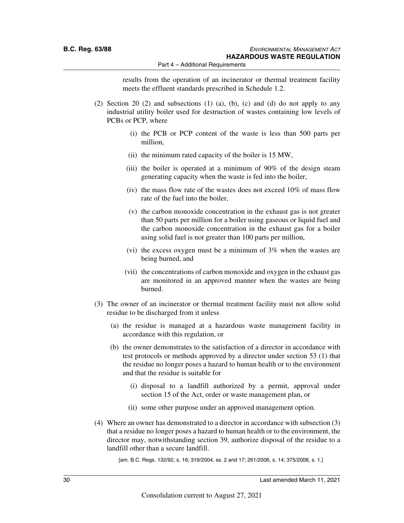results from the operation of an incinerator or thermal treatment facility meets the effluent standards prescribed in Schedule 1.2.

- (2) Section 20 (2) and subsections (1) (a), (b), (c) and (d) do not apply to any industrial utility boiler used for destruction of wastes containing low levels of PCBs or PCP, where
	- (i) the PCB or PCP content of the waste is less than 500 parts per million,
	- (ii) the minimum rated capacity of the boiler is 15 MW,
	- (iii) the boiler is operated at a minimum of 90% of the design steam generating capacity when the waste is fed into the boiler,
	- $(iv)$  the mass flow rate of the wastes does not exceed  $10\%$  of mass flow rate of the fuel into the boiler,
	- (v) the carbon monoxide concentration in the exhaust gas is not greater than 50 parts per million for a boiler using gaseous or liquid fuel and the carbon monoxide concentration in the exhaust gas for a boiler using solid fuel is not greater than 100 parts per million,
	- (vi) the excess oxygen must be a minimum of 3% when the wastes are being burned, and
	- (vii) the concentrations of carbon monoxide and oxygen in the exhaust gas are monitored in an approved manner when the wastes are being burned.
- (3) The owner of an incinerator or thermal treatment facility must not allow solid residue to be discharged from it unless
	- (a) the residue is managed at a hazardous waste management facility in accordance with this regulation, or
	- (b) the owner demonstrates to the satisfaction of a director in accordance with test protocols or methods approved by a director under section 53 (1) that the residue no longer poses a hazard to human health or to the environment and that the residue is suitable for
		- (i) disposal to a landfill authorized by a permit, approval under section 15 of the Act, order or waste management plan, or
		- (ii) some other purpose under an approved management option.
- (4) Where an owner has demonstrated to a director in accordance with subsection (3) that a residue no longer poses a hazard to human health or to the environment, the director may, notwithstanding section 39, authorize disposal of the residue to a landfill other than a secure landfill.

```
[am. B.C. Regs. 132/92, s. 16; 319/2004, ss. 2 and 17; 261/2006, s. 14; 375/2008, s. 1.]
```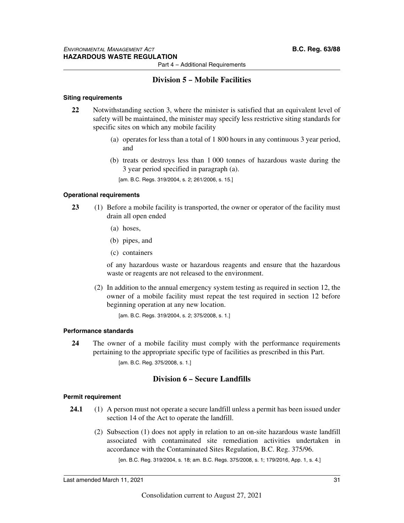# **Division 5 – Mobile Facilities**

#### **Siting requirements**

- **22** Notwithstanding section 3, where the minister is satisfied that an equivalent level of safety will be maintained, the minister may specify less restrictive siting standards for specific sites on which any mobile facility
	- (a) operates for less than a total of 1 800 hours in any continuous 3 year period, and
	- (b) treats or destroys less than 1 000 tonnes of hazardous waste during the 3 year period specified in paragraph (a).

[am. B.C. Regs. 319/2004, s. 2; 261/2006, s. 15.]

#### **Operational requirements**

- **23** (1) Before a mobile facility is transported, the owner or operator of the facility must drain all open ended
	- (a) hoses,
	- (b) pipes, and
	- (c) containers

of any hazardous waste or hazardous reagents and ensure that the hazardous waste or reagents are not released to the environment.

(2) In addition to the annual emergency system testing as required in section 12, the owner of a mobile facility must repeat the test required in section 12 before beginning operation at any new location.

[am. B.C. Regs. 319/2004, s. 2; 375/2008, s. 1.]

## **Performance standards**

**24** The owner of a mobile facility must comply with the performance requirements pertaining to the appropriate specific type of facilities as prescribed in this Part.

[am. B.C. Reg. 375/2008, s. 1.]

# **Division 6 – Secure Landfills**

## **Permit requirement**

- **24.1** (1) A person must not operate a secure landfill unless a permit has been issued under section 14 of the Act to operate the landfill.
	- (2) Subsection (1) does not apply in relation to an on-site hazardous waste landfill associated with contaminated site remediation activities undertaken in accordance with the Contaminated Sites Regulation, B.C. Reg. 375/96.

[en. B.C. Reg. 319/2004, s. 18; am. B.C. Regs. 375/2008, s. 1; 179/2016, App. 1, s. 4.]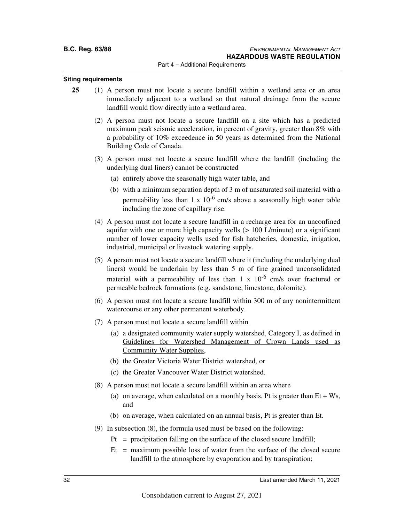**Siting requirements**

- **25** (1) A person must not locate a secure landfill within a wetland area or an area immediately adjacent to a wetland so that natural drainage from the secure landfill would flow directly into a wetland area.
	- (2) A person must not locate a secure landfill on a site which has a predicted maximum peak seismic acceleration, in percent of gravity, greater than 8% with a probability of 10% exceedence in 50 years as determined from the National Building Code of Canada.
	- (3) A person must not locate a secure landfill where the landfill (including the underlying dual liners) cannot be constructed
		- (a) entirely above the seasonally high water table, and
		- (b) with a minimum separation depth of 3 m of unsaturated soil material with a permeability less than 1 x  $10^{-6}$  cm/s above a seasonally high water table including the zone of capillary rise.
	- (4) A person must not locate a secure landfill in a recharge area for an unconfined aquifer with one or more high capacity wells (> 100 L/minute) or a significant number of lower capacity wells used for fish hatcheries, domestic, irrigation, industrial, municipal or livestock watering supply.
	- (5) A person must not locate a secure landfill where it (including the underlying dual liners) would be underlain by less than 5 m of fine grained unconsolidated material with a permeability of less than 1 x  $10^{-6}$  cm/s over fractured or permeable bedrock formations (e.g. sandstone, limestone, dolomite).
	- (6) A person must not locate a secure landfill within 300 m of any nonintermittent watercourse or any other permanent waterbody.
	- (7) A person must not locate a secure landfill within
		- (a) a designated community water supply watershed, Category I, as defined in Guidelines for Watershed Management of Crown Lands used as Community Water Supplies,
		- (b) the Greater Victoria Water District watershed, or
		- (c) the Greater Vancouver Water District watershed.
	- (8) A person must not locate a secure landfill within an area where
		- (a) on average, when calculated on a monthly basis, Pt is greater than  $Et + Ws$ , and
		- (b) on average, when calculated on an annual basis, Pt is greater than Et.
	- (9) In subsection (8), the formula used must be based on the following:
		- $Pt = precipitation falling on the surface of the closed secure landfill;$
		- $Et =$  maximum possible loss of water from the surface of the closed secure landfill to the atmosphere by evaporation and by transpiration;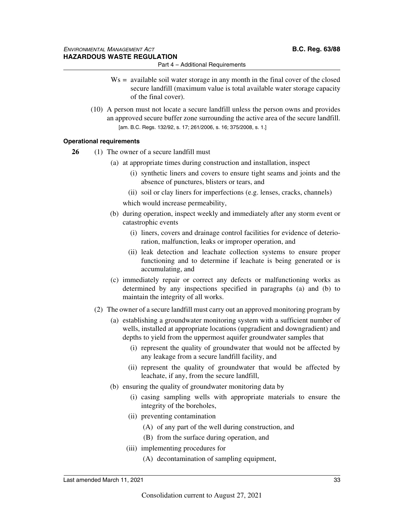- W<sub>s</sub> = available soil water storage in any month in the final cover of the closed secure landfill (maximum value is total available water storage capacity of the final cover).
- (10) A person must not locate a secure landfill unless the person owns and provides an approved secure buffer zone surrounding the active area of the secure landfill. [am. B.C. Regs. 132/92, s. 17; 261/2006, s. 16; 375/2008, s. 1.]

#### **Operational requirements**

- **26** (1) The owner of a secure landfill must
	- (a) at appropriate times during construction and installation, inspect
		- (i) synthetic liners and covers to ensure tight seams and joints and the absence of punctures, blisters or tears, and
		- (ii) soil or clay liners for imperfections (e.g. lenses, cracks, channels)

which would increase permeability,

- (b) during operation, inspect weekly and immediately after any storm event or catastrophic events
	- (i) liners, covers and drainage control facilities for evidence of deterioration, malfunction, leaks or improper operation, and
	- (ii) leak detection and leachate collection systems to ensure proper functioning and to determine if leachate is being generated or is accumulating, and
- (c) immediately repair or correct any defects or malfunctioning works as determined by any inspections specified in paragraphs (a) and (b) to maintain the integrity of all works.
- (2) The owner of a secure landfill must carry out an approved monitoring program by
	- (a) establishing a groundwater monitoring system with a sufficient number of wells, installed at appropriate locations (upgradient and downgradient) and depths to yield from the uppermost aquifer groundwater samples that
		- (i) represent the quality of groundwater that would not be affected by any leakage from a secure landfill facility, and
		- (ii) represent the quality of groundwater that would be affected by leachate, if any, from the secure landfill,
	- (b) ensuring the quality of groundwater monitoring data by
		- (i) casing sampling wells with appropriate materials to ensure the integrity of the boreholes,
		- (ii) preventing contamination
			- (A) of any part of the well during construction, and
			- (B) from the surface during operation, and
		- (iii) implementing procedures for
			- (A) decontamination of sampling equipment,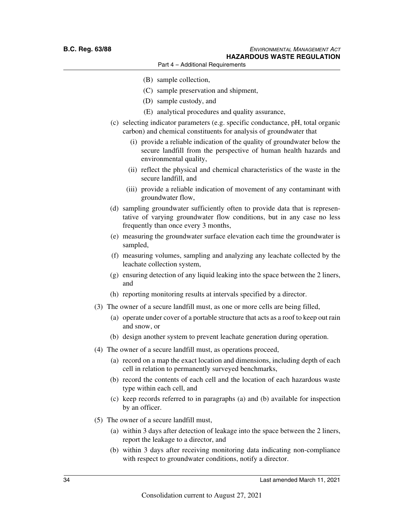- (B) sample collection,
- (C) sample preservation and shipment,
- (D) sample custody, and
- (E) analytical procedures and quality assurance,
- (c) selecting indicator parameters (e.g. specific conductance, pH, total organic carbon) and chemical constituents for analysis of groundwater that
	- (i) provide a reliable indication of the quality of groundwater below the secure landfill from the perspective of human health hazards and environmental quality,
	- (ii) reflect the physical and chemical characteristics of the waste in the secure landfill, and
	- (iii) provide a reliable indication of movement of any contaminant with groundwater flow,
- (d) sampling groundwater sufficiently often to provide data that is representative of varying groundwater flow conditions, but in any case no less frequently than once every 3 months,
- (e) measuring the groundwater surface elevation each time the groundwater is sampled,
- (f) measuring volumes, sampling and analyzing any leachate collected by the leachate collection system,
- (g) ensuring detection of any liquid leaking into the space between the 2 liners, and
- (h) reporting monitoring results at intervals specified by a director.
- (3) The owner of a secure landfill must, as one or more cells are being filled,
	- (a) operate under cover of a portable structure that acts as a roof to keep out rain and snow, or
	- (b) design another system to prevent leachate generation during operation.
- (4) The owner of a secure landfill must, as operations proceed,
	- (a) record on a map the exact location and dimensions, including depth of each cell in relation to permanently surveyed benchmarks,
	- (b) record the contents of each cell and the location of each hazardous waste type within each cell, and
	- (c) keep records referred to in paragraphs (a) and (b) available for inspection by an officer.
- (5) The owner of a secure landfill must,
	- (a) within 3 days after detection of leakage into the space between the 2 liners, report the leakage to a director, and
	- (b) within 3 days after receiving monitoring data indicating non-compliance with respect to groundwater conditions, notify a director.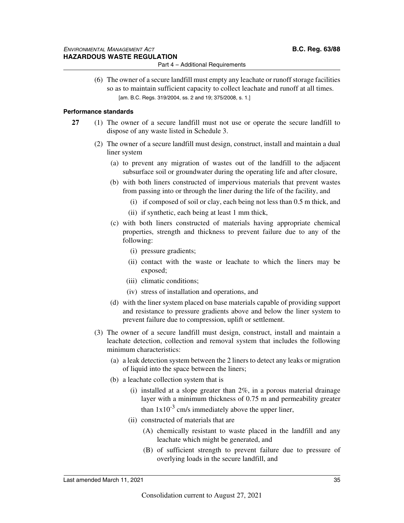(6) The owner of a secure landfill must empty any leachate or runoff storage facilities so as to maintain sufficient capacity to collect leachate and runoff at all times. [am. B.C. Regs. 319/2004, ss. 2 and 19; 375/2008, s. 1.]

# **Performance standards**

- **27** (1) The owner of a secure landfill must not use or operate the secure landfill to dispose of any waste listed in Schedule 3.
	- (2) The owner of a secure landfill must design, construct, install and maintain a dual liner system
		- (a) to prevent any migration of wastes out of the landfill to the adjacent subsurface soil or groundwater during the operating life and after closure,
		- (b) with both liners constructed of impervious materials that prevent wastes from passing into or through the liner during the life of the facility, and
			- (i) if composed of soil or clay, each being not less than 0.5 m thick, and
			- (ii) if synthetic, each being at least 1 mm thick,
		- (c) with both liners constructed of materials having appropriate chemical properties, strength and thickness to prevent failure due to any of the following:
			- (i) pressure gradients;
			- (ii) contact with the waste or leachate to which the liners may be exposed;
			- (iii) climatic conditions;
			- (iv) stress of installation and operations, and
		- (d) with the liner system placed on base materials capable of providing support and resistance to pressure gradients above and below the liner system to prevent failure due to compression, uplift or settlement.
	- (3) The owner of a secure landfill must design, construct, install and maintain a leachate detection, collection and removal system that includes the following minimum characteristics:
		- (a) a leak detection system between the 2 liners to detect any leaks or migration of liquid into the space between the liners;
		- (b) a leachate collection system that is
			- (i) installed at a slope greater than 2%, in a porous material drainage layer with a minimum thickness of 0.75 m and permeability greater than  $1x10^{-3}$  cm/s immediately above the upper liner,
			- (ii) constructed of materials that are
				- (A) chemically resistant to waste placed in the landfill and any leachate which might be generated, and
				- (B) of sufficient strength to prevent failure due to pressure of overlying loads in the secure landfill, and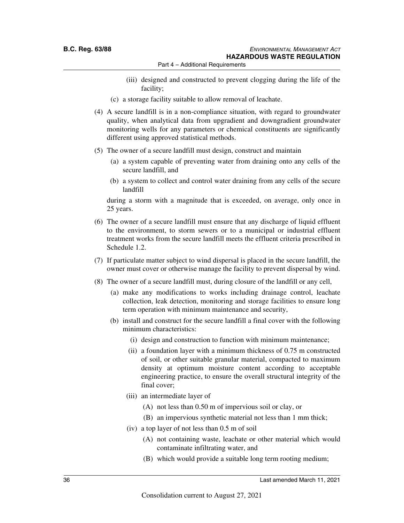- Part 4 Additional Requirements
- (iii) designed and constructed to prevent clogging during the life of the facility;
- (c) a storage facility suitable to allow removal of leachate.
- (4) A secure landfill is in a non-compliance situation, with regard to groundwater quality, when analytical data from upgradient and downgradient groundwater monitoring wells for any parameters or chemical constituents are significantly different using approved statistical methods.
- (5) The owner of a secure landfill must design, construct and maintain
	- (a) a system capable of preventing water from draining onto any cells of the secure landfill, and
	- (b) a system to collect and control water draining from any cells of the secure landfill

during a storm with a magnitude that is exceeded, on average, only once in 25 years.

- (6) The owner of a secure landfill must ensure that any discharge of liquid effluent to the environment, to storm sewers or to a municipal or industrial effluent treatment works from the secure landfill meets the effluent criteria prescribed in Schedule 1.2.
- (7) If particulate matter subject to wind dispersal is placed in the secure landfill, the owner must cover or otherwise manage the facility to prevent dispersal by wind.
- (8) The owner of a secure landfill must, during closure of the landfill or any cell,
	- (a) make any modifications to works including drainage control, leachate collection, leak detection, monitoring and storage facilities to ensure long term operation with minimum maintenance and security,
	- (b) install and construct for the secure landfill a final cover with the following minimum characteristics:
		- (i) design and construction to function with minimum maintenance;
		- (ii) a foundation layer with a minimum thickness of 0.75 m constructed of soil, or other suitable granular material, compacted to maximum density at optimum moisture content according to acceptable engineering practice, to ensure the overall structural integrity of the final cover;
		- (iii) an intermediate layer of
			- (A) not less than 0.50 m of impervious soil or clay, or
			- (B) an impervious synthetic material not less than 1 mm thick;
		- (iv) a top layer of not less than 0.5 m of soil
			- (A) not containing waste, leachate or other material which would contaminate infiltrating water, and
			- (B) which would provide a suitable long term rooting medium;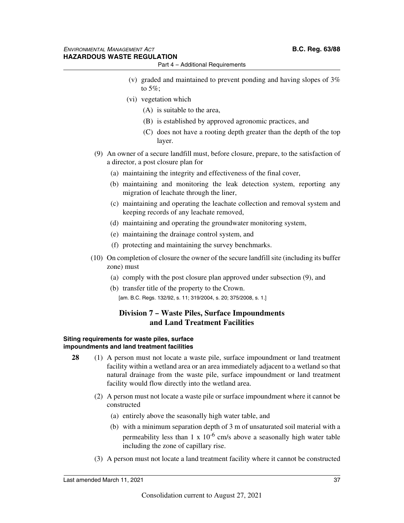- (v) graded and maintained to prevent ponding and having slopes of 3% to 5%;
- (vi) vegetation which
	- (A) is suitable to the area,
	- (B) is established by approved agronomic practices, and
	- (C) does not have a rooting depth greater than the depth of the top layer.
- (9) An owner of a secure landfill must, before closure, prepare, to the satisfaction of a director, a post closure plan for
	- (a) maintaining the integrity and effectiveness of the final cover,
	- (b) maintaining and monitoring the leak detection system, reporting any migration of leachate through the liner,
	- (c) maintaining and operating the leachate collection and removal system and keeping records of any leachate removed,
	- (d) maintaining and operating the groundwater monitoring system,
	- (e) maintaining the drainage control system, and
	- (f) protecting and maintaining the survey benchmarks.
- (10) On completion of closure the owner of the secure landfill site (including its buffer zone) must
	- (a) comply with the post closure plan approved under subsection (9), and
	- (b) transfer title of the property to the Crown. [am. B.C. Regs. 132/92, s. 11; 319/2004, s. 20; 375/2008, s. 1.]

# **Division 7 – Waste Piles, Surface Impoundments and Land Treatment Facilities**

#### **Siting requirements for waste piles, surface impoundments and land treatment facilities**

- **28** (1) A person must not locate a waste pile, surface impoundment or land treatment facility within a wetland area or an area immediately adjacent to a wetland so that natural drainage from the waste pile, surface impoundment or land treatment facility would flow directly into the wetland area.
	- (2) A person must not locate a waste pile or surface impoundment where it cannot be constructed
		- (a) entirely above the seasonally high water table, and
		- (b) with a minimum separation depth of 3 m of unsaturated soil material with a permeability less than 1 x  $10^{-6}$  cm/s above a seasonally high water table including the zone of capillary rise.
	- (3) A person must not locate a land treatment facility where it cannot be constructed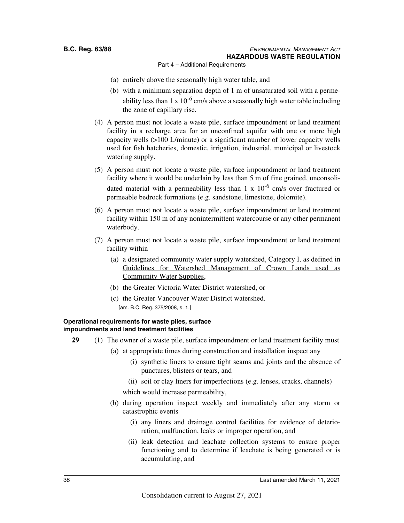- (a) entirely above the seasonally high water table, and
- (b) with a minimum separation depth of 1 m of unsaturated soil with a permeability less than 1 x  $10^{-6}$  cm/s above a seasonally high water table including the zone of capillary rise.
- (4) A person must not locate a waste pile, surface impoundment or land treatment facility in a recharge area for an unconfined aquifer with one or more high capacity wells (>100 L/minute) or a significant number of lower capacity wells used for fish hatcheries, domestic, irrigation, industrial, municipal or livestock watering supply.
- (5) A person must not locate a waste pile, surface impoundment or land treatment facility where it would be underlain by less than 5 m of fine grained, unconsolidated material with a permeability less than 1 x  $10^{-6}$  cm/s over fractured or permeable bedrock formations (e.g. sandstone, limestone, dolomite).
- (6) A person must not locate a waste pile, surface impoundment or land treatment facility within 150 m of any nonintermittent watercourse or any other permanent waterbody.
- (7) A person must not locate a waste pile, surface impoundment or land treatment facility within
	- (a) a designated community water supply watershed, Category I, as defined in Guidelines for Watershed Management of Crown Lands used as Community Water Supplies,
	- (b) the Greater Victoria Water District watershed, or
	- (c) the Greater Vancouver Water District watershed. [am. B.C. Reg. 375/2008, s. 1.]

#### **Operational requirements for waste piles, surface impoundments and land treatment facilities**

- **29** (1) The owner of a waste pile, surface impoundment or land treatment facility must
	- (a) at appropriate times during construction and installation inspect any
		- (i) synthetic liners to ensure tight seams and joints and the absence of punctures, blisters or tears, and
		- (ii) soil or clay liners for imperfections (e.g. lenses, cracks, channels)

which would increase permeability,

- (b) during operation inspect weekly and immediately after any storm or catastrophic events
	- (i) any liners and drainage control facilities for evidence of deterioration, malfunction, leaks or improper operation, and
	- (ii) leak detection and leachate collection systems to ensure proper functioning and to determine if leachate is being generated or is accumulating, and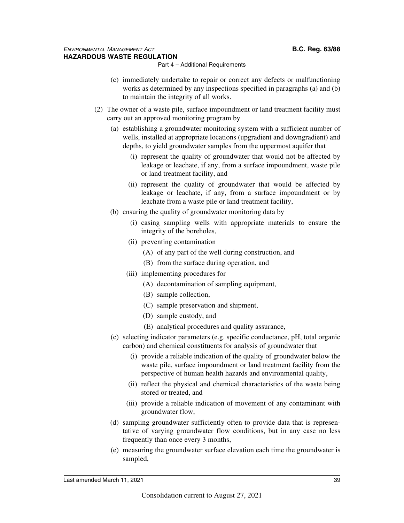- (c) immediately undertake to repair or correct any defects or malfunctioning works as determined by any inspections specified in paragraphs (a) and (b) to maintain the integrity of all works.
- (2) The owner of a waste pile, surface impoundment or land treatment facility must carry out an approved monitoring program by
	- (a) establishing a groundwater monitoring system with a sufficient number of wells, installed at appropriate locations (upgradient and downgradient) and depths, to yield groundwater samples from the uppermost aquifer that
		- (i) represent the quality of groundwater that would not be affected by leakage or leachate, if any, from a surface impoundment, waste pile or land treatment facility, and
		- (ii) represent the quality of groundwater that would be affected by leakage or leachate, if any, from a surface impoundment or by leachate from a waste pile or land treatment facility,
	- (b) ensuring the quality of groundwater monitoring data by
		- (i) casing sampling wells with appropriate materials to ensure the integrity of the boreholes,
		- (ii) preventing contamination
			- (A) of any part of the well during construction, and
			- (B) from the surface during operation, and
		- (iii) implementing procedures for
			- (A) decontamination of sampling equipment,
			- (B) sample collection,
			- (C) sample preservation and shipment,
			- (D) sample custody, and
			- (E) analytical procedures and quality assurance,
	- (c) selecting indicator parameters (e.g. specific conductance, pH, total organic carbon) and chemical constituents for analysis of groundwater that
		- (i) provide a reliable indication of the quality of groundwater below the waste pile, surface impoundment or land treatment facility from the perspective of human health hazards and environmental quality,
		- (ii) reflect the physical and chemical characteristics of the waste being stored or treated, and
		- (iii) provide a reliable indication of movement of any contaminant with groundwater flow,
	- (d) sampling groundwater sufficiently often to provide data that is representative of varying groundwater flow conditions, but in any case no less frequently than once every 3 months,
	- (e) measuring the groundwater surface elevation each time the groundwater is sampled,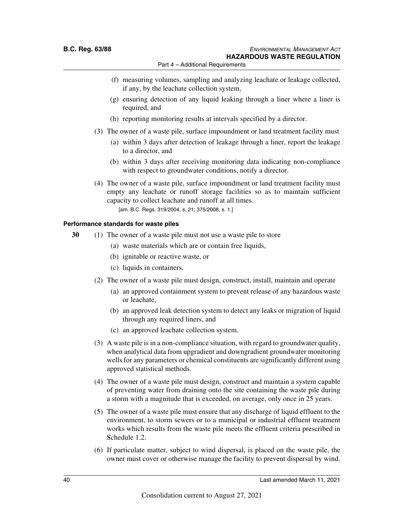- Part 4 Additional Requirements
- (f) measuring volumes, sampling and analyzing leachate or leakage collected, if any, by the leachate collection system,
- (g) ensuring detection of any liquid leaking through a liner where a liner is required, and
- (h) reporting monitoring results at intervals specified by a director.
- (3) The owner of a waste pile, surface impoundment or land treatment facility must
	- (a) within 3 days after detection of leakage through a liner, report the leakage to a director, and
	- (b) within 3 days after receiving monitoring data indicating non-compliance with respect to groundwater conditions, notify a director.
- (4) The owner of a waste pile, surface impoundment or land treatment facility must empty any leachate or runoff storage facilities so as to maintain sufficient capacity to collect leachate and runoff at all times.

[am. B.C. Regs. 319/2004, s. 21; 375/2008, s. 1.]

#### **Performance standards for waste piles**

- **30** (1) The owner of a waste pile must not use a waste pile to store
	- (a) waste materials which are or contain free liquids,
	- (b) ignitable or reactive waste, or
	- (c) liquids in containers.
	- (2) The owner of a waste pile must design, construct, install, maintain and operate
		- (a) an approved containment system to prevent release of any hazardous waste or leachate,
		- (b) an approved leak detection system to detect any leaks or migration of liquid through any required liners, and
		- (c) an approved leachate collection system.
	- (3) A waste pile is in a non-compliance situation, with regard to groundwater quality, when analytical data from upgradient and downgradient groundwater monitoring wells for any parameters or chemical constituents are significantly different using approved statistical methods.
	- (4) The owner of a waste pile must design, construct and maintain a system capable of preventing water from draining onto the site containing the waste pile during a storm with a magnitude that is exceeded, on average, only once in 25 years.
	- (5) The owner of a waste pile must ensure that any discharge of liquid effluent to the environment, to storm sewers or to a municipal or industrial effluent treatment works which results from the waste pile meets the effluent criteria prescribed in Schedule 1.2.
	- (6) If particulate matter, subject to wind dispersal, is placed on the waste pile, the owner must cover or otherwise manage the facility to prevent dispersal by wind.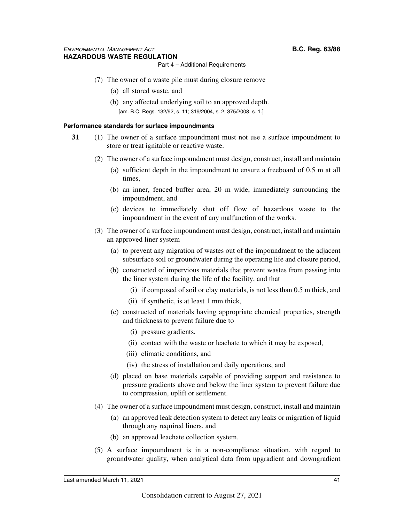- (7) The owner of a waste pile must during closure remove
	- (a) all stored waste, and
	- (b) any affected underlying soil to an approved depth. [am. B.C. Regs. 132/92, s. 11; 319/2004, s. 2; 375/2008, s. 1.]

#### **Performance standards for surface impoundments**

- **31** (1) The owner of a surface impoundment must not use a surface impoundment to store or treat ignitable or reactive waste.
	- (2) The owner of a surface impoundment must design, construct, install and maintain
		- (a) sufficient depth in the impoundment to ensure a freeboard of 0.5 m at all times,
		- (b) an inner, fenced buffer area, 20 m wide, immediately surrounding the impoundment, and
		- (c) devices to immediately shut off flow of hazardous waste to the impoundment in the event of any malfunction of the works.
	- (3) The owner of a surface impoundment must design, construct, install and maintain an approved liner system
		- (a) to prevent any migration of wastes out of the impoundment to the adjacent subsurface soil or groundwater during the operating life and closure period,
		- (b) constructed of impervious materials that prevent wastes from passing into the liner system during the life of the facility, and that
			- (i) if composed of soil or clay materials, is not less than 0.5 m thick, and
			- (ii) if synthetic, is at least 1 mm thick,
		- (c) constructed of materials having appropriate chemical properties, strength and thickness to prevent failure due to
			- (i) pressure gradients,
			- (ii) contact with the waste or leachate to which it may be exposed,
			- (iii) climatic conditions, and
			- (iv) the stress of installation and daily operations, and
		- (d) placed on base materials capable of providing support and resistance to pressure gradients above and below the liner system to prevent failure due to compression, uplift or settlement.
	- (4) The owner of a surface impoundment must design, construct, install and maintain
		- (a) an approved leak detection system to detect any leaks or migration of liquid through any required liners, and
		- (b) an approved leachate collection system.
	- (5) A surface impoundment is in a non-compliance situation, with regard to groundwater quality, when analytical data from upgradient and downgradient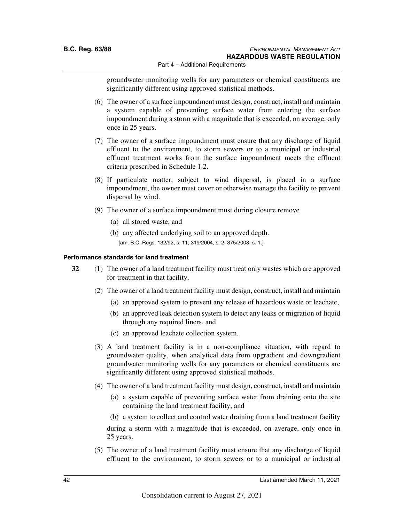groundwater monitoring wells for any parameters or chemical constituents are

significantly different using approved statistical methods.

(6) The owner of a surface impoundment must design, construct, install and maintain a system capable of preventing surface water from entering the surface impoundment during a storm with a magnitude that is exceeded, on average, only

- (7) The owner of a surface impoundment must ensure that any discharge of liquid effluent to the environment, to storm sewers or to a municipal or industrial effluent treatment works from the surface impoundment meets the effluent criteria prescribed in Schedule 1.2.
- (8) If particulate matter, subject to wind dispersal, is placed in a surface impoundment, the owner must cover or otherwise manage the facility to prevent dispersal by wind.
- (9) The owner of a surface impoundment must during closure remove
	- (a) all stored waste, and
	- (b) any affected underlying soil to an approved depth.
		- [am. B.C. Regs. 132/92, s. 11; 319/2004, s. 2; 375/2008, s. 1.]

# **Performance standards for land treatment**

once in 25 years.

- **32** (1) The owner of a land treatment facility must treat only wastes which are approved for treatment in that facility.
	- (2) The owner of a land treatment facility must design, construct, install and maintain
		- (a) an approved system to prevent any release of hazardous waste or leachate,
		- (b) an approved leak detection system to detect any leaks or migration of liquid through any required liners, and
		- (c) an approved leachate collection system.
	- (3) A land treatment facility is in a non-compliance situation, with regard to groundwater quality, when analytical data from upgradient and downgradient groundwater monitoring wells for any parameters or chemical constituents are significantly different using approved statistical methods.
	- (4) The owner of a land treatment facility must design, construct, install and maintain
		- (a) a system capable of preventing surface water from draining onto the site containing the land treatment facility, and
		- (b) a system to collect and control water draining from a land treatment facility

during a storm with a magnitude that is exceeded, on average, only once in 25 years.

(5) The owner of a land treatment facility must ensure that any discharge of liquid effluent to the environment, to storm sewers or to a municipal or industrial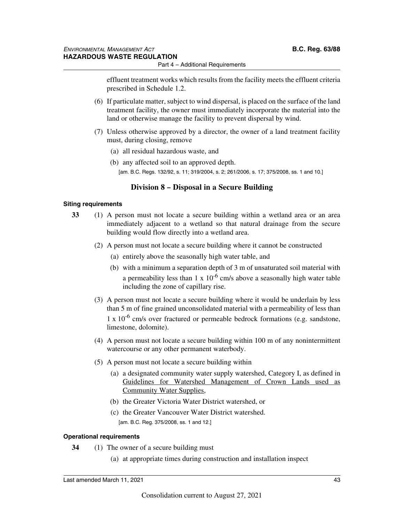effluent treatment works which results from the facility meets the effluent criteria prescribed in Schedule 1.2.

- (6) If particulate matter, subject to wind dispersal, is placed on the surface of the land treatment facility, the owner must immediately incorporate the material into the land or otherwise manage the facility to prevent dispersal by wind.
- (7) Unless otherwise approved by a director, the owner of a land treatment facility must, during closing, remove
	- (a) all residual hazardous waste, and
	- (b) any affected soil to an approved depth. [am. B.C. Regs. 132/92, s. 11; 319/2004, s. 2; 261/2006, s. 17; 375/2008, ss. 1 and 10.]

# **Division 8 – Disposal in a Secure Building**

# **Siting requirements**

- **33** (1) A person must not locate a secure building within a wetland area or an area immediately adjacent to a wetland so that natural drainage from the secure building would flow directly into a wetland area.
	- (2) A person must not locate a secure building where it cannot be constructed
		- (a) entirely above the seasonally high water table, and
		- (b) with a minimum a separation depth of 3 m of unsaturated soil material with a permeability less than 1 x  $10^{-6}$  cm/s above a seasonally high water table including the zone of capillary rise.
	- (3) A person must not locate a secure building where it would be underlain by less than 5 m of fine grained unconsolidated material with a permeability of less than  $1 \times 10^{-6}$  cm/s over fractured or permeable bedrock formations (e.g. sandstone, limestone, dolomite).
	- (4) A person must not locate a secure building within 100 m of any nonintermittent watercourse or any other permanent waterbody.
	- (5) A person must not locate a secure building within
		- (a) a designated community water supply watershed, Category I, as defined in Guidelines for Watershed Management of Crown Lands used as Community Water Supplies,
		- (b) the Greater Victoria Water District watershed, or
		- (c) the Greater Vancouver Water District watershed. [am. B.C. Reg. 375/2008, ss. 1 and 12.]

## **Operational requirements**

- **34** (1) The owner of a secure building must
	- (a) at appropriate times during construction and installation inspect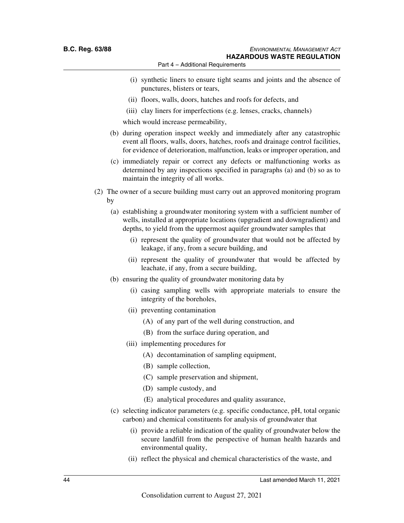- (i) synthetic liners to ensure tight seams and joints and the absence of punctures, blisters or tears,
- (ii) floors, walls, doors, hatches and roofs for defects, and
- (iii) clay liners for imperfections (e.g. lenses, cracks, channels)

which would increase permeability,

- (b) during operation inspect weekly and immediately after any catastrophic event all floors, walls, doors, hatches, roofs and drainage control facilities, for evidence of deterioration, malfunction, leaks or improper operation, and
- (c) immediately repair or correct any defects or malfunctioning works as determined by any inspections specified in paragraphs (a) and (b) so as to maintain the integrity of all works.
- (2) The owner of a secure building must carry out an approved monitoring program by
	- (a) establishing a groundwater monitoring system with a sufficient number of wells, installed at appropriate locations (upgradient and downgradient) and depths, to yield from the uppermost aquifer groundwater samples that
		- (i) represent the quality of groundwater that would not be affected by leakage, if any, from a secure building, and
		- (ii) represent the quality of groundwater that would be affected by leachate, if any, from a secure building,
	- (b) ensuring the quality of groundwater monitoring data by
		- (i) casing sampling wells with appropriate materials to ensure the integrity of the boreholes,
		- (ii) preventing contamination
			- (A) of any part of the well during construction, and
			- (B) from the surface during operation, and
		- (iii) implementing procedures for
			- (A) decontamination of sampling equipment,
			- (B) sample collection,
			- (C) sample preservation and shipment,
			- (D) sample custody, and
			- (E) analytical procedures and quality assurance,
	- (c) selecting indicator parameters (e.g. specific conductance, pH, total organic carbon) and chemical constituents for analysis of groundwater that
		- (i) provide a reliable indication of the quality of groundwater below the secure landfill from the perspective of human health hazards and environmental quality,
		- (ii) reflect the physical and chemical characteristics of the waste, and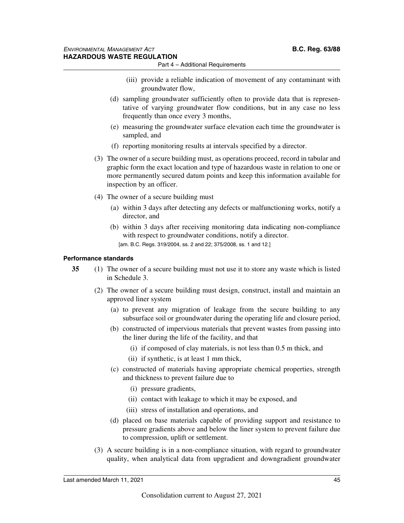- (iii) provide a reliable indication of movement of any contaminant with groundwater flow,
- (d) sampling groundwater sufficiently often to provide data that is representative of varying groundwater flow conditions, but in any case no less frequently than once every 3 months,
- (e) measuring the groundwater surface elevation each time the groundwater is sampled, and
- (f) reporting monitoring results at intervals specified by a director.
- (3) The owner of a secure building must, as operations proceed, record in tabular and graphic form the exact location and type of hazardous waste in relation to one or more permanently secured datum points and keep this information available for inspection by an officer.
- (4) The owner of a secure building must
	- (a) within 3 days after detecting any defects or malfunctioning works, notify a director, and
	- (b) within 3 days after receiving monitoring data indicating non-compliance with respect to groundwater conditions, notify a director. [am. B.C. Regs. 319/2004, ss. 2 and 22; 375/2008, ss. 1 and 12.]

#### **Performance standards**

- **35** (1) The owner of a secure building must not use it to store any waste which is listed in Schedule 3.
	- (2) The owner of a secure building must design, construct, install and maintain an approved liner system
		- (a) to prevent any migration of leakage from the secure building to any subsurface soil or groundwater during the operating life and closure period,
		- (b) constructed of impervious materials that prevent wastes from passing into the liner during the life of the facility, and that
			- (i) if composed of clay materials, is not less than 0.5 m thick, and
			- (ii) if synthetic, is at least 1 mm thick,
		- (c) constructed of materials having appropriate chemical properties, strength and thickness to prevent failure due to
			- (i) pressure gradients,
			- (ii) contact with leakage to which it may be exposed, and
			- (iii) stress of installation and operations, and
		- (d) placed on base materials capable of providing support and resistance to pressure gradients above and below the liner system to prevent failure due to compression, uplift or settlement.
	- (3) A secure building is in a non-compliance situation, with regard to groundwater quality, when analytical data from upgradient and downgradient groundwater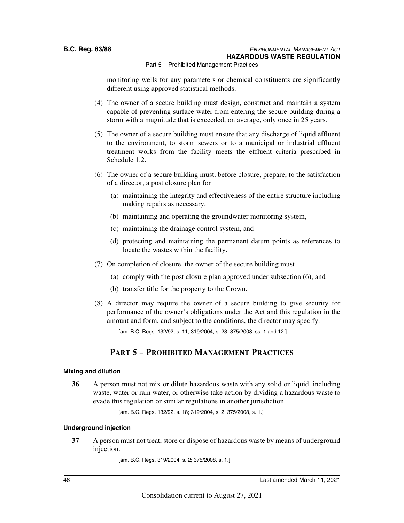monitoring wells for any parameters or chemical constituents are significantly different using approved statistical methods.

- (4) The owner of a secure building must design, construct and maintain a system capable of preventing surface water from entering the secure building during a storm with a magnitude that is exceeded, on average, only once in 25 years.
- (5) The owner of a secure building must ensure that any discharge of liquid effluent to the environment, to storm sewers or to a municipal or industrial effluent treatment works from the facility meets the effluent criteria prescribed in Schedule 1.2.
- (6) The owner of a secure building must, before closure, prepare, to the satisfaction of a director, a post closure plan for
	- (a) maintaining the integrity and effectiveness of the entire structure including making repairs as necessary,
	- (b) maintaining and operating the groundwater monitoring system,
	- (c) maintaining the drainage control system, and
	- (d) protecting and maintaining the permanent datum points as references to locate the wastes within the facility.
- (7) On completion of closure, the owner of the secure building must
	- (a) comply with the post closure plan approved under subsection (6), and
	- (b) transfer title for the property to the Crown.
- (8) A director may require the owner of a secure building to give security for performance of the owner's obligations under the Act and this regulation in the amount and form, and subject to the conditions, the director may specify.

[am. B.C. Regs. 132/92, s. 11; 319/2004, s. 23; 375/2008, ss. 1 and 12.]

# **PART 5 – PROHIBITED MANAGEMENT PRACTICES**

# **Mixing and dilution**

**36** A person must not mix or dilute hazardous waste with any solid or liquid, including waste, water or rain water, or otherwise take action by dividing a hazardous waste to evade this regulation or similar regulations in another jurisdiction.

[am. B.C. Regs. 132/92, s. 18; 319/2004, s. 2; 375/2008, s. 1.]

## **Underground injection**

**37** A person must not treat, store or dispose of hazardous waste by means of underground injection.

[am. B.C. Regs. 319/2004, s. 2; 375/2008, s. 1.]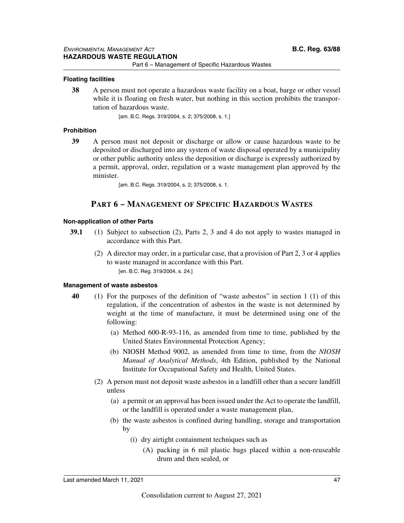Part 6 – Management of Specific Hazardous Wastes

## **Floating facilities**

**38** A person must not operate a hazardous waste facility on a boat, barge or other vessel while it is floating on fresh water, but nothing in this section prohibits the transportation of hazardous waste.

[am. B.C. Regs. 319/2004, s. 2; 375/2008, s. 1.]

# **Prohibition**

**39** A person must not deposit or discharge or allow or cause hazardous waste to be deposited or discharged into any system of waste disposal operated by a municipality or other public authority unless the deposition or discharge is expressly authorized by a permit, approval, order, regulation or a waste management plan approved by the minister.

[am. B.C. Regs. 319/2004, s. 2; 375/2008, s. 1.

# **PART 6 – MANAGEMENT OF SPECIFIC HAZARDOUS WASTES**

# **Non-application of other Parts**

- **39.1** (1) Subject to subsection (2), Parts 2, 3 and 4 do not apply to wastes managed in accordance with this Part.
	- (2) A director may order, in a particular case, that a provision of Part 2, 3 or 4 applies to waste managed in accordance with this Part. [en. B.C. Reg. 319/2004, s. 24.]

## **Management of waste asbestos**

- **40** (1) For the purposes of the definition of "waste asbestos" in section 1 (1) of this regulation, if the concentration of asbestos in the waste is not determined by weight at the time of manufacture, it must be determined using one of the following:
	- (a) Method 600-R-93-116, as amended from time to time, published by the United States Environmental Protection Agency;
	- (b) NIOSH Method 9002, as amended from time to time, from the *NIOSH Manual of Analytical Methods*, 4th Edition, published by the National Institute for Occupational Safety and Health, United States.
	- (2) A person must not deposit waste asbestos in a landfill other than a secure landfill unless
		- (a) a permit or an approval has been issued under the Act to operate the landfill, or the landfill is operated under a waste management plan,
		- (b) the waste asbestos is confined during handling, storage and transportation by
			- (i) dry airtight containment techniques such as
				- (A) packing in 6 mil plastic bags placed within a non-reuseable drum and then sealed, or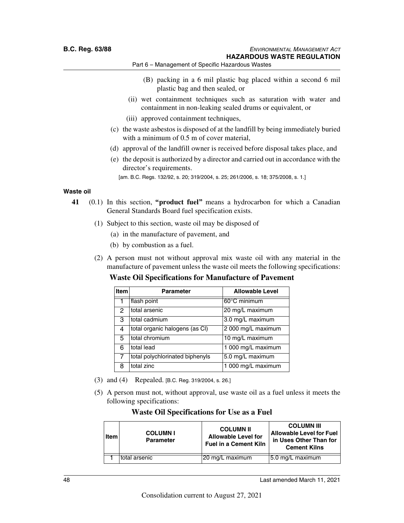- (B) packing in a 6 mil plastic bag placed within a second 6 mil
- plastic bag and then sealed, or (ii) wet containment techniques such as saturation with water and containment in non-leaking sealed drums or equivalent, or
- (iii) approved containment techniques,
- (c) the waste asbestos is disposed of at the landfill by being immediately buried with a minimum of  $0.5$  m of cover material,
- (d) approval of the landfill owner is received before disposal takes place, and
- (e) the deposit is authorized by a director and carried out in accordance with the director's requirements.

# **Waste oil**

- **41** (0.1) In this section, **"product fuel"** means a hydrocarbon for which a Canadian General Standards Board fuel specification exists.
	- (1) Subject to this section, waste oil may be disposed of
		- (a) in the manufacture of pavement, and
		- (b) by combustion as a fuel.
	- (2) A person must not without approval mix waste oil with any material in the manufacture of pavement unless the waste oil meets the following specifications:

**Waste Oil Specifications for Manufacture of Pavement**

| Item | <b>Parameter</b>                | <b>Allowable Level</b> |
|------|---------------------------------|------------------------|
|      | flash point                     | 60°C minimum           |
| 2    | total arsenic                   | 20 mg/L maximum        |
| 3    | total cadmium                   | 3.0 mg/L maximum       |
| 4    | total organic halogens (as CI)  | 2 000 mg/L maximum     |
| 5    | total chromium                  | 10 mg/L maximum        |
| 6    | total lead                      | 1 000 mg/L maximum     |
| 7    | total polychlorinated biphenyls | 5.0 mg/L maximum       |
| 8    | total zinc                      | 1 000 mg/L maximum     |

- (3) and (4) Repealed. [B.C. Reg. 319/2004, s. 26.]
- (5) A person must not, without approval, use waste oil as a fuel unless it meets the following specifications:

| <b>Item</b> | <b>COLUMNI</b><br><b>Parameter</b> | <b>COLUMN II</b><br><b>Allowable Level for</b><br><b>Fuel in a Cement Kiln</b> | <b>COLUMN III</b><br><b>Allowable Level for Fuel</b><br>in Uses Other Than for<br><b>Cement Kilns</b> |
|-------------|------------------------------------|--------------------------------------------------------------------------------|-------------------------------------------------------------------------------------------------------|
|             | total arsenic                      | 120 mg/L maximum                                                               | 5.0 mg/L maximum                                                                                      |

# **Waste Oil Specifications for Use as a Fuel**

<sup>[</sup>am. B.C. Regs. 132/92, s. 20; 319/2004, s. 25; 261/2006, s. 18; 375/2008, s. 1.]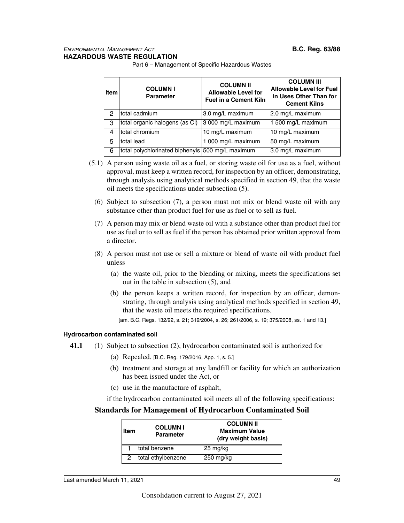# *ENVIRONMENTAL MANAGEMENT ACT* **B.C. Reg. 63/88 HAZARDOUS WASTE REGULATION**

| Item | <b>COLUMN I</b><br><b>Parameter</b>              | <b>COLUMN II</b><br><b>Allowable Level for</b><br><b>Fuel in a Cement Kiln</b> | <b>COLUMN III</b><br><b>Allowable Level for Fuel</b><br>in Uses Other Than for<br><b>Cement Kilns</b> |
|------|--------------------------------------------------|--------------------------------------------------------------------------------|-------------------------------------------------------------------------------------------------------|
| 2    | total cadmium                                    | 3.0 mg/L maximum                                                               | 2.0 mg/L maximum                                                                                      |
| 3    | total organic halogens (as CI)                   | 3 000 mg/L maximum                                                             | 1 500 mg/L maximum                                                                                    |
| 4    | total chromium                                   | 10 mg/L maximum                                                                | 10 mg/L maximum                                                                                       |
| 5    | total lead                                       | 1 000 mg/L maximum                                                             | 50 mg/L maximum                                                                                       |
| 6    | total polychlorinated biphenyls 500 mg/L maximum |                                                                                | 3.0 mg/L maximum                                                                                      |

Part 6 – Management of Specific Hazardous Wastes

- (5.1) A person using waste oil as a fuel, or storing waste oil for use as a fuel, without approval, must keep a written record, for inspection by an officer, demonstrating, through analysis using analytical methods specified in section 49, that the waste oil meets the specifications under subsection (5).
	- (6) Subject to subsection (7), a person must not mix or blend waste oil with any substance other than product fuel for use as fuel or to sell as fuel.
	- (7) A person may mix or blend waste oil with a substance other than product fuel for use as fuel or to sell as fuel if the person has obtained prior written approval from a director.
	- (8) A person must not use or sell a mixture or blend of waste oil with product fuel unless
		- (a) the waste oil, prior to the blending or mixing, meets the specifications set out in the table in subsection (5), and
		- (b) the person keeps a written record, for inspection by an officer, demonstrating, through analysis using analytical methods specified in section 49, that the waste oil meets the required specifications.

[am. B.C. Regs. 132/92, s. 21; 319/2004, s. 26; 261/2006, s. 19; 375/2008, ss. 1 and 13.]

## **Hydrocarbon contaminated soil**

- **41.1** (1) Subject to subsection (2), hydrocarbon contaminated soil is authorized for
	- (a) Repealed. [B.C. Reg. 179/2016, App. 1, s. 5.]
	- (b) treatment and storage at any landfill or facility for which an authorization has been issued under the Act, or
	- (c) use in the manufacture of asphalt,

if the hydrocarbon contaminated soil meets all of the following specifications:

# **Standards for Management of Hydrocarbon Contaminated Soil**

| ltem | <b>COLUMN I</b><br><b>Parameter</b> | <b>COLUMN II</b><br><b>Maximum Value</b><br>(dry weight basis) |
|------|-------------------------------------|----------------------------------------------------------------|
|      | total benzene                       | $25 \text{ mg/kg}$                                             |
| 2    | total ethylbenzene                  | 250 mg/kg                                                      |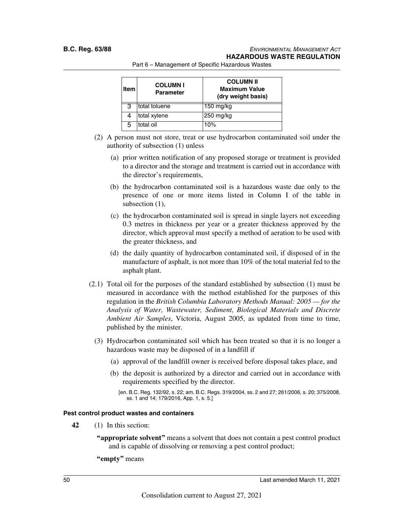## **B.C. Reg. 63/88** *ENVIRONMENTAL MANAGEMENT ACT* **HAZARDOUS WASTE REGULATION**

| ltem | <b>COLUMNI</b><br><b>Parameter</b> | <b>COLUMN II</b><br><b>Maximum Value</b><br>(dry weight basis) |
|------|------------------------------------|----------------------------------------------------------------|
| з    | total toluene                      | 150 mg/kg                                                      |
|      | total xylene                       | 250 mg/kg                                                      |
| 5    | total oil                          | 10%                                                            |

Part 6 – Management of Specific Hazardous Wastes

- (2) A person must not store, treat or use hydrocarbon contaminated soil under the authority of subsection (1) unless
	- (a) prior written notification of any proposed storage or treatment is provided to a director and the storage and treatment is carried out in accordance with the director's requirements,
	- (b) the hydrocarbon contaminated soil is a hazardous waste due only to the presence of one or more items listed in Column I of the table in subsection (1),
	- (c) the hydrocarbon contaminated soil is spread in single layers not exceeding 0.3 metres in thickness per year or a greater thickness approved by the director, which approval must specify a method of aeration to be used with the greater thickness, and
	- (d) the daily quantity of hydrocarbon contaminated soil, if disposed of in the manufacture of asphalt, is not more than 10% of the total material fed to the asphalt plant.
- (2.1) Total oil for the purposes of the standard established by subsection (1) must be measured in accordance with the method established for the purposes of this regulation in the *British Columbia Laboratory Methods Manual: 2005 — for the Analysis of Water, Wastewater, Sediment, Biological Materials and Discrete Ambient Air Samples*, Victoria, August 2005, as updated from time to time, published by the minister.
	- (3) Hydrocarbon contaminated soil which has been treated so that it is no longer a hazardous waste may be disposed of in a landfill if
		- (a) approval of the landfill owner is received before disposal takes place, and
		- (b) the deposit is authorized by a director and carried out in accordance with requirements specified by the director.
			- [en. B.C. Reg. 132/92, s. 22; am. B.C. Regs. 319/2004, ss. 2 and 27; 261/2006, s. 20; 375/2008, ss. 1 and 14; 179/2016, App. 1, s. 5.]

#### **Pest control product wastes and containers**

- **42** (1) In this section:
	- **"appropriate solvent"** means a solvent that does not contain a pest control product and is capable of dissolving or removing a pest control product;

**"empty"** means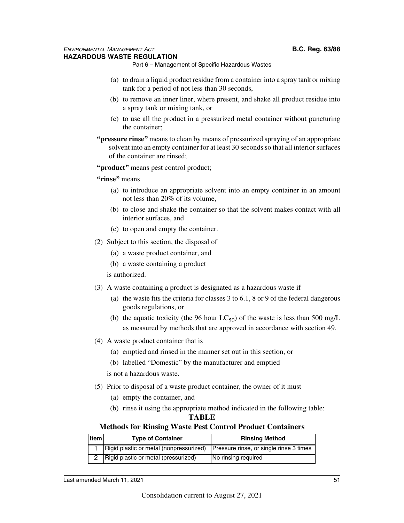Part 6 – Management of Specific Hazardous Wastes

- (a) to drain a liquid product residue from a container into a spray tank or mixing tank for a period of not less than 30 seconds,
- (b) to remove an inner liner, where present, and shake all product residue into a spray tank or mixing tank, or
- (c) to use all the product in a pressurized metal container without puncturing the container;
- **"pressure rinse"** means to clean by means of pressurized spraying of an appropriate solvent into an empty container for at least 30 seconds so that all interior surfaces of the container are rinsed;

**"product"** means pest control product;

## **"rinse"** means

- (a) to introduce an appropriate solvent into an empty container in an amount not less than 20% of its volume,
- (b) to close and shake the container so that the solvent makes contact with all interior surfaces, and
- (c) to open and empty the container.
- (2) Subject to this section, the disposal of
	- (a) a waste product container, and
	- (b) a waste containing a product

is authorized.

- (3) A waste containing a product is designated as a hazardous waste if
	- (a) the waste fits the criteria for classes 3 to 6.1, 8 or 9 of the federal dangerous goods regulations, or
	- (b) the aquatic toxicity (the 96 hour  $LC_{50}$ ) of the waste is less than 500 mg/L as measured by methods that are approved in accordance with section 49.
- (4) A waste product container that is
	- (a) emptied and rinsed in the manner set out in this section, or
	- (b) labelled "Domestic" by the manufacturer and emptied

is not a hazardous waste.

- (5) Prior to disposal of a waste product container, the owner of it must
	- (a) empty the container, and
	- (b) rinse it using the appropriate method indicated in the following table:

|  |  | . .<br>ונ<br>. . |  |
|--|--|------------------|--|
|--|--|------------------|--|

# **Methods for Rinsing Waste Pest Control Product Containers**

| Item | <b>Type of Container</b>                                                               | <b>Rinsing Method</b> |
|------|----------------------------------------------------------------------------------------|-----------------------|
|      | <b>Rigid plastic or metal (nonpressurized) Pressure rinse, or single rinse 3 times</b> |                       |
|      | Rigid plastic or metal (pressurized)                                                   | No rinsing required   |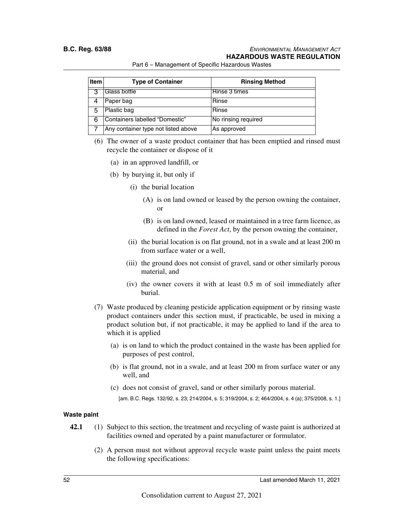#### **B.C. Reg. 63/88** *ENVIRONMENTAL MANAGEMENT ACT* **HAZARDOUS WASTE REGULATION**

| <b>Item</b> | <b>Type of Container</b>            | <b>Rinsing Method</b> |
|-------------|-------------------------------------|-----------------------|
|             | Glass bottle                        | Rinse 3 times         |
|             | Paper bag                           | <b>Rinse</b>          |
| 5           | Plastic bag                         | <b>Rinse</b>          |
| 6           | Containers labelled "Domestic"      | No rinsing required   |
|             | Any container type not listed above | As approved           |

Part 6 – Management of Specific Hazardous Wastes

- (6) The owner of a waste product container that has been emptied and rinsed must recycle the container or dispose of it
	- (a) in an approved landfill, or
	- (b) by burying it, but only if
		- (i) the burial location
			- (A) is on land owned or leased by the person owning the container, or
			- (B) is on land owned, leased or maintained in a tree farm licence, as defined in the *Forest Act*, by the person owning the container,
		- (ii) the burial location is on flat ground, not in a swale and at least 200 m from surface water or a well,
		- (iii) the ground does not consist of gravel, sand or other similarly porous material, and
		- (iv) the owner covers it with at least 0.5 m of soil immediately after burial.
- (7) Waste produced by cleaning pesticide application equipment or by rinsing waste product containers under this section must, if practicable, be used in mixing a product solution but, if not practicable, it may be applied to land if the area to which it is applied
	- (a) is on land to which the product contained in the waste has been applied for purposes of pest control,
	- (b) is flat ground, not in a swale, and at least 200 m from surface water or any well, and
	- (c) does not consist of gravel, sand or other similarly porous material.

[am. B.C. Regs. 132/92, s. 23; 214/2004, s. 5; 319/2004, s. 2; 464/2004, s. 4 (a); 375/2008, s. 1.]

## **Waste paint**

- **42.1** (1) Subject to this section, the treatment and recycling of waste paint is authorized at facilities owned and operated by a paint manufacturer or formulator.
	- (2) A person must not without approval recycle waste paint unless the paint meets the following specifications: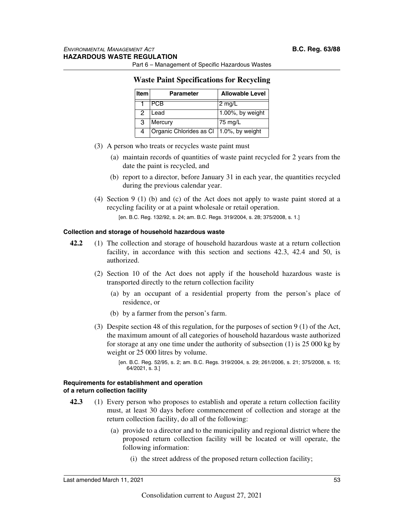Part 6 – Management of Specific Hazardous Wastes

# **Waste Paint Specifications for Recycling**

| Item | <b>Parameter</b>                          | <b>Allowable Level</b> |
|------|-------------------------------------------|------------------------|
|      | PCB                                       | $2 \text{ mg/L}$       |
| 2    | Lead                                      | 1.00%, by weight       |
| 3    | Mercury                                   | 75 mg/L                |
|      | Organic Chlorides as CI   1.0%, by weight |                        |

- (3) A person who treats or recycles waste paint must
	- (a) maintain records of quantities of waste paint recycled for 2 years from the date the paint is recycled, and
	- (b) report to a director, before January 31 in each year, the quantities recycled during the previous calendar year.
- (4) Section 9 (1) (b) and (c) of the Act does not apply to waste paint stored at a recycling facility or at a paint wholesale or retail operation. [en. B.C. Reg. 132/92, s. 24; am. B.C. Regs. 319/2004, s. 28; 375/2008, s. 1.]

# **Collection and storage of household hazardous waste**

- **42.2** (1) The collection and storage of household hazardous waste at a return collection facility, in accordance with this section and sections 42.3, 42.4 and 50, is authorized.
	- (2) Section 10 of the Act does not apply if the household hazardous waste is transported directly to the return collection facility
		- (a) by an occupant of a residential property from the person's place of residence, or
		- (b) by a farmer from the person's farm.
	- (3) Despite section 48 of this regulation, for the purposes of section 9 (1) of the Act, the maximum amount of all categories of household hazardous waste authorized for storage at any one time under the authority of subsection (1) is 25 000 kg by weight or 25 000 litres by volume.

#### **Requirements for establishment and operation of a return collection facility**

- **42.3** (1) Every person who proposes to establish and operate a return collection facility must, at least 30 days before commencement of collection and storage at the return collection facility, do all of the following:
	- (a) provide to a director and to the municipality and regional district where the proposed return collection facility will be located or will operate, the following information:
		- (i) the street address of the proposed return collection facility;

<sup>[</sup>en. B.C. Reg. 52/95, s. 2; am. B.C. Regs. 319/2004, s. 29; 261/2006, s. 21; 375/2008, s. 15; 64/2021, s. 3.]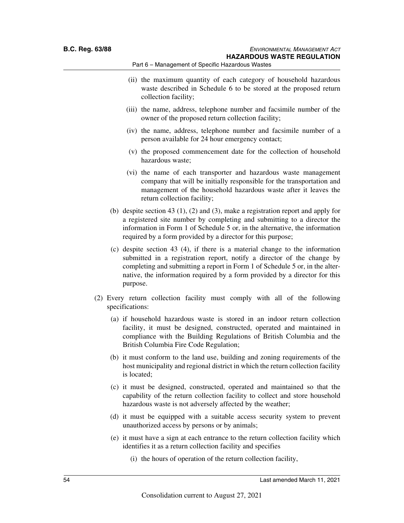- Part 6 Management of Specific Hazardous Wastes
- (ii) the maximum quantity of each category of household hazardous waste described in Schedule 6 to be stored at the proposed return collection facility;
- (iii) the name, address, telephone number and facsimile number of the owner of the proposed return collection facility;
- (iv) the name, address, telephone number and facsimile number of a person available for 24 hour emergency contact;
- (v) the proposed commencement date for the collection of household hazardous waste;
- (vi) the name of each transporter and hazardous waste management company that will be initially responsible for the transportation and management of the household hazardous waste after it leaves the return collection facility;
- (b) despite section 43 (1), (2) and (3), make a registration report and apply for a registered site number by completing and submitting to a director the information in Form 1 of Schedule 5 or, in the alternative, the information required by a form provided by a director for this purpose;
- (c) despite section 43 (4), if there is a material change to the information submitted in a registration report, notify a director of the change by completing and submitting a report in Form 1 of Schedule 5 or, in the alternative, the information required by a form provided by a director for this purpose.
- (2) Every return collection facility must comply with all of the following specifications:
	- (a) if household hazardous waste is stored in an indoor return collection facility, it must be designed, constructed, operated and maintained in compliance with the Building Regulations of British Columbia and the British Columbia Fire Code Regulation;
	- (b) it must conform to the land use, building and zoning requirements of the host municipality and regional district in which the return collection facility is located;
	- (c) it must be designed, constructed, operated and maintained so that the capability of the return collection facility to collect and store household hazardous waste is not adversely affected by the weather;
	- (d) it must be equipped with a suitable access security system to prevent unauthorized access by persons or by animals;
	- (e) it must have a sign at each entrance to the return collection facility which identifies it as a return collection facility and specifies
		- (i) the hours of operation of the return collection facility,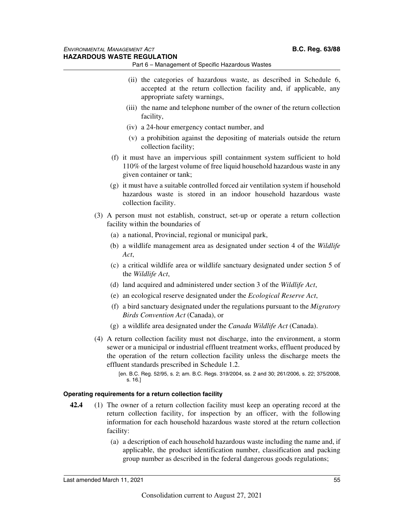Part 6 – Management of Specific Hazardous Wastes

- (ii) the categories of hazardous waste, as described in Schedule 6, accepted at the return collection facility and, if applicable, any appropriate safety warnings,
- (iii) the name and telephone number of the owner of the return collection facility,
- (iv) a 24-hour emergency contact number, and
- (v) a prohibition against the depositing of materials outside the return collection facility;
- (f) it must have an impervious spill containment system sufficient to hold 110% of the largest volume of free liquid household hazardous waste in any given container or tank;
- (g) it must have a suitable controlled forced air ventilation system if household hazardous waste is stored in an indoor household hazardous waste collection facility.
- (3) A person must not establish, construct, set-up or operate a return collection facility within the boundaries of
	- (a) a national, Provincial, regional or municipal park,
	- (b) a wildlife management area as designated under section 4 of the *Wildlife Act*,
	- (c) a critical wildlife area or wildlife sanctuary designated under section 5 of the *Wildlife Act*,
	- (d) land acquired and administered under section 3 of the *Wildlife Act*,
	- (e) an ecological reserve designated under the *Ecological Reserve Act*,
	- (f) a bird sanctuary designated under the regulations pursuant to the *Migratory Birds Convention Act* (Canada), or
	- (g) a wildlife area designated under the *Canada Wildlife Act* (Canada).
- (4) A return collection facility must not discharge, into the environment, a storm sewer or a municipal or industrial effluent treatment works, effluent produced by the operation of the return collection facility unless the discharge meets the effluent standards prescribed in Schedule 1.2.

## **Operating requirements for a return collection facility**

- **42.4** (1) The owner of a return collection facility must keep an operating record at the return collection facility, for inspection by an officer, with the following information for each household hazardous waste stored at the return collection facility:
	- (a) a description of each household hazardous waste including the name and, if applicable, the product identification number, classification and packing group number as described in the federal dangerous goods regulations;

<sup>[</sup>en. B.C. Reg. 52/95, s. 2; am. B.C. Regs. 319/2004, ss. 2 and 30; 261/2006, s. 22; 375/2008, s. 16.]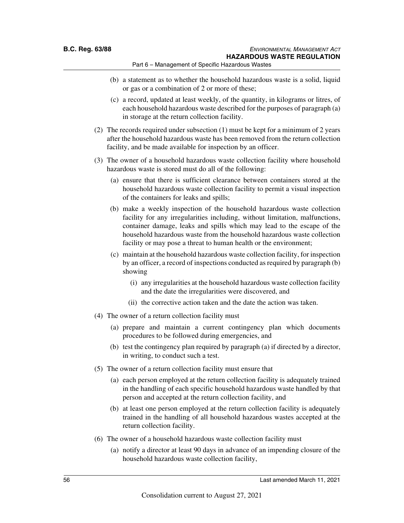- (b) a statement as to whether the household hazardous waste is a solid, liquid or gas or a combination of 2 or more of these;
- (c) a record, updated at least weekly, of the quantity, in kilograms or litres, of each household hazardous waste described for the purposes of paragraph (a) in storage at the return collection facility.
- (2) The records required under subsection (1) must be kept for a minimum of 2 years after the household hazardous waste has been removed from the return collection facility, and be made available for inspection by an officer.
- (3) The owner of a household hazardous waste collection facility where household hazardous waste is stored must do all of the following:
	- (a) ensure that there is sufficient clearance between containers stored at the household hazardous waste collection facility to permit a visual inspection of the containers for leaks and spills;
	- (b) make a weekly inspection of the household hazardous waste collection facility for any irregularities including, without limitation, malfunctions, container damage, leaks and spills which may lead to the escape of the household hazardous waste from the household hazardous waste collection facility or may pose a threat to human health or the environment;
	- (c) maintain at the household hazardous waste collection facility, for inspection by an officer, a record of inspections conducted as required by paragraph (b) showing
		- (i) any irregularities at the household hazardous waste collection facility and the date the irregularities were discovered, and
		- (ii) the corrective action taken and the date the action was taken.
- (4) The owner of a return collection facility must
	- (a) prepare and maintain a current contingency plan which documents procedures to be followed during emergencies, and
	- (b) test the contingency plan required by paragraph (a) if directed by a director, in writing, to conduct such a test.
- (5) The owner of a return collection facility must ensure that
	- (a) each person employed at the return collection facility is adequately trained in the handling of each specific household hazardous waste handled by that person and accepted at the return collection facility, and
	- (b) at least one person employed at the return collection facility is adequately trained in the handling of all household hazardous wastes accepted at the return collection facility.
- (6) The owner of a household hazardous waste collection facility must
	- (a) notify a director at least 90 days in advance of an impending closure of the household hazardous waste collection facility,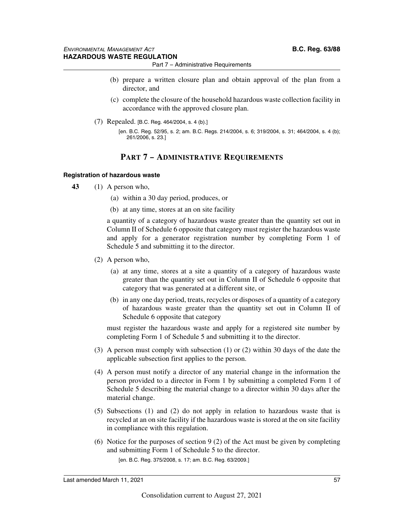Part 7 – Administrative Requirements

- (b) prepare a written closure plan and obtain approval of the plan from a director, and
- (c) complete the closure of the household hazardous waste collection facility in accordance with the approved closure plan.
- (7) Repealed. [B.C. Reg. 464/2004, s. 4 (b).]

# **PART 7 – ADMINISTRATIVE REQUIREMENTS**

## **Registration of hazardous waste**

- **43** (1) A person who,
	- (a) within a 30 day period, produces, or
	- (b) at any time, stores at an on site facility

a quantity of a category of hazardous waste greater than the quantity set out in Column II of Schedule 6 opposite that category must register the hazardous waste and apply for a generator registration number by completing Form 1 of Schedule 5 and submitting it to the director.

- (2) A person who,
	- (a) at any time, stores at a site a quantity of a category of hazardous waste greater than the quantity set out in Column II of Schedule 6 opposite that category that was generated at a different site, or
	- (b) in any one day period, treats, recycles or disposes of a quantity of a category of hazardous waste greater than the quantity set out in Column II of Schedule 6 opposite that category

must register the hazardous waste and apply for a registered site number by completing Form 1 of Schedule 5 and submitting it to the director.

- (3) A person must comply with subsection (1) or (2) within 30 days of the date the applicable subsection first applies to the person.
- (4) A person must notify a director of any material change in the information the person provided to a director in Form 1 by submitting a completed Form 1 of Schedule 5 describing the material change to a director within 30 days after the material change.
- (5) Subsections (1) and (2) do not apply in relation to hazardous waste that is recycled at an on site facility if the hazardous waste is stored at the on site facility in compliance with this regulation.
- (6) Notice for the purposes of section 9 (2) of the Act must be given by completing and submitting Form 1 of Schedule 5 to the director. [en. B.C. Reg. 375/2008, s. 17; am. B.C. Reg. 63/2009.]

<sup>[</sup>en. B.C. Reg. 52/95, s. 2; am. B.C. Regs. 214/2004, s. 6; 319/2004, s. 31; 464/2004, s. 4 (b); 261/2006, s. 23.]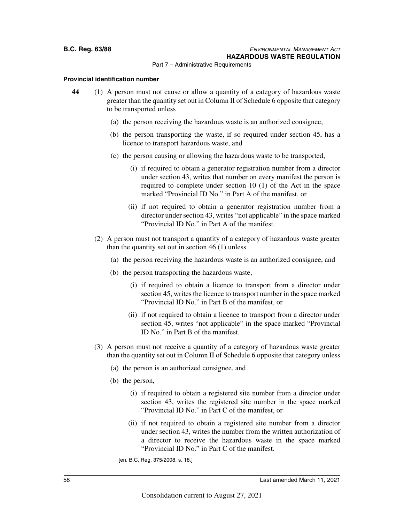Part 7 – Administrative Requirements

#### **Provincial identification number**

- **44** (1) A person must not cause or allow a quantity of a category of hazardous waste greater than the quantity set out in Column II of Schedule 6 opposite that category to be transported unless
	- (a) the person receiving the hazardous waste is an authorized consignee,
	- (b) the person transporting the waste, if so required under section 45, has a licence to transport hazardous waste, and
	- (c) the person causing or allowing the hazardous waste to be transported,
		- (i) if required to obtain a generator registration number from a director under section 43, writes that number on every manifest the person is required to complete under section 10 (1) of the Act in the space marked "Provincial ID No." in Part A of the manifest, or
		- (ii) if not required to obtain a generator registration number from a director under section 43, writes "not applicable" in the space marked "Provincial ID No." in Part A of the manifest.
	- (2) A person must not transport a quantity of a category of hazardous waste greater than the quantity set out in section 46 (1) unless
		- (a) the person receiving the hazardous waste is an authorized consignee, and
		- (b) the person transporting the hazardous waste,
			- (i) if required to obtain a licence to transport from a director under section 45, writes the licence to transport number in the space marked "Provincial ID No." in Part B of the manifest, or
			- (ii) if not required to obtain a licence to transport from a director under section 45, writes "not applicable" in the space marked "Provincial ID No." in Part B of the manifest.
	- (3) A person must not receive a quantity of a category of hazardous waste greater than the quantity set out in Column II of Schedule 6 opposite that category unless
		- (a) the person is an authorized consignee, and
		- (b) the person,
			- (i) if required to obtain a registered site number from a director under section 43, writes the registered site number in the space marked "Provincial ID No." in Part C of the manifest, or
			- (ii) if not required to obtain a registered site number from a director under section 43, writes the number from the written authorization of a director to receive the hazardous waste in the space marked "Provincial ID No." in Part C of the manifest.
			- [en. B.C. Reg. 375/2008, s. 18.]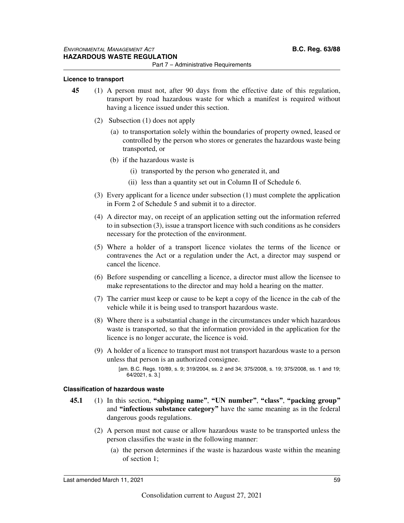Part 7 – Administrative Requirements

#### **Licence to transport**

- **45** (1) A person must not, after 90 days from the effective date of this regulation, transport by road hazardous waste for which a manifest is required without having a licence issued under this section.
	- (2) Subsection (1) does not apply
		- (a) to transportation solely within the boundaries of property owned, leased or controlled by the person who stores or generates the hazardous waste being transported, or
		- (b) if the hazardous waste is
			- (i) transported by the person who generated it, and
			- (ii) less than a quantity set out in Column II of Schedule 6.
	- (3) Every applicant for a licence under subsection (1) must complete the application in Form 2 of Schedule 5 and submit it to a director.
	- (4) A director may, on receipt of an application setting out the information referred to in subsection (3), issue a transport licence with such conditions as he considers necessary for the protection of the environment.
	- (5) Where a holder of a transport licence violates the terms of the licence or contravenes the Act or a regulation under the Act, a director may suspend or cancel the licence.
	- (6) Before suspending or cancelling a licence, a director must allow the licensee to make representations to the director and may hold a hearing on the matter.
	- (7) The carrier must keep or cause to be kept a copy of the licence in the cab of the vehicle while it is being used to transport hazardous waste.
	- (8) Where there is a substantial change in the circumstances under which hazardous waste is transported, so that the information provided in the application for the licence is no longer accurate, the licence is void.
	- (9) A holder of a licence to transport must not transport hazardous waste to a person unless that person is an authorized consignee.
		- [am. B.C. Regs. 10/89, s. 9; 319/2004, ss. 2 and 34; 375/2008, s. 19; 375/2008, ss. 1 and 19; 64/2021, s. 3.]

## **Classification of hazardous waste**

- **45.1** (1) In this section, **"shipping name"**, **"UN number"**, **"class"**, **"packing group"** and **"infectious substance category"** have the same meaning as in the federal dangerous goods regulations.
	- (2) A person must not cause or allow hazardous waste to be transported unless the person classifies the waste in the following manner:
		- (a) the person determines if the waste is hazardous waste within the meaning of section 1;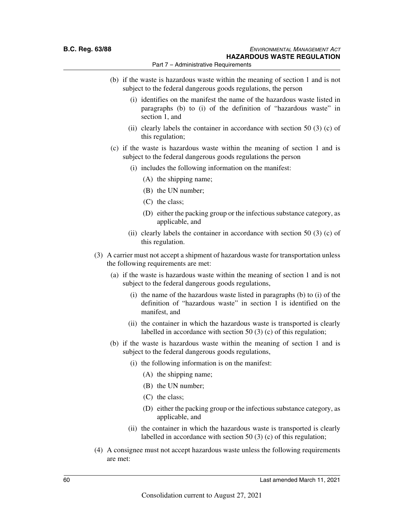- 
- (b) if the waste is hazardous waste within the meaning of section 1 and is not subject to the federal dangerous goods regulations, the person
	- (i) identifies on the manifest the name of the hazardous waste listed in paragraphs (b) to (i) of the definition of "hazardous waste" in section 1, and
	- (ii) clearly labels the container in accordance with section 50  $(3)$  (c) of this regulation;
- (c) if the waste is hazardous waste within the meaning of section 1 and is subject to the federal dangerous goods regulations the person
	- (i) includes the following information on the manifest:
		- (A) the shipping name;
		- (B) the UN number;
		- (C) the class;
		- (D) either the packing group or the infectious substance category, as applicable, and
	- (ii) clearly labels the container in accordance with section 50  $(3)$  (c) of this regulation.
- (3) A carrier must not accept a shipment of hazardous waste for transportation unless the following requirements are met:
	- (a) if the waste is hazardous waste within the meaning of section 1 and is not subject to the federal dangerous goods regulations,
		- (i) the name of the hazardous waste listed in paragraphs (b) to (i) of the definition of "hazardous waste" in section 1 is identified on the manifest, and
		- (ii) the container in which the hazardous waste is transported is clearly labelled in accordance with section 50 (3) (c) of this regulation;
	- (b) if the waste is hazardous waste within the meaning of section 1 and is subject to the federal dangerous goods regulations,
		- (i) the following information is on the manifest:
			- (A) the shipping name;
			- (B) the UN number;
			- (C) the class;
			- (D) either the packing group or the infectious substance category, as applicable, and
		- (ii) the container in which the hazardous waste is transported is clearly labelled in accordance with section 50 (3) (c) of this regulation;
- (4) A consignee must not accept hazardous waste unless the following requirements are met: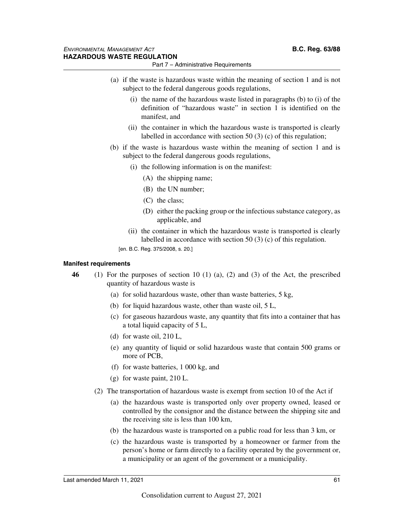- (a) if the waste is hazardous waste within the meaning of section 1 and is not subject to the federal dangerous goods regulations,
	- (i) the name of the hazardous waste listed in paragraphs (b) to (i) of the definition of "hazardous waste" in section 1 is identified on the manifest, and
	- (ii) the container in which the hazardous waste is transported is clearly labelled in accordance with section 50 (3) (c) of this regulation;
- (b) if the waste is hazardous waste within the meaning of section 1 and is subject to the federal dangerous goods regulations,
	- (i) the following information is on the manifest:
		- (A) the shipping name;
		- (B) the UN number;
		- (C) the class;
		- (D) either the packing group or the infectious substance category, as applicable, and
	- (ii) the container in which the hazardous waste is transported is clearly labelled in accordance with section 50 (3) (c) of this regulation.
	- [en. B.C. Reg. 375/2008, s. 20.]

#### **Manifest requirements**

- **46** (1) For the purposes of section 10 (1) (a), (2) and (3) of the Act, the prescribed quantity of hazardous waste is
	- (a) for solid hazardous waste, other than waste batteries, 5 kg,
	- (b) for liquid hazardous waste, other than waste oil, 5 L,
	- (c) for gaseous hazardous waste, any quantity that fits into a container that has a total liquid capacity of 5 L,
	- (d) for waste oil, 210 L,
	- (e) any quantity of liquid or solid hazardous waste that contain 500 grams or more of PCB,
	- (f) for waste batteries, 1 000 kg, and
	- (g) for waste paint, 210 L.
	- (2) The transportation of hazardous waste is exempt from section 10 of the Act if
		- (a) the hazardous waste is transported only over property owned, leased or controlled by the consignor and the distance between the shipping site and the receiving site is less than 100 km,
		- (b) the hazardous waste is transported on a public road for less than 3 km, or
		- (c) the hazardous waste is transported by a homeowner or farmer from the person's home or farm directly to a facility operated by the government or, a municipality or an agent of the government or a municipality.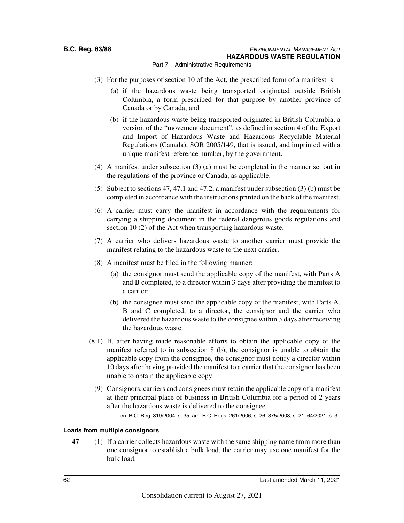- (3) For the purposes of section 10 of the Act, the prescribed form of a manifest is
	- (a) if the hazardous waste being transported originated outside British Columbia, a form prescribed for that purpose by another province of Canada or by Canada, and
	- (b) if the hazardous waste being transported originated in British Columbia, a version of the "movement document", as defined in section 4 of the Export and Import of Hazardous Waste and Hazardous Recyclable Material Regulations (Canada), SOR 2005/149, that is issued, and imprinted with a unique manifest reference number, by the government.
- (4) A manifest under subsection (3) (a) must be completed in the manner set out in the regulations of the province or Canada, as applicable.
- (5) Subject to sections 47, 47.1 and 47.2, a manifest under subsection (3) (b) must be completed in accordance with the instructions printed on the back of the manifest.
- (6) A carrier must carry the manifest in accordance with the requirements for carrying a shipping document in the federal dangerous goods regulations and section 10 (2) of the Act when transporting hazardous waste.
- (7) A carrier who delivers hazardous waste to another carrier must provide the manifest relating to the hazardous waste to the next carrier.
- (8) A manifest must be filed in the following manner:
	- (a) the consignor must send the applicable copy of the manifest, with Parts A and B completed, to a director within 3 days after providing the manifest to a carrier;
	- (b) the consignee must send the applicable copy of the manifest, with Parts A, B and C completed, to a director, the consignor and the carrier who delivered the hazardous waste to the consignee within 3 days after receiving the hazardous waste.
- (8.1) If, after having made reasonable efforts to obtain the applicable copy of the manifest referred to in subsection 8 (b), the consignor is unable to obtain the applicable copy from the consignee, the consignor must notify a director within 10 days after having provided the manifest to a carrier that the consignor has been unable to obtain the applicable copy.
	- (9) Consignors, carriers and consignees must retain the applicable copy of a manifest at their principal place of business in British Columbia for a period of 2 years after the hazardous waste is delivered to the consignee.

[en. B.C. Reg. 319/2004, s. 35; am. B.C. Regs. 261/2006, s. 26; 375/2008, s. 21; 64/2021, s. 3.]

## **Loads from multiple consignors**

**47** (1) If a carrier collects hazardous waste with the same shipping name from more than one consignor to establish a bulk load, the carrier may use one manifest for the bulk load.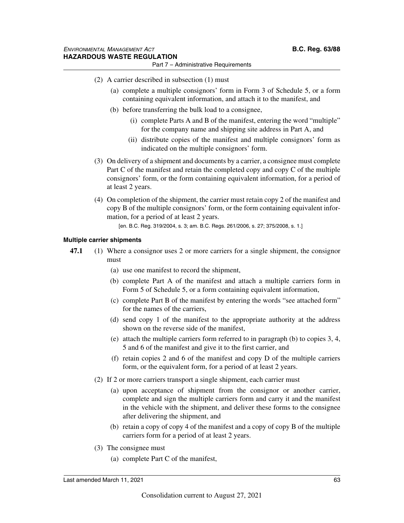- (2) A carrier described in subsection (1) must
	- (a) complete a multiple consignors' form in Form 3 of Schedule 5, or a form containing equivalent information, and attach it to the manifest, and
	- (b) before transferring the bulk load to a consignee,
		- (i) complete Parts A and B of the manifest, entering the word "multiple" for the company name and shipping site address in Part A, and
		- (ii) distribute copies of the manifest and multiple consignors' form as indicated on the multiple consignors' form.
- (3) On delivery of a shipment and documents by a carrier, a consignee must complete Part C of the manifest and retain the completed copy and copy C of the multiple consignors' form, or the form containing equivalent information, for a period of at least 2 years.
- (4) On completion of the shipment, the carrier must retain copy 2 of the manifest and copy B of the multiple consignors' form, or the form containing equivalent information, for a period of at least 2 years.

[en. B.C. Reg. 319/2004, s. 3; am. B.C. Regs. 261/2006, s. 27; 375/2008, s. 1.]

## **Multiple carrier shipments**

- **47.1** (1) Where a consignor uses 2 or more carriers for a single shipment, the consignor must
	- (a) use one manifest to record the shipment,
	- (b) complete Part A of the manifest and attach a multiple carriers form in Form 5 of Schedule 5, or a form containing equivalent information,
	- (c) complete Part B of the manifest by entering the words "see attached form" for the names of the carriers,
	- (d) send copy 1 of the manifest to the appropriate authority at the address shown on the reverse side of the manifest,
	- (e) attach the multiple carriers form referred to in paragraph (b) to copies 3, 4, 5 and 6 of the manifest and give it to the first carrier, and
	- (f) retain copies 2 and 6 of the manifest and copy D of the multiple carriers form, or the equivalent form, for a period of at least 2 years.
	- (2) If 2 or more carriers transport a single shipment, each carrier must
		- (a) upon acceptance of shipment from the consignor or another carrier, complete and sign the multiple carriers form and carry it and the manifest in the vehicle with the shipment, and deliver these forms to the consignee after delivering the shipment, and
		- (b) retain a copy of copy 4 of the manifest and a copy of copy B of the multiple carriers form for a period of at least 2 years.
	- (3) The consignee must
		- (a) complete Part C of the manifest,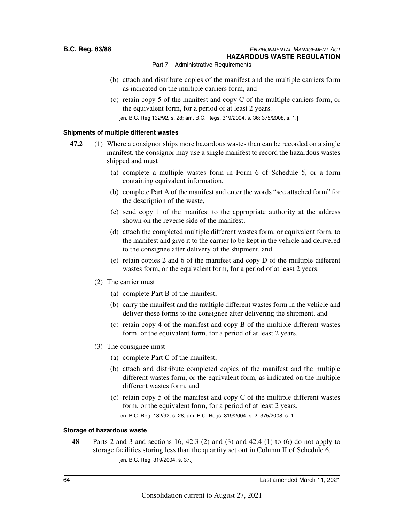- Part 7 Administrative Requirements
- (b) attach and distribute copies of the manifest and the multiple carriers form as indicated on the multiple carriers form, and
- (c) retain copy 5 of the manifest and copy C of the multiple carriers form, or the equivalent form, for a period of at least 2 years.

[en. B.C. Reg 132/92, s. 28; am. B.C. Regs. 319/2004, s. 36; 375/2008, s. 1.]

## **Shipments of multiple different wastes**

- **47.2** (1) Where a consignor ships more hazardous wastes than can be recorded on a single manifest, the consignor may use a single manifest to record the hazardous wastes shipped and must
	- (a) complete a multiple wastes form in Form 6 of Schedule 5, or a form containing equivalent information,
	- (b) complete Part A of the manifest and enter the words "see attached form" for the description of the waste,
	- (c) send copy 1 of the manifest to the appropriate authority at the address shown on the reverse side of the manifest,
	- (d) attach the completed multiple different wastes form, or equivalent form, to the manifest and give it to the carrier to be kept in the vehicle and delivered to the consignee after delivery of the shipment, and
	- (e) retain copies 2 and 6 of the manifest and copy D of the multiple different wastes form, or the equivalent form, for a period of at least 2 years.
	- (2) The carrier must
		- (a) complete Part B of the manifest,
		- (b) carry the manifest and the multiple different wastes form in the vehicle and deliver these forms to the consignee after delivering the shipment, and
		- (c) retain copy 4 of the manifest and copy B of the multiple different wastes form, or the equivalent form, for a period of at least 2 years.
	- (3) The consignee must
		- (a) complete Part C of the manifest,
		- (b) attach and distribute completed copies of the manifest and the multiple different wastes form, or the equivalent form, as indicated on the multiple different wastes form, and
		- (c) retain copy 5 of the manifest and copy C of the multiple different wastes form, or the equivalent form, for a period of at least 2 years.

[en. B.C. Reg. 132/92, s. 28; am. B.C. Regs. 319/2004, s. 2; 375/2008, s. 1.]

#### **Storage of hazardous waste**

**48** Parts 2 and 3 and sections 16, 42.3 (2) and (3) and 42.4 (1) to (6) do not apply to storage facilities storing less than the quantity set out in Column II of Schedule 6. [en. B.C. Reg. 319/2004, s. 37.]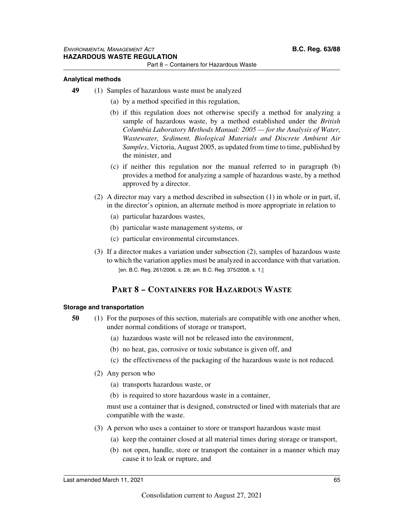#### **Analytical methods**

- **49** (1) Samples of hazardous waste must be analyzed
	- (a) by a method specified in this regulation,
	- (b) if this regulation does not otherwise specify a method for analyzing a sample of hazardous waste, by a method established under the *British Columbia Laboratory Methods Manual: 2005 — for the Analysis of Water, Wastewater, Sediment, Biological Materials and Discrete Ambient Air Samples*, Victoria, August 2005, as updated from time to time, published by the minister, and
	- (c) if neither this regulation nor the manual referred to in paragraph (b) provides a method for analyzing a sample of hazardous waste, by a method approved by a director.
	- (2) A director may vary a method described in subsection (1) in whole or in part, if, in the director's opinion, an alternate method is more appropriate in relation to
		- (a) particular hazardous wastes,
		- (b) particular waste management systems, or
		- (c) particular environmental circumstances.
	- (3) If a director makes a variation under subsection (2), samples of hazardous waste to which the variation applies must be analyzed in accordance with that variation. [en. B.C. Reg. 261/2006, s. 28; am. B.C. Reg. 375/2008, s. 1.]

# **PART 8 – CONTAINERS FOR HAZARDOUS WASTE**

# **Storage and transportation**

- **50** (1) For the purposes of this section, materials are compatible with one another when, under normal conditions of storage or transport,
	- (a) hazardous waste will not be released into the environment,
	- (b) no heat, gas, corrosive or toxic substance is given off, and
	- (c) the effectiveness of the packaging of the hazardous waste is not reduced.
	- (2) Any person who
		- (a) transports hazardous waste, or
		- (b) is required to store hazardous waste in a container,

must use a container that is designed, constructed or lined with materials that are compatible with the waste.

- (3) A person who uses a container to store or transport hazardous waste must
	- (a) keep the container closed at all material times during storage or transport,
	- (b) not open, handle, store or transport the container in a manner which may cause it to leak or rupture, and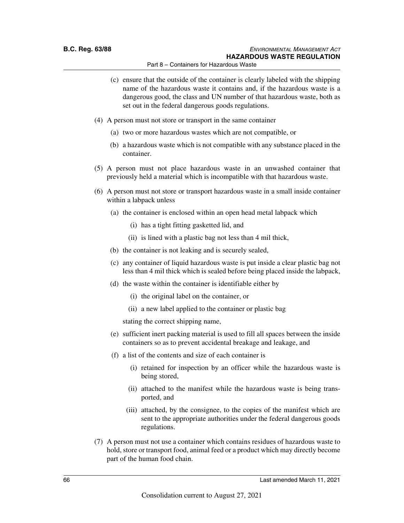- (c) ensure that the outside of the container is clearly labeled with the shipping name of the hazardous waste it contains and, if the hazardous waste is a dangerous good, the class and UN number of that hazardous waste, both as set out in the federal dangerous goods regulations.
- (4) A person must not store or transport in the same container
	- (a) two or more hazardous wastes which are not compatible, or
	- (b) a hazardous waste which is not compatible with any substance placed in the container.
- (5) A person must not place hazardous waste in an unwashed container that previously held a material which is incompatible with that hazardous waste.
- (6) A person must not store or transport hazardous waste in a small inside container within a labpack unless
	- (a) the container is enclosed within an open head metal labpack which
		- (i) has a tight fitting gasketted lid, and
		- (ii) is lined with a plastic bag not less than 4 mil thick,
	- (b) the container is not leaking and is securely sealed,
	- (c) any container of liquid hazardous waste is put inside a clear plastic bag not less than 4 mil thick which is sealed before being placed inside the labpack,
	- (d) the waste within the container is identifiable either by
		- (i) the original label on the container, or
		- (ii) a new label applied to the container or plastic bag

stating the correct shipping name,

- (e) sufficient inert packing material is used to fill all spaces between the inside containers so as to prevent accidental breakage and leakage, and
- (f) a list of the contents and size of each container is
	- (i) retained for inspection by an officer while the hazardous waste is being stored,
	- (ii) attached to the manifest while the hazardous waste is being transported, and
	- (iii) attached, by the consignee, to the copies of the manifest which are sent to the appropriate authorities under the federal dangerous goods regulations.
- (7) A person must not use a container which contains residues of hazardous waste to hold, store or transport food, animal feed or a product which may directly become part of the human food chain.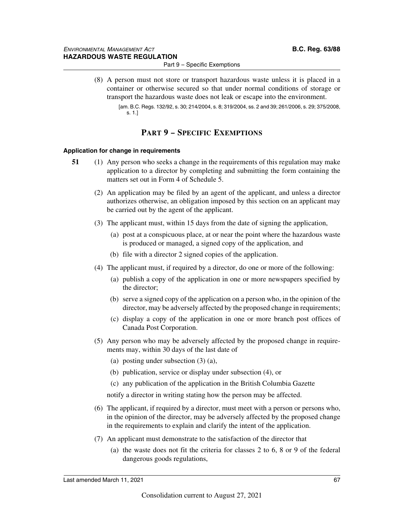Part 9 – Specific Exemptions

(8) A person must not store or transport hazardous waste unless it is placed in a container or otherwise secured so that under normal conditions of storage or transport the hazardous waste does not leak or escape into the environment.

# **PART 9 – SPECIFIC EXEMPTIONS**

#### **Application for change in requirements**

- **51** (1) Any person who seeks a change in the requirements of this regulation may make application to a director by completing and submitting the form containing the matters set out in Form 4 of Schedule 5.
	- (2) An application may be filed by an agent of the applicant, and unless a director authorizes otherwise, an obligation imposed by this section on an applicant may be carried out by the agent of the applicant.
	- (3) The applicant must, within 15 days from the date of signing the application,
		- (a) post at a conspicuous place, at or near the point where the hazardous waste is produced or managed, a signed copy of the application, and
		- (b) file with a director 2 signed copies of the application.
	- (4) The applicant must, if required by a director, do one or more of the following:
		- (a) publish a copy of the application in one or more newspapers specified by the director;
		- (b) serve a signed copy of the application on a person who, in the opinion of the director, may be adversely affected by the proposed change in requirements;
		- (c) display a copy of the application in one or more branch post offices of Canada Post Corporation.
	- (5) Any person who may be adversely affected by the proposed change in requirements may, within 30 days of the last date of
		- (a) posting under subsection (3) (a),
		- (b) publication, service or display under subsection (4), or
		- (c) any publication of the application in the British Columbia Gazette

notify a director in writing stating how the person may be affected.

- (6) The applicant, if required by a director, must meet with a person or persons who, in the opinion of the director, may be adversely affected by the proposed change in the requirements to explain and clarify the intent of the application.
- (7) An applicant must demonstrate to the satisfaction of the director that
	- (a) the waste does not fit the criteria for classes 2 to 6, 8 or 9 of the federal dangerous goods regulations,

<sup>[</sup>am. B.C. Regs. 132/92, s. 30; 214/2004, s. 8; 319/2004, ss. 2 and 39; 261/2006, s. 29; 375/2008, s. 1.]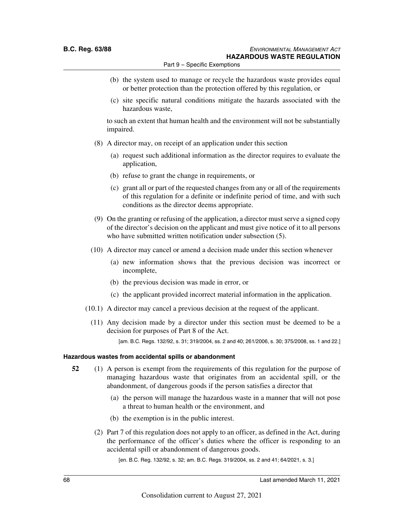- (b) the system used to manage or recycle the hazardous waste provides equal or better protection than the protection offered by this regulation, or
- (c) site specific natural conditions mitigate the hazards associated with the hazardous waste,

to such an extent that human health and the environment will not be substantially impaired.

- (8) A director may, on receipt of an application under this section
	- (a) request such additional information as the director requires to evaluate the application,
	- (b) refuse to grant the change in requirements, or
	- (c) grant all or part of the requested changes from any or all of the requirements of this regulation for a definite or indefinite period of time, and with such conditions as the director deems appropriate.
- (9) On the granting or refusing of the application, a director must serve a signed copy of the director's decision on the applicant and must give notice of it to all persons who have submitted written notification under subsection  $(5)$ .
- (10) A director may cancel or amend a decision made under this section whenever
	- (a) new information shows that the previous decision was incorrect or incomplete,
	- (b) the previous decision was made in error, or
	- (c) the applicant provided incorrect material information in the application.
- (10.1) A director may cancel a previous decision at the request of the applicant.
	- (11) Any decision made by a director under this section must be deemed to be a decision for purposes of Part 8 of the Act.

[am. B.C. Regs. 132/92, s. 31; 319/2004, ss. 2 and 40; 261/2006, s. 30; 375/2008, ss. 1 and 22.]

#### **Hazardous wastes from accidental spills or abandonment**

- **52** (1) A person is exempt from the requirements of this regulation for the purpose of managing hazardous waste that originates from an accidental spill, or the abandonment, of dangerous goods if the person satisfies a director that
	- (a) the person will manage the hazardous waste in a manner that will not pose a threat to human health or the environment, and
	- (b) the exemption is in the public interest.
	- (2) Part 7 of this regulation does not apply to an officer, as defined in the Act, during the performance of the officer's duties where the officer is responding to an accidental spill or abandonment of dangerous goods.

```
[en. B.C. Reg. 132/92, s. 32; am. B.C. Regs. 319/2004, ss. 2 and 41; 64/2021, s. 3.]
```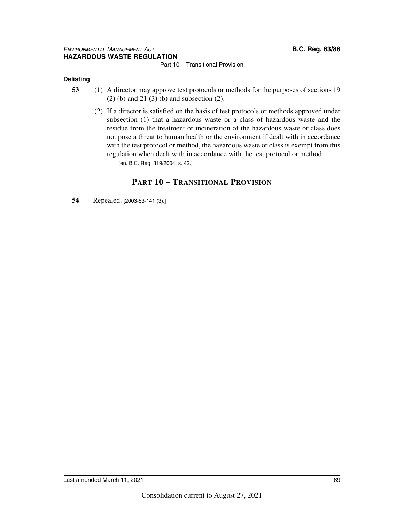#### **Delisting**

- **53** (1) A director may approve test protocols or methods for the purposes of sections 19 (2) (b) and 21 (3) (b) and subsection (2).
	- (2) If a director is satisfied on the basis of test protocols or methods approved under subsection (1) that a hazardous waste or a class of hazardous waste and the residue from the treatment or incineration of the hazardous waste or class does not pose a threat to human health or the environment if dealt with in accordance with the test protocol or method, the hazardous waste or class is exempt from this regulation when dealt with in accordance with the test protocol or method. [en. B.C. Reg. 319/2004, s. 42.]

# **PART 10 – TRANSITIONAL PROVISION**

**54** Repealed. [2003-53-141 (3).]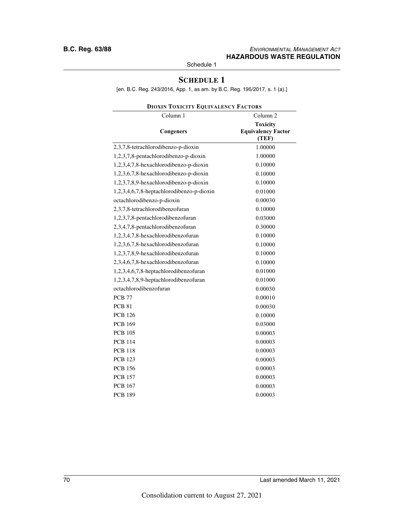### **SCHEDULE 1**

[en. B.C. Reg. 243/2016, App. 1, as am. by B.C. Reg. 195/2017, s. 1 (a).]

# **DIOXIN TOXICITY EQUIVALENCY FACTORS** Column 1 Column 2 **Congeners Toxicity**<br>**Equivalency Factor (TEF) (TEF)** 2,3,7,8-tetrachlorodibenzo-p-dioxin 1,2,3,7,8-pentachlorodibenzo-p-dioxin 1.00000 1,2,3,4,7,8-hexachlorodibenzo-p-dioxin 0.10000 1,2,3,6,7,8-hexachlorodibenzo-p-dioxin 0.10000 1,2,3,7,8,9-hexachlorodibenzo-p-dioxin 0.10000 1,2,3,4,6,7,8-heptachlorodibenzo-p-dioxin 0.01000 octachlorodibenzo-p-dioxin 0.00030 2,3,7,8-tetrachlorodibenzofuran 0.10000 1,2,3,7,8-pentachlorodibenzofuran 0.03000 2,3,4,7,8-pentachlorodibenzofuran 0.30000 1,2,3,4,7,8-hexachlorodibenzofuran 0.10000 1,2,3,6,7,8-hexachlorodibenzofuran 0.10000 1,2,3,7,8,9-hexachlorodibenzofuran 0.10000 2,3,4,6,7,8-hexachlorodibenzofuran 0.10000 1,2,3,4,6,7,8-heptachlorodibenzofuran 0.01000 1,2,3,4,7,8,9-heptachlorodibenzofuran 0.01000 octachlorodibenzofuran 0.00030 PCB 77 0.00010 PCB 81 0.00030 PCB 126 0.10000 PCB 169 0.03000 PCB 105 0.00003 PCB 114 0.00003 PCB 118 0.00003 PCB 123 0.00003 PCB 156 0.00003 PCB 157 0.00003 PCB 167 0.00003 PCB 189 0.00003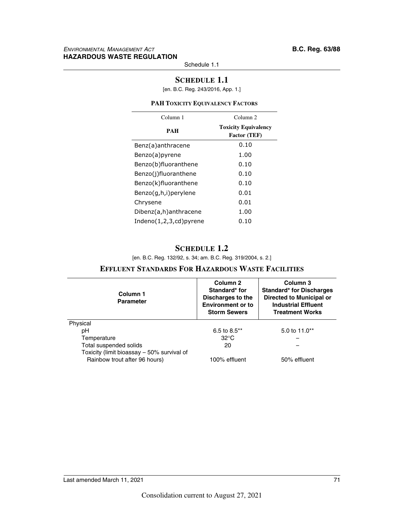Schedule 1.1

#### **SCHEDULE 1.1**

[en. B.C. Reg. 243/2016, App. 1.]

#### **PAH TOXICITY EQUIVALENCY FACTORS**

| Column 1                  | Column <sub>2</sub>                                |
|---------------------------|----------------------------------------------------|
| PAH                       | <b>Toxicity Equivalency</b><br><b>Factor (TEF)</b> |
| Benz(a)anthracene         | 0.10                                               |
| Benzo(a)pyrene            | 1.00                                               |
| Benzo(b)fluoranthene      | 0.10                                               |
| Benzo(j)fluoranthene      | 0.10                                               |
| Benzo(k)fluoranthene      | 0.10                                               |
| Benzo(g,h,i)perylene      | 0.01                                               |
| Chrysene                  | 0.01                                               |
| Dibenz(a,h)anthracene     | 1.00                                               |
| $Indeno(1,2,3,cd)$ pyrene | 0.10                                               |

# **SCHEDULE 1.2**

[en. B.C. Reg. 132/92, s. 34; am. B.C. Reg. 319/2004, s. 2.]

# **EFFLUENT STANDARDS FOR HAZARDOUS WASTE FACILITIES**

| Column 1<br><b>Parameter</b>                                                | Column <sub>2</sub><br>Standard* for<br>Discharges to the<br><b>Environment or to</b><br><b>Storm Sewers</b> | Column <sub>3</sub><br><b>Standard* for Discharges</b><br>Directed to Municipal or<br><b>Industrial Effluent</b><br><b>Treatment Works</b> |
|-----------------------------------------------------------------------------|--------------------------------------------------------------------------------------------------------------|--------------------------------------------------------------------------------------------------------------------------------------------|
| Physical                                                                    |                                                                                                              |                                                                                                                                            |
| рH                                                                          | 6.5 to 8.5**                                                                                                 | 5.0 to 11.0**                                                                                                                              |
| Temperature                                                                 | $32^{\circ}$ C                                                                                               |                                                                                                                                            |
| Total suspended solids                                                      | 20                                                                                                           |                                                                                                                                            |
| Toxicity (limit bioassay - 50% survival of<br>Rainbow trout after 96 hours) | 100% effluent                                                                                                | 50% effluent                                                                                                                               |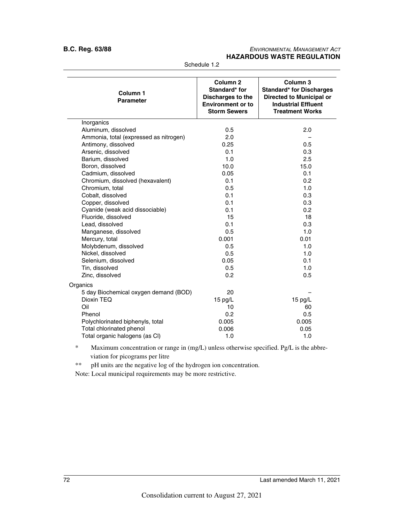| Column <sub>1</sub><br><b>Parameter</b> | Column <sub>2</sub><br>Standard* for<br>Discharges to the<br><b>Environment or to</b><br><b>Storm Sewers</b> | Column <sub>3</sub><br><b>Standard* for Discharges</b><br>Directed to Municipal or<br><b>Industrial Effluent</b><br><b>Treatment Works</b> |
|-----------------------------------------|--------------------------------------------------------------------------------------------------------------|--------------------------------------------------------------------------------------------------------------------------------------------|
| Inorganics                              |                                                                                                              |                                                                                                                                            |
| Aluminum, dissolved                     | 0.5                                                                                                          | 2.0                                                                                                                                        |
| Ammonia, total (expressed as nitrogen)  | 2.0                                                                                                          |                                                                                                                                            |
| Antimony, dissolved                     | 0.25                                                                                                         | 0.5                                                                                                                                        |
| Arsenic, dissolved                      | 0.1                                                                                                          | 0.3                                                                                                                                        |
| Barium, dissolved                       | 1.0                                                                                                          | 2.5                                                                                                                                        |
| Boron, dissolved                        | 10.0                                                                                                         | 15.0                                                                                                                                       |
| Cadmium, dissolved                      | 0.05                                                                                                         | 0.1                                                                                                                                        |
| Chromium, dissolved (hexavalent)        | 0.1                                                                                                          | 0.2                                                                                                                                        |
| Chromium, total                         | 0.5                                                                                                          | 1.0                                                                                                                                        |
| Cobalt, dissolved                       | 0.1                                                                                                          | 0.3                                                                                                                                        |
| Copper, dissolved                       | 0.1                                                                                                          | 0.3                                                                                                                                        |
| Cyanide (weak acid dissociable)         | 0.1                                                                                                          | 0.2                                                                                                                                        |
| Fluoride, dissolved                     | 15                                                                                                           | 18                                                                                                                                         |
| Lead, dissolved                         | 0.1                                                                                                          | 0.3                                                                                                                                        |
| Manganese, dissolved                    | 0.5                                                                                                          | 1.0                                                                                                                                        |
| Mercury, total                          | 0.001                                                                                                        | 0.01                                                                                                                                       |
| Molybdenum, dissolved                   | 0.5                                                                                                          | 1.0                                                                                                                                        |
| Nickel, dissolved                       | 0.5                                                                                                          | 1.0                                                                                                                                        |
| Selenium, dissolved                     | 0.05                                                                                                         | 0.1                                                                                                                                        |
| Tin, dissolved                          | 0.5                                                                                                          | 1.0                                                                                                                                        |
| Zinc, dissolved                         | 0.2                                                                                                          | 0.5                                                                                                                                        |
| Organics                                |                                                                                                              |                                                                                                                                            |
| 5 day Biochemical oxygen demand (BOD)   | 20                                                                                                           |                                                                                                                                            |
| Dioxin TEQ                              | $15$ pg/L                                                                                                    | $15$ pg/L                                                                                                                                  |
| Oil                                     | 10                                                                                                           | 60                                                                                                                                         |
| Phenol                                  | 0.2                                                                                                          | 0.5                                                                                                                                        |
| Polychlorinated biphenyls, total        | 0.005                                                                                                        | 0.005                                                                                                                                      |
| Total chlorinated phenol                | 0.006                                                                                                        | 0.05                                                                                                                                       |
| Total organic halogens (as CI)          | 1.0                                                                                                          | 1.0                                                                                                                                        |

Schedule 1.2

\* Maximum concentration or range in (mg/L) unless otherwise specified. Pg/L is the abbreviation for picograms per litre

\*\* pH units are the negative log of the hydrogen ion concentration.

Note: Local municipal requirements may be more restrictive.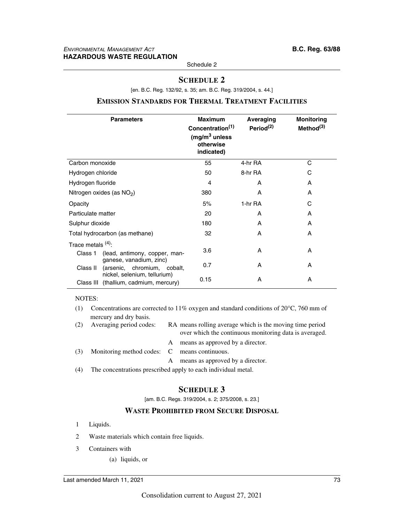# **SCHEDULE 2**

[en. B.C. Reg. 132/92, s. 35; am. B.C. Reg. 319/2004, s. 44.]

#### **EMISSION STANDARDS FOR THERMAL TREATMENT FACILITIES**

| <b>Parameters</b>                                                         | <b>Maximum</b><br>Concentration <sup>(1)</sup><br>(mg/m $3$ unless<br>otherwise<br>indicated) | Averaging<br>Period $(2)$ | <b>Monitoring</b><br>Method $(3)$ |
|---------------------------------------------------------------------------|-----------------------------------------------------------------------------------------------|---------------------------|-----------------------------------|
| Carbon monoxide                                                           | 55                                                                                            | 4-hr RA                   | C                                 |
| Hydrogen chloride                                                         | 50                                                                                            | 8-hr RA                   | C                                 |
| Hydrogen fluoride                                                         | 4                                                                                             | A                         | A                                 |
| Nitrogen oxides (as $NO2$ )                                               | 380                                                                                           | A                         | A                                 |
| Opacity                                                                   | 5%                                                                                            | 1-hr RA                   | C                                 |
| Particulate matter                                                        | 20                                                                                            | A                         | A                                 |
| Sulphur dioxide                                                           | 180                                                                                           | A                         | A                                 |
| Total hydrocarbon (as methane)                                            | 32                                                                                            | A                         | A                                 |
| Trace metals $(4)$ :<br>(lead, antimony, copper, man-<br>Class 1          | 3.6                                                                                           | Α                         | A                                 |
| ganese, vanadium, zinc)<br>Class II<br>(arsenic, chromium, cobalt,        | 0.7                                                                                           | A                         | A                                 |
| nickel, selenium, tellurium)<br>(thallium, cadmium, mercury)<br>Class III | 0.15                                                                                          | Α                         | A                                 |

#### NOTES:

| (1) |                              | Concentrations are corrected to 11% oxygen and standard conditions of $20^{\circ}$ C, 760 mm of |
|-----|------------------------------|-------------------------------------------------------------------------------------------------|
|     | mercury and dry basis.       |                                                                                                 |
|     | $(2)$ Averaging period eader | DA maans rolling avarage which is the moving time newing                                        |

| $\lfloor\angle I\rfloor$ | AVEIAging period codes.                      | KA means folling average which is the moving three period<br>over which the continuous monitoring data is averaged. |
|--------------------------|----------------------------------------------|---------------------------------------------------------------------------------------------------------------------|
|                          |                                              | A means as approved by a director.                                                                                  |
| (3)                      | Monitoring method codes: C means continuous. |                                                                                                                     |
|                          |                                              | A means as approved by a director.                                                                                  |

(4) The concentrations prescribed apply to each individual metal.

### **SCHEDULE 3**

[am. B.C. Regs. 319/2004, s. 2; 375/2008, s. 23.]

# **WASTE PROHIBITED FROM SECURE DISPOSAL**

- 1 Liquids.
- 2 Waste materials which contain free liquids.
- 3 Containers with
	- (a) liquids, or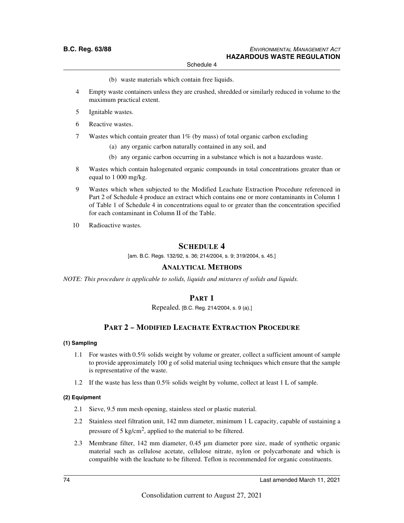(b) waste materials which contain free liquids.

- 4 Empty waste containers unless they are crushed, shredded or similarly reduced in volume to the maximum practical extent.
- 5 Ignitable wastes.
- 6 Reactive wastes.
- 7 Wastes which contain greater than 1% (by mass) of total organic carbon excluding
	- (a) any organic carbon naturally contained in any soil, and
	- (b) any organic carbon occurring in a substance which is not a hazardous waste.
- 8 Wastes which contain halogenated organic compounds in total concentrations greater than or equal to 1 000 mg/kg.
- 9 Wastes which when subjected to the Modified Leachate Extraction Procedure referenced in Part 2 of Schedule 4 produce an extract which contains one or more contaminants in Column 1 of Table 1 of Schedule 4 in concentrations equal to or greater than the concentration specified for each contaminant in Column II of the Table.
- 10 Radioactive wastes.

### **SCHEDULE 4**

[am. B.C. Regs. 132/92, s. 36; 214/2004, s. 9; 319/2004, s. 45.]

#### **ANALYTICAL METHODS**

*NOTE: This procedure is applicable to solids, liquids and mixtures of solids and liquids.*

### **PART 1**

#### Repealed. [B.C. Reg. 214/2004, s. 9 (a).]

# **PART 2 – MODIFIED LEACHATE EXTRACTION PROCEDURE**

#### **(1) Sampling**

- 1.1 For wastes with 0.5% solids weight by volume or greater, collect a sufficient amount of sample to provide approximately 100 g of solid material using techniques which ensure that the sample is representative of the waste.
- 1.2 If the waste has less than 0.5% solids weight by volume, collect at least 1 L of sample.

#### **(2) Equipment**

- 2.1 Sieve, 9.5 mm mesh opening, stainless steel or plastic material.
- 2.2 Stainless steel filtration unit, 142 mm diameter, minimum 1 L capacity, capable of sustaining a pressure of 5 kg/cm<sup>2</sup>, applied to the material to be filtered.
- 2.3 Membrane filter, 142 mm diameter, 0.45 µm diameter pore size, made of synthetic organic material such as cellulose acetate, cellulose nitrate, nylon or polycarbonate and which is compatible with the leachate to be filtered. Teflon is recommended for organic constituents.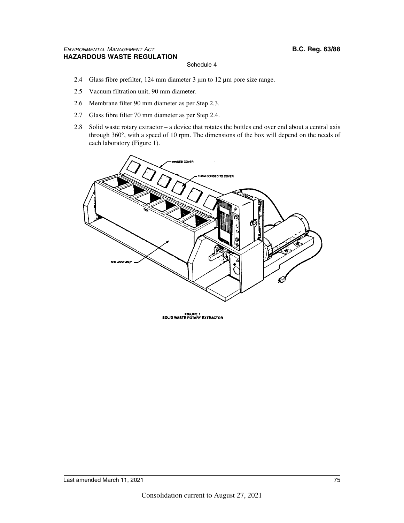- 2.4 Glass fibre prefilter, 124 mm diameter 3 µm to 12 µm pore size range.
- 2.5 Vacuum filtration unit, 90 mm diameter.
- 2.6 Membrane filter 90 mm diameter as per Step 2.3.
- 2.7 Glass fibre filter 70 mm diameter as per Step 2.4.
- 2.8 Solid waste rotary extractor a device that rotates the bottles end over end about a central axis through 360°, with a speed of 10 rpm. The dimensions of the box will depend on the needs of each laboratory (Figure 1).



FIGURE 1<br>SOLID WASTE ROTARY EXTRACTOR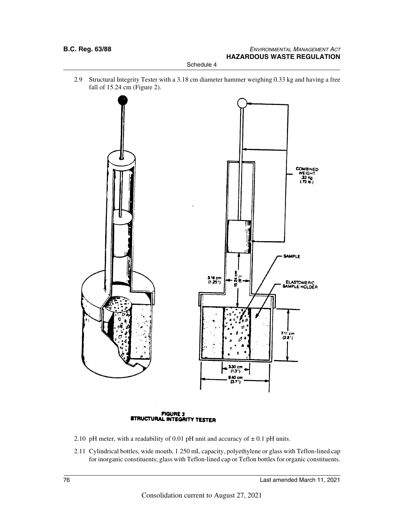2.9 Structural Integrity Tester with a 3.18 cm diameter hammer weighing 0.33 kg and having a free fall of 15.24 cm (Figure 2).



FIGURE 2<br>STRUCTURAL INTEGRITY TESTER

- 2.10 pH meter, with a readability of 0.01 pH unit and accuracy of  $\pm$  0.1 pH units.
- 2.11 Cylindrical bottles, wide mouth, 1 250 mL capacity, polyethylene or glass with Teflon-lined cap for inorganic constituents; glass with Teflon-lined cap or Teflon bottles for organic constituents.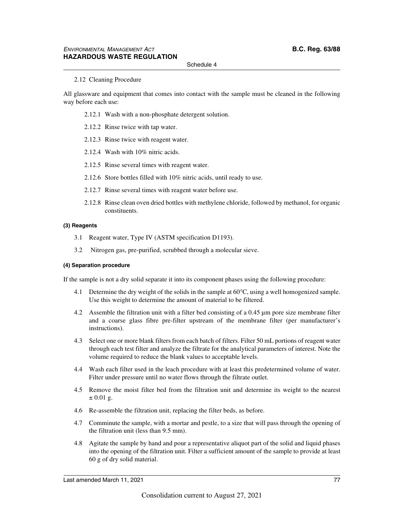#### 2.12 Cleaning Procedure

All glassware and equipment that comes into contact with the sample must be cleaned in the following way before each use:

- 2.12.1 Wash with a non-phosphate detergent solution.
- 2.12.2 Rinse twice with tap water.
- 2.12.3 Rinse twice with reagent water.
- 2.12.4 Wash with 10% nitric acids.
- 2.12.5 Rinse several times with reagent water.
- 2.12.6 Store bottles filled with 10% nitric acids, until ready to use.
- 2.12.7 Rinse several times with reagent water before use.
- 2.12.8 Rinse clean oven dried bottles with methylene chloride, followed by methanol, for organic constituents.

#### **(3) Reagents**

- 3.1 Reagent water, Type IV (ASTM specification D1193).
- 3.2 Nitrogen gas, pre-purified, scrubbed through a molecular sieve.

#### **(4) Separation procedure**

If the sample is not a dry solid separate it into its component phases using the following procedure:

- 4.1 Determine the dry weight of the solids in the sample at 60°C, using a well homogenized sample. Use this weight to determine the amount of material to be filtered.
- 4.2 Assemble the filtration unit with a filter bed consisting of a 0.45 µm pore size membrane filter and a coarse glass fibre pre-filter upstream of the membrane filter (per manufacturer's instructions).
- 4.3 Select one or more blank filters from each batch of filters. Filter 50 mL portions of reagent water through each test filter and analyze the filtrate for the analytical parameters of interest. Note the volume required to reduce the blank values to acceptable levels.
- 4.4 Wash each filter used in the leach procedure with at least this predetermined volume of water. Filter under pressure until no water flows through the filtrate outlet.
- 4.5 Remove the moist filter bed from the filtration unit and determine its weight to the nearest  $\pm 0.01$  g.
- 4.6 Re-assemble the filtration unit, replacing the filter beds, as before.
- 4.7 Comminute the sample, with a mortar and pestle, to a size that will pass through the opening of the filtration unit (less than 9.5 mm).
- 4.8 Agitate the sample by hand and pour a representative aliquot part of the solid and liquid phases into the opening of the filtration unit. Filter a sufficient amount of the sample to provide at least 60 g of dry solid material.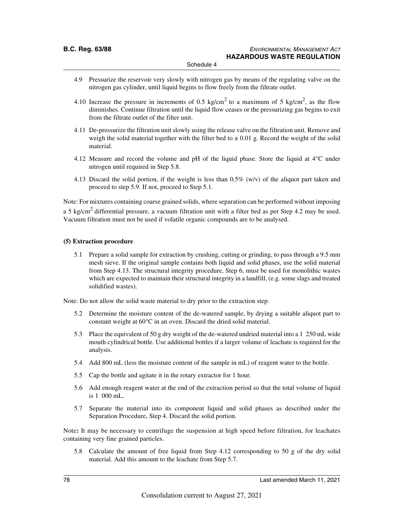- 4.9 Pressurize the reservoir very slowly with nitrogen gas by means of the regulating valve on the nitrogen gas cylinder, until liquid begins to flow freely from the filtrate outlet.
- 4.10 Increase the pressure in increments of 0.5 kg/cm<sup>2</sup> to a maximum of 5 kg/cm<sup>2</sup>, as the flow diminishes. Continue filtration until the liquid flow ceases or the pressurizing gas begins to exit from the filtrate outlet of the filter unit.
- 4.11 De-pressurize the filtration unit slowly using the release valve on the filtration unit. Remove and weigh the solid material together with the filter bed to  $\pm$  0.01 g. Record the weight of the solid material.
- 4.12 Measure and record the volume and pH of the liquid phase. Store the liquid at 4°C under nitrogen until required in Step 5.8.
- 4.13 Discard the solid portion, if the weight is less than 0.5% (w/v) of the aliquot part taken and proceed to step 5.9. If not, proceed to Step 5.1.

Note: For mixtures containing coarse grained solids, where separation can be performed without imposing a 5 kg/cm<sup>2</sup> differential pressure, a vacuum filtration unit with a filter bed as per Step 4.2 may be used. Vacuum filtration must not be used if volatile organic compounds are to be analysed.

#### **(5) Extraction procedure**

5.1 Prepare a solid sample for extraction by crushing, cutting or grinding, to pass through a 9.5 mm mesh sieve. If the original sample contains both liquid and solid phases, use the solid material from Step 4.13. The structural integrity procedure, Step 6, must be used for monolithic wastes which are expected to maintain their structural integrity in a landfill, (e.g. some slags and treated solidified wastes).

Note: Do not allow the solid waste material to dry prior to the extraction step.

- 5.2 Determine the moisture content of the de-watered sample, by drying a suitable aliquot part to constant weight at 60°C in an oven. Discard the dried solid material.
- 5.3 Place the equivalent of 50 g dry weight of the de-watered undried material into a 1 250 mL wide mouth cylindrical bottle. Use additional bottles if a larger volume of leachate is required for the analysis.
- 5.4 Add 800 mL (less the moisture content of the sample in mL) of reagent water to the bottle.
- 5.5 Cap the bottle and agitate it in the rotary extractor for 1 hour.
- 5.6 Add enough reagent water at the end of the extraction period so that the total volume of liquid is 1 000 mL.
- 5.7 Separate the material into its component liquid and solid phases as described under the Separation Procedure, Step 4. Discard the solid portion.

Note**:** It may be necessary to centrifuge the suspension at high speed before filtration, for leachates containing very fine grained particles.

5.8 Calculate the amount of free liquid from Step 4.12 corresponding to 50 g of the dry solid material. Add this amount to the leachate from Step 5.7.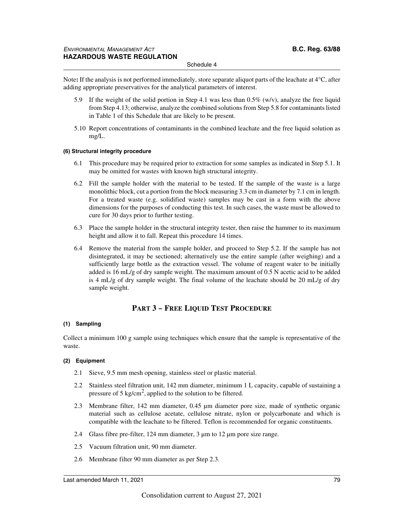Note: If the analysis is not performed immediately, store separate aliquot parts of the leachate at 4<sup>o</sup>C, after adding appropriate preservatives for the analytical parameters of interest.

- 5.9 If the weight of the solid portion in Step 4.1 was less than 0.5% (w/v), analyze the free liquid from Step 4.13; otherwise, analyze the combined solutions from Step 5.8 for contaminants listed in Table 1 of this Schedule that are likely to be present.
- 5.10 Report concentrations of contaminants in the combined leachate and the free liquid solution as mg/L.

#### **(6) Structural integrity procedure**

- 6.1 This procedure may be required prior to extraction for some samples as indicated in Step 5.1. It may be omitted for wastes with known high structural integrity.
- 6.2 Fill the sample holder with the material to be tested. If the sample of the waste is a large monolithic block, cut a portion from the block measuring 3.3 cm in diameter by 7.1 cm in length. For a treated waste (e.g. solidified waste) samples may be cast in a form with the above dimensions for the purposes of conducting this test. In such cases, the waste must be allowed to cure for 30 days prior to further testing.
- 6.3 Place the sample holder in the structural integrity tester, then raise the hammer to its maximum height and allow it to fall. Repeat this procedure 14 times.
- 6.4 Remove the material from the sample holder, and proceed to Step 5.2. If the sample has not disintegrated, it may be sectioned; alternatively use the entire sample (after weighing) and a sufficiently large bottle as the extraction vessel. The volume of reagent water to be initially added is 16 mL/g of dry sample weight. The maximum amount of 0.5 N acetic acid to be added is 4 mL/g of dry sample weight. The final volume of the leachate should be 20 mL/g of dry sample weight.

### **PART 3 – FREE LIQUID TEST PROCEDURE**

#### **(1) Sampling**

Collect a minimum 100 g sample using techniques which ensure that the sample is representative of the waste.

#### **(2) Equipment**

- 2.1 Sieve, 9.5 mm mesh opening, stainless steel or plastic material.
- 2.2 Stainless steel filtration unit, 142 mm diameter, minimum 1 L capacity, capable of sustaining a pressure of 5 kg/cm<sup>2</sup>, applied to the solution to be filtered.
- 2.3 Membrane filter, 142 mm diameter, 0.45 µm diameter pore size, made of synthetic organic material such as cellulose acetate, cellulose nitrate, nylon or polycarbonate and which is compatible with the leachate to be filtered. Teflon is recommended for organic constituents.
- 2.4 Glass fibre pre-filter, 124 mm diameter, 3 um to 12 um pore size range.
- 2.5 Vacuum filtration unit, 90 mm diameter.
- 2.6 Membrane filter 90 mm diameter as per Step 2.3.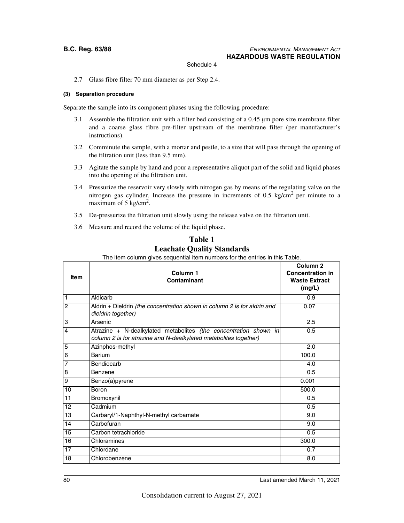2.7 Glass fibre filter 70 mm diameter as per Step 2.4.

#### **(3) Separation procedure**

Separate the sample into its component phases using the following procedure:

- 3.1 Assemble the filtration unit with a filter bed consisting of a 0.45 µm pore size membrane filter and a coarse glass fibre pre-filter upstream of the membrane filter (per manufacturer's instructions).
- 3.2 Comminute the sample, with a mortar and pestle, to a size that will pass through the opening of the filtration unit (less than 9.5 mm).
- 3.3 Agitate the sample by hand and pour a representative aliquot part of the solid and liquid phases into the opening of the filtration unit.
- 3.4 Pressurize the reservoir very slowly with nitrogen gas by means of the regulating valve on the nitrogen gas cylinder. Increase the pressure in increments of  $0.5 \text{ kg/cm}^2$  per minute to a maximum of 5 kg/cm<sup>2</sup>.
- 3.5 De-pressurize the filtration unit slowly using the release valve on the filtration unit.
- 3.6 Measure and record the volume of the liquid phase.

# **Table 1 Leachate Quality Standards**

The item column gives sequential item numbers for the entries in this Table.

| <b>Item</b>     | Column <sub>1</sub><br>Contaminant                                                                                                   | Column <sub>2</sub><br><b>Concentration in</b><br><b>Waste Extract</b><br>(mg/L) |
|-----------------|--------------------------------------------------------------------------------------------------------------------------------------|----------------------------------------------------------------------------------|
| $\mathbf{1}$    | Aldicarb                                                                                                                             | 0.9                                                                              |
| $\overline{2}$  | Aldrin + Dieldrin (the concentration shown in column 2 is for aldrin and<br>dieldrin together)                                       | 0.07                                                                             |
| 3               | Arsenic                                                                                                                              | $\overline{2.5}$                                                                 |
| 4               | Atrazine + N-dealkylated metabolites (the concentration shown in<br>column 2 is for atrazine and N-dealkylated metabolites together) | 0.5                                                                              |
| 5               | Azinphos-methyl                                                                                                                      | 2.0                                                                              |
| 6               | <b>Barium</b>                                                                                                                        | 100.0                                                                            |
| $\overline{7}$  | Bendiocarb                                                                                                                           | 4.0                                                                              |
| $\overline{8}$  | Benzene                                                                                                                              | 0.5                                                                              |
| $\overline{9}$  | Benzo(a)pyrene                                                                                                                       | 0.001                                                                            |
| 10              | Boron                                                                                                                                | 500.0                                                                            |
| $\overline{11}$ | Bromoxynil                                                                                                                           | 0.5                                                                              |
| 12              | Cadmium                                                                                                                              | 0.5                                                                              |
| 13              | Carbaryl/1-Naphthyl-N-methyl carbamate                                                                                               | 9.0                                                                              |
| $\overline{14}$ | Carbofuran                                                                                                                           | 9.0                                                                              |
| $\overline{15}$ | Carbon tetrachloride                                                                                                                 | 0.5                                                                              |
| 16              | Chloramines                                                                                                                          | 300.0                                                                            |
| 17              | Chlordane                                                                                                                            | 0.7                                                                              |
| 18              | Chlorobenzene                                                                                                                        | 8.0                                                                              |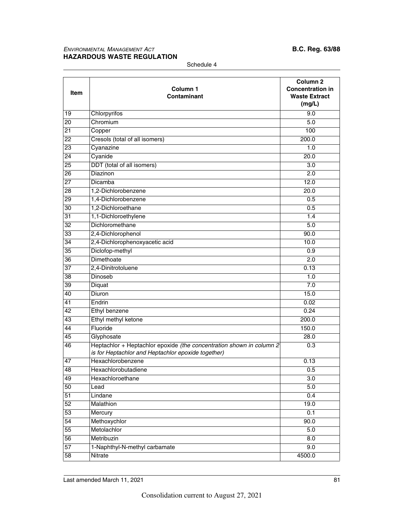### *ENVIRONMENTAL MANAGEMENT ACT* **B.C. Reg. 63/88 HAZARDOUS WASTE REGULATION**

Schedule 4

| Item            | Column 1<br><b>Contaminant</b>                                                                                             | Column <sub>2</sub><br><b>Concentration in</b><br><b>Waste Extract</b><br>(mg/L) |
|-----------------|----------------------------------------------------------------------------------------------------------------------------|----------------------------------------------------------------------------------|
| 19              | Chlorpyrifos                                                                                                               | 9.0                                                                              |
| 20              | Chromium                                                                                                                   | 5.0                                                                              |
| 21              | Copper                                                                                                                     | 100                                                                              |
| $\overline{22}$ | Cresols (total of all isomers)                                                                                             | 200.0                                                                            |
| 23              | Cyanazine                                                                                                                  | 1.0                                                                              |
| 24              | Cyanide                                                                                                                    | 20.0                                                                             |
| 25              | DDT (total of all isomers)                                                                                                 | 3.0                                                                              |
| 26              | Diazinon                                                                                                                   | 2.0                                                                              |
| 27              | Dicamba                                                                                                                    | 12.0                                                                             |
| 28              | 1,2-Dichlorobenzene                                                                                                        | 20.0                                                                             |
| 29              | 1,4-Dichlorobenzene                                                                                                        | 0.5                                                                              |
| 30              | 1,2-Dichloroethane                                                                                                         | 0.5                                                                              |
| $\overline{31}$ | 1,1-Dichloroethylene                                                                                                       | 1.4                                                                              |
| 32              | Dichloromethane                                                                                                            | 5.0                                                                              |
| 33              | 2,4-Dichlorophenol                                                                                                         | 90.0                                                                             |
| $\overline{34}$ | 2,4-Dichlorophenoxyacetic acid                                                                                             | 10.0                                                                             |
| 35              | Diclofop-methyl                                                                                                            | 0.9                                                                              |
| $\overline{36}$ | <b>Dimethoate</b>                                                                                                          | $\overline{2.0}$                                                                 |
| $\overline{37}$ | 2,4-Dinitrotoluene                                                                                                         | 0.13                                                                             |
| 38              | Dinoseb                                                                                                                    | 1.0                                                                              |
| 39              | Diquat                                                                                                                     | 7.0                                                                              |
| 40              | Diuron                                                                                                                     | 15.0                                                                             |
| 41              | Endrin                                                                                                                     | 0.02                                                                             |
| 42              | Ethyl benzene                                                                                                              | 0.24                                                                             |
| 43              | Ethyl methyl ketone                                                                                                        | 200.0                                                                            |
| 44              | Fluoride                                                                                                                   | 150.0                                                                            |
| 45              | Glyphosate                                                                                                                 | 28.0                                                                             |
| 46              | Heptachlor + Heptachlor epoxide (the concentration shown in column 2<br>is for Heptachlor and Heptachlor epoxide together) | 0.3                                                                              |
| $\overline{47}$ | Hexachlorobenzene                                                                                                          | 0.13                                                                             |
| 48              | Hexachlorobutadiene                                                                                                        | 0.5                                                                              |
| 49              | Hexachloroethane                                                                                                           | $\overline{3.0}$                                                                 |
| 50              | Lead                                                                                                                       | 5.0                                                                              |
| 51              | Lindane                                                                                                                    | 0.4                                                                              |
| 52              | Malathion                                                                                                                  | 19.0                                                                             |
| 53              | Mercury                                                                                                                    | 0.1                                                                              |
| 54              | Methoxychlor                                                                                                               | 90.0                                                                             |
| 55              | Metolachlor                                                                                                                | 5.0                                                                              |
| 56              | Metribuzin                                                                                                                 | 8.0                                                                              |
| $\overline{57}$ | 1-Naphthyl-N-methyl carbamate                                                                                              | 9.0                                                                              |
| 58              | Nitrate                                                                                                                    | 4500.0                                                                           |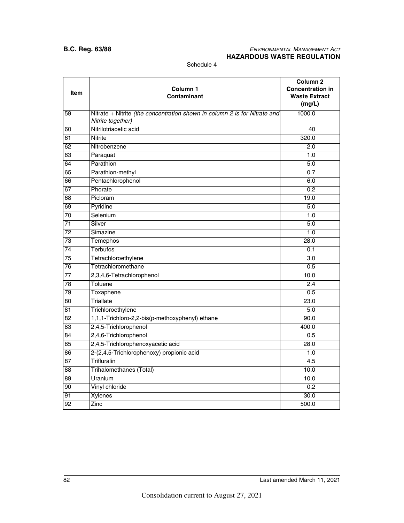Schedule 4

| Item            | Column 1<br>Contaminant                                                                        | Column <sub>2</sub><br><b>Concentration in</b><br><b>Waste Extract</b><br>(mg/L) |
|-----------------|------------------------------------------------------------------------------------------------|----------------------------------------------------------------------------------|
| 59              | Nitrate + Nitrite (the concentration shown in column 2 is for Nitrate and<br>Nitrite together) | 1000.0                                                                           |
| 60              | Nitrilotriacetic acid                                                                          | 40                                                                               |
| 61              | Nitrite                                                                                        | 320.0                                                                            |
| 62              | Nitrobenzene                                                                                   | 2.0                                                                              |
| 63              | Paraquat                                                                                       | 1.0                                                                              |
| 64              | Parathion                                                                                      | 5.0                                                                              |
| 65              | Parathion-methyl                                                                               | 0.7                                                                              |
| 66              | Pentachlorophenol                                                                              | 6.0                                                                              |
| 67              | Phorate                                                                                        | 0.2                                                                              |
| 68              | Picloram                                                                                       | 19.0                                                                             |
| 69              | Pyridine                                                                                       | 5.0                                                                              |
| 70              | Selenium                                                                                       | 1.0                                                                              |
| 71              | Silver                                                                                         | 5.0                                                                              |
| $\overline{72}$ | Simazine                                                                                       | 1.0                                                                              |
| 73              | Temephos                                                                                       | 28.0                                                                             |
| 74              | <b>Terbufos</b>                                                                                | $\overline{0.1}$                                                                 |
| 75              | Tetrachloroethylene                                                                            | 3.0                                                                              |
| 76              | Tetrachloromethane                                                                             | 0.5                                                                              |
| 77              | 2,3,4,6-Tetrachlorophenol                                                                      | 10.0                                                                             |
| $\overline{78}$ | Toluene                                                                                        | 2.4                                                                              |
| 79              | Toxaphene                                                                                      | 0.5                                                                              |
| 80              | Triallate                                                                                      | 23.0                                                                             |
| 81              | Trichloroethylene                                                                              | 5.0                                                                              |
| 82              | 1,1,1-Trichloro-2,2-bis(p-methoxyphenyl) ethane                                                | 90.0                                                                             |
| 83              | 2,4,5-Trichlorophenol                                                                          | 400.0                                                                            |
| 84              | 2,4,6-Trichlorophenol                                                                          | 0.5                                                                              |
| 85              | 2,4,5-Trichlorophenoxyacetic acid                                                              | 28.0                                                                             |
| 86              | 2-(2,4,5-Trichlorophenoxy) propionic acid                                                      | 1.0                                                                              |
| 87              | Trifluralin                                                                                    | 4.5                                                                              |
| $\overline{88}$ | Trihalomethanes (Total)                                                                        | 10.0                                                                             |
| 89              | Uranium                                                                                        | 10.0                                                                             |
| 90              | Vinyl chloride                                                                                 | 0.2                                                                              |
| 91              | <b>Xylenes</b>                                                                                 | 30.0                                                                             |
| 92              | Zinc                                                                                           | 500.0                                                                            |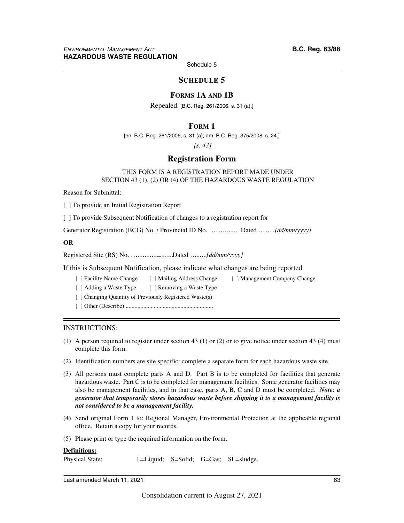#### **SCHEDULE 5**

#### **FORMS 1A AND 1B**

Repealed. [B.C. Reg. 261/2006, s. 31 (a).]

#### **FORM 1**

[en. B.C. Reg. 261/2006, s. 31 (a); am. B.C. Reg. 375/2008, s. 24.]

 *[s. 43]*

### **Registration Form**

#### THIS FORM IS A REGISTRATION REPORT MADE UNDER SECTION 43 (1), (2) OR (4) OF THE HAZARDOUS WASTE REGULATION

Reason for Submittal:

[ ] To provide an Initial Registration Report

[ ] To provide Subsequent Notification of changes to a registration report for

Generator Registration (BCG) No. / Provincial ID No. ………………………………………*[dd/mm/yyyy]* 

#### **OR**

Registered Site (RS) No. …………………………….....…… Dated …………………*[dd/mm/yyyy]*

If this is Subsequent Notification, please indicate what changes are being reported

[ ] Facility Name Change [ ] Mailing Address Change [ ] Management Company Change

[ ] Adding a Waste Type [ ] Removing a Waste Type

[ ] Changing Quantity of Previously Registered Waste(s)

[ ] Other (Describe) ...........................................................

#### INSTRUCTIONS:

- (1) A person required to register under section 43 (1) or (2) or to give notice under section 43 (4) must complete this form.
- (2) Identification numbers are site specific: complete a separate form for each hazardous waste site.
- (3) All persons must complete parts A and D. Part B is to be completed for facilities that generate hazardous waste. Part C is to be completed for management facilities. Some generator facilities may also be management facilities, and in that case, parts A, B, C and D must be completed. *Note: a generator that temporarily stores hazardous waste before shipping it to a management facility is not considered to be a management facility.*
- (4) Send original Form 1 to: Regional Manager, Environmental Protection at the applicable regional office. Retain a copy for your records.
- (5) Please print or type the required information on the form.

#### **Definitions:**

|  | <b>Physical State:</b> |  |  |  | L=Liquid; S=Solid; G=Gas; SL=sludge. |
|--|------------------------|--|--|--|--------------------------------------|
|--|------------------------|--|--|--|--------------------------------------|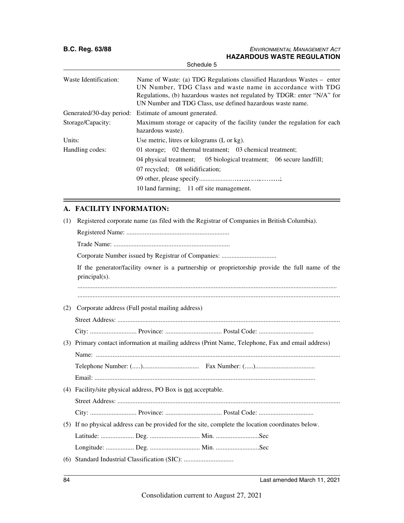|                       | Schedule 5                                                                                                                                                                                                                                                                     |
|-----------------------|--------------------------------------------------------------------------------------------------------------------------------------------------------------------------------------------------------------------------------------------------------------------------------|
| Waste Identification: | Name of Waste: (a) TDG Regulations classified Hazardous Wastes – enter<br>UN Number, TDG Class and waste name in accordance with TDG<br>Regulations, (b) hazardous wastes not regulated by TDGR: enter "N/A" for<br>UN Number and TDG Class, use defined hazardous waste name. |
|                       | Generated/30-day period: Estimate of amount generated.                                                                                                                                                                                                                         |
| Storage/Capacity:     | Maximum storage or capacity of the facility (under the regulation for each<br>hazardous waste).                                                                                                                                                                                |
| Units:                | Use metric, litres or kilograms $(L \text{ or } kg)$ .                                                                                                                                                                                                                         |
| Handling codes:       | 01 storage; 02 thermal treatment; 03 chemical treatment;                                                                                                                                                                                                                       |
|                       | 04 physical treatment; 05 biological treatment; 06 secure landfill;                                                                                                                                                                                                            |
|                       | 07 recycled; 08 solidification;                                                                                                                                                                                                                                                |
|                       |                                                                                                                                                                                                                                                                                |
|                       | 10 land farming; 11 off site management.                                                                                                                                                                                                                                       |

# **A. FACILITY INFORMATION:**

| (1) | Registered corporate name (as filed with the Registrar of Companies in British Columbia).                        |
|-----|------------------------------------------------------------------------------------------------------------------|
|     |                                                                                                                  |
|     |                                                                                                                  |
|     |                                                                                                                  |
|     | If the generator/facility owner is a partnership or proprietorship provide the full name of the<br>principal(s). |
|     |                                                                                                                  |
| (2) | Corporate address (Full postal mailing address)                                                                  |
|     |                                                                                                                  |
|     |                                                                                                                  |
|     | (3) Primary contact information at mailing address (Print Name, Telephone, Fax and email address)                |
|     |                                                                                                                  |
|     |                                                                                                                  |
|     |                                                                                                                  |
|     | (4) Facility/site physical address, PO Box is not acceptable.                                                    |
|     |                                                                                                                  |
|     |                                                                                                                  |
|     | (5) If no physical address can be provided for the site, complete the location coordinates below.                |
|     |                                                                                                                  |
|     |                                                                                                                  |
|     | (6) Standard Industrial Classification (SIC):                                                                    |
|     |                                                                                                                  |
| 84  | Last amended March 11, 2021                                                                                      |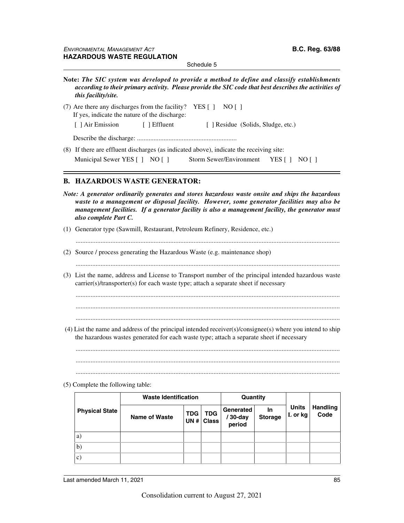|    | Note: The SIC system was developed to provide a method to define and classify establishments<br>according to their primary activity. Please provide the SIC code that best describes the activities of<br><i>this facility/site.</i> |
|----|--------------------------------------------------------------------------------------------------------------------------------------------------------------------------------------------------------------------------------------|
|    | (7) Are there any discharges from the facility?<br>YES [ ]<br>NO [ 1<br>If yes, indicate the nature of the discharge:                                                                                                                |
|    | [ ] Air Emission<br>[ ] Residue (Solids, Sludge, etc.)<br>  Effluent                                                                                                                                                                 |
|    |                                                                                                                                                                                                                                      |
|    | (8) If there are effluent discharges (as indicated above), indicate the receiving site:                                                                                                                                              |
|    | Municipal Sewer YES [ ] NO [ ] Storm Sewer/Environment YES [ ]<br>NO [ 1                                                                                                                                                             |
| B. | <b>HAZARDOUS WASTE GENERATOR:</b>                                                                                                                                                                                                    |

*Note: A generator ordinarily generates and stores hazardous waste onsite and ships the hazardous waste to a management or disposal facility. However, some generator facilities may also be management facilities. If a generator facility is also a management facility, the generator must also complete Part C.* (1) Generator type (Sawmill, Restaurant, Petroleum Refinery, Residence, etc.) ............................................................................................................................................................... (2) Source / process generating the Hazardous Waste (e.g. maintenance shop) ............................................................................................................................................................... (3) List the name, address and License to Transport number of the principal intended hazardous waste carrier(s)/transporter(s) for each waste type; attach a separate sheet if necessary

...............................................................................................................................................................

............................................................................................................................................................... ...............................................................................................................................................................

 (4) List the name and address of the principal intended receiver(s)/consignee(s) where you intend to ship the hazardous wastes generated for each waste type; attach a separate sheet if necessary

...............................................................................................................................................................

...............................................................................................................................................................

...............................................................................................................................................................

(5) Complete the following table:

|                       | <b>Waste Identification</b> |                          |                            | Quantity                        |                             |                         |                         |
|-----------------------|-----------------------------|--------------------------|----------------------------|---------------------------------|-----------------------------|-------------------------|-------------------------|
| <b>Physical State</b> | <b>Name of Waste</b>        | <b>TDG</b><br><b>UN#</b> | <b>TDG</b><br><b>Class</b> | Generated<br>/ 30-day<br>period | <b>In</b><br><b>Storage</b> | <b>Units</b><br>L or kg | <b>Handling</b><br>Code |
| a)                    |                             |                          |                            |                                 |                             |                         |                         |
| $\mathbf{b}$          |                             |                          |                            |                                 |                             |                         |                         |
| $\mathbf{c}$          |                             |                          |                            |                                 |                             |                         |                         |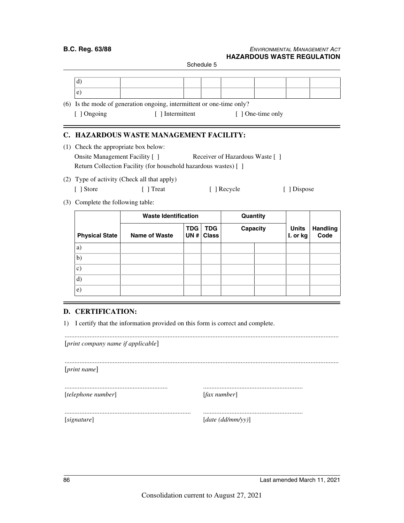Schedule 5 (6) Is the mode of generation ongoing, intermittent or one-time only? **C. HAZARDOUS WASTE MANAGEMENT FACILITY:** (1) Check the appropriate box below: d) e) [ ] Ongoing [ ] Intermittent [ ] One-time only Onsite Management Facility [ ] Receiver of Hazardous Waste [ ] Return Collection Facility (for household hazardous wastes) [ ]

(2) Type of activity (Check all that apply)

|  | [ ] Store | $\lceil$ Treat | [ ] Recycle | [ ] Dispose |
|--|-----------|----------------|-------------|-------------|
|--|-----------|----------------|-------------|-------------|

(3) Complete the following table:

|                       | <b>Waste Identification</b> |            |                            | Quantity |                         |                         |
|-----------------------|-----------------------------|------------|----------------------------|----------|-------------------------|-------------------------|
| <b>Physical State</b> | <b>Name of Waste</b>        | <b>TDG</b> | <b>TDG</b><br>UN $#$ Class | Capacity | <b>Units</b><br>L or kg | <b>Handling</b><br>Code |
| a)                    |                             |            |                            |          |                         |                         |
| b)                    |                             |            |                            |          |                         |                         |
| $\mathbf{c})$         |                             |            |                            |          |                         |                         |
| d)                    |                             |            |                            |          |                         |                         |
| $\epsilon)$           |                             |            |                            |          |                         |                         |

.....................................................................................................................................................................

.....................................................................................................................................................................

#### **D. CERTIFICATION:**

1) I certify that the information provided on this form is correct and complete.

[*print company name if applicable*]

..............................................................

............................................................................

[*print name*]

[*telephone number*]

............................................................ [*fax number*]

............................................................

[*signature*]

[*date (dd/mm/yy)*]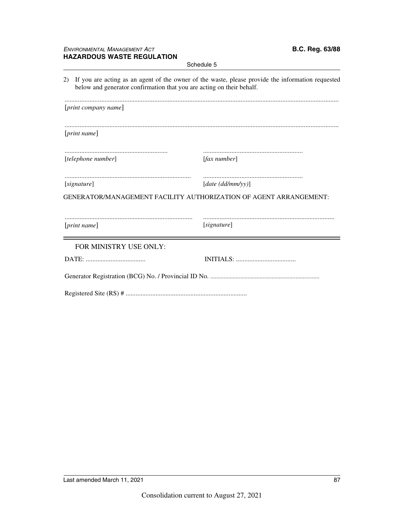|                                                                             | Schedule 5                                                                                        |
|-----------------------------------------------------------------------------|---------------------------------------------------------------------------------------------------|
| 2)<br>below and generator confirmation that you are acting on their behalf. | If you are acting as an agent of the owner of the waste, please provide the information requested |
| $[print\ company\ name]$                                                    |                                                                                                   |
| [print name]                                                                |                                                                                                   |
| [telephone number]                                                          | [fax number]                                                                                      |
| [signature]                                                                 | [date(dd/mm/yy)]                                                                                  |
|                                                                             | GENERATOR/MANAGEMENT FACILITY AUTHORIZATION OF AGENT ARRANGEMENT:                                 |
| [print name]                                                                | [signature]                                                                                       |
| FOR MINISTRY USE ONLY:                                                      |                                                                                                   |
|                                                                             |                                                                                                   |
|                                                                             |                                                                                                   |
|                                                                             |                                                                                                   |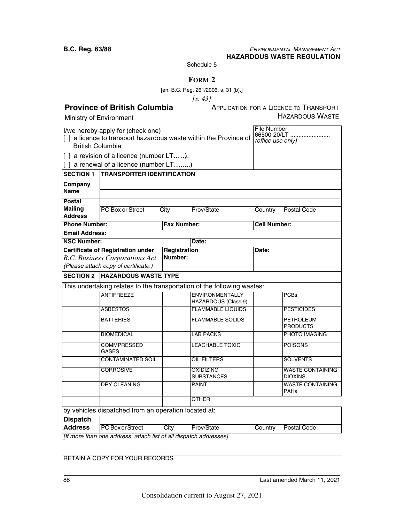Schedule 5

|                                                              |                                                                                                 | [s. 43]                                                                                                                            |                                                                                                                                                                                                                                                                                          |                                                                                                                                                                                      |
|--------------------------------------------------------------|-------------------------------------------------------------------------------------------------|------------------------------------------------------------------------------------------------------------------------------------|------------------------------------------------------------------------------------------------------------------------------------------------------------------------------------------------------------------------------------------------------------------------------------------|--------------------------------------------------------------------------------------------------------------------------------------------------------------------------------------|
|                                                              |                                                                                                 |                                                                                                                                    |                                                                                                                                                                                                                                                                                          |                                                                                                                                                                                      |
| Ministry of Environment                                      |                                                                                                 |                                                                                                                                    |                                                                                                                                                                                                                                                                                          | <b>HAZARDOUS WASTE</b>                                                                                                                                                               |
| I/we hereby apply for (check one)<br><b>British Columbia</b> |                                                                                                 |                                                                                                                                    |                                                                                                                                                                                                                                                                                          | 66500-20/LT                                                                                                                                                                          |
|                                                              |                                                                                                 |                                                                                                                                    |                                                                                                                                                                                                                                                                                          |                                                                                                                                                                                      |
|                                                              |                                                                                                 |                                                                                                                                    |                                                                                                                                                                                                                                                                                          |                                                                                                                                                                                      |
|                                                              |                                                                                                 |                                                                                                                                    |                                                                                                                                                                                                                                                                                          |                                                                                                                                                                                      |
|                                                              |                                                                                                 |                                                                                                                                    |                                                                                                                                                                                                                                                                                          |                                                                                                                                                                                      |
|                                                              |                                                                                                 |                                                                                                                                    |                                                                                                                                                                                                                                                                                          |                                                                                                                                                                                      |
|                                                              |                                                                                                 |                                                                                                                                    |                                                                                                                                                                                                                                                                                          |                                                                                                                                                                                      |
|                                                              |                                                                                                 |                                                                                                                                    | Country                                                                                                                                                                                                                                                                                  | Postal Code                                                                                                                                                                          |
| <b>Phone Number:</b>                                         |                                                                                                 |                                                                                                                                    |                                                                                                                                                                                                                                                                                          |                                                                                                                                                                                      |
| <b>Email Address:</b>                                        |                                                                                                 |                                                                                                                                    |                                                                                                                                                                                                                                                                                          |                                                                                                                                                                                      |
| <b>NSC Number:</b>                                           |                                                                                                 | Date:                                                                                                                              |                                                                                                                                                                                                                                                                                          |                                                                                                                                                                                      |
| <b>Certificate of Registration under</b>                     |                                                                                                 |                                                                                                                                    | Date:                                                                                                                                                                                                                                                                                    |                                                                                                                                                                                      |
| <b>B.C. Business Corporations Act</b>                        | Number:                                                                                         |                                                                                                                                    |                                                                                                                                                                                                                                                                                          |                                                                                                                                                                                      |
|                                                              |                                                                                                 |                                                                                                                                    |                                                                                                                                                                                                                                                                                          |                                                                                                                                                                                      |
|                                                              |                                                                                                 |                                                                                                                                    |                                                                                                                                                                                                                                                                                          |                                                                                                                                                                                      |
|                                                              |                                                                                                 |                                                                                                                                    |                                                                                                                                                                                                                                                                                          |                                                                                                                                                                                      |
| <b>ANTIFREEZE</b>                                            |                                                                                                 | <b>ENVIRONMENTALLY</b><br>HAZARDOUS (Class 9)                                                                                      |                                                                                                                                                                                                                                                                                          | <b>PCBs</b>                                                                                                                                                                          |
| <b>ASBESTOS</b>                                              |                                                                                                 | <b>FLAMMABLE LIQUIDS</b>                                                                                                           |                                                                                                                                                                                                                                                                                          | <b>PESTICIDES</b>                                                                                                                                                                    |
| <b>BATTERIES</b>                                             |                                                                                                 | <b>FLAMMABLE SOLIDS</b>                                                                                                            |                                                                                                                                                                                                                                                                                          | PETROLEUM<br><b>PRODUCTS</b>                                                                                                                                                         |
| <b>BIOMEDICAL</b>                                            |                                                                                                 | <b>LAB PACKS</b>                                                                                                                   |                                                                                                                                                                                                                                                                                          | <b>PHOTO IMAGING</b>                                                                                                                                                                 |
| <b>COMMPRESSED</b>                                           |                                                                                                 | <b>LEACHABLE TOXIC</b>                                                                                                             |                                                                                                                                                                                                                                                                                          | <b>POISONS</b>                                                                                                                                                                       |
| <b>CONTAMINATED SOIL</b>                                     |                                                                                                 | OIL FILTERS                                                                                                                        |                                                                                                                                                                                                                                                                                          | <b>SOLVENTS</b>                                                                                                                                                                      |
| <b>CORROSIVE</b>                                             |                                                                                                 |                                                                                                                                    |                                                                                                                                                                                                                                                                                          | <b>WASTE CONTAINING</b>                                                                                                                                                              |
|                                                              |                                                                                                 | <b>SUBSTANCES</b>                                                                                                                  |                                                                                                                                                                                                                                                                                          | <b>DIOXINS</b>                                                                                                                                                                       |
|                                                              |                                                                                                 |                                                                                                                                    |                                                                                                                                                                                                                                                                                          | <b>WASTE CONTAINING</b><br><b>PAHs</b>                                                                                                                                               |
|                                                              |                                                                                                 |                                                                                                                                    |                                                                                                                                                                                                                                                                                          |                                                                                                                                                                                      |
|                                                              |                                                                                                 | <b>OTHER</b>                                                                                                                       |                                                                                                                                                                                                                                                                                          |                                                                                                                                                                                      |
| by vehicles dispatched from an operation located at:         |                                                                                                 |                                                                                                                                    |                                                                                                                                                                                                                                                                                          |                                                                                                                                                                                      |
| PO Box or Street                                             |                                                                                                 |                                                                                                                                    |                                                                                                                                                                                                                                                                                          |                                                                                                                                                                                      |
|                                                              | PO Box or Street<br>(Please attach copy of certificate:)<br><b>GASES</b><br><b>DRY CLEANING</b> | <b>Province of British Columbia</b><br>[ ] a revision of a licence (number LT).<br>City<br><b>SECTION 2   HAZARDOUS WASTE TYPE</b> | FORM 2<br>[en. B.C. Reg. 261/2006, s. 31 (b).]<br>[] a licence to transport hazardous waste within the Province of<br>[] a renewal of a licence (number LT)<br><b>TRANSPORTER IDENTIFICATION</b><br>Prov/State<br><b>Fax Number:</b><br>Registration<br><b>OXIDIZING</b><br><b>PAINT</b> | <b>APPLICATION FOR A LICENCE TO TRANSPORT</b><br>File Number:<br>(office use only)<br><b>Cell Number:</b><br>This undertaking relates to the transportation of the following wastes: |

*[If more than one address, attach list of all dispatch addresses]*

# RETAIN A COPY FOR YOUR RECORDS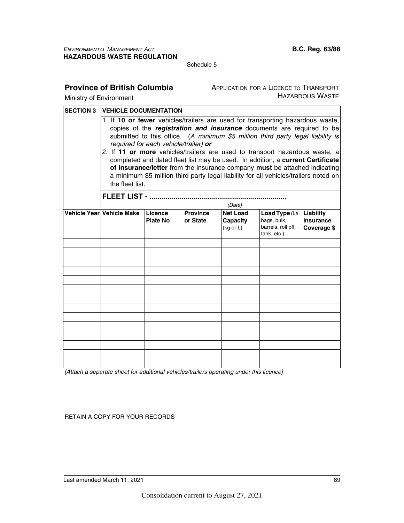Ministry of Environment

**Province of British Columbia** APPLICATION FOR A LICENCE TO TRANSPORT<br>Ministry of Environment Hazarbous Waste

| <b>SECTION 3</b> | <b>VEHICLE DOCUMENTATION</b> |                                       |                             |                             |                                                                                                                                                                                                                                                                                                                                                                                                                                                                                                                                                                                   |             |
|------------------|------------------------------|---------------------------------------|-----------------------------|-----------------------------|-----------------------------------------------------------------------------------------------------------------------------------------------------------------------------------------------------------------------------------------------------------------------------------------------------------------------------------------------------------------------------------------------------------------------------------------------------------------------------------------------------------------------------------------------------------------------------------|-------------|
|                  | the fleet list.              | required for each vehicle/trailer) or |                             |                             | 1. If 10 or fewer vehicles/trailers are used for transporting hazardous waste,<br>copies of the registration and insurance documents are required to be<br>submitted to this office. (A minimum \$5 million third party legal liability is<br>2. If 11 or more vehicles/trailers are used to transport hazardous waste, a<br>completed and dated fleet list may be used. In addition, a current Certificate<br>of Insurance/letter from the insurance company must be attached indicating<br>a minimum \$5 million third party legal liability for all vehicles/trailers noted on |             |
|                  |                              |                                       |                             | (Date)                      |                                                                                                                                                                                                                                                                                                                                                                                                                                                                                                                                                                                   |             |
|                  | Vehicle Year Vehicle Make    | Licence<br><b>Plate No</b>            | <b>Province</b><br>or State | <b>Net Load</b><br>Capacity | Load Type (i.e. Liability<br>bags, bulk,                                                                                                                                                                                                                                                                                                                                                                                                                                                                                                                                          | Insurance   |
|                  |                              |                                       |                             | (kg or L)                   | barrels, roll off,<br>tank, etc.)                                                                                                                                                                                                                                                                                                                                                                                                                                                                                                                                                 | Coverage \$ |
|                  |                              |                                       |                             |                             |                                                                                                                                                                                                                                                                                                                                                                                                                                                                                                                                                                                   |             |
|                  |                              |                                       |                             |                             |                                                                                                                                                                                                                                                                                                                                                                                                                                                                                                                                                                                   |             |
|                  |                              |                                       |                             |                             |                                                                                                                                                                                                                                                                                                                                                                                                                                                                                                                                                                                   |             |
|                  |                              |                                       |                             |                             |                                                                                                                                                                                                                                                                                                                                                                                                                                                                                                                                                                                   |             |
|                  |                              |                                       |                             |                             |                                                                                                                                                                                                                                                                                                                                                                                                                                                                                                                                                                                   |             |
|                  |                              |                                       |                             |                             |                                                                                                                                                                                                                                                                                                                                                                                                                                                                                                                                                                                   |             |
|                  |                              |                                       |                             |                             |                                                                                                                                                                                                                                                                                                                                                                                                                                                                                                                                                                                   |             |
|                  |                              |                                       |                             |                             |                                                                                                                                                                                                                                                                                                                                                                                                                                                                                                                                                                                   |             |
|                  |                              |                                       |                             |                             |                                                                                                                                                                                                                                                                                                                                                                                                                                                                                                                                                                                   |             |

*[Attach a separate sheet for additional vehicles/trailers operating under this licence]*

RETAIN A COPY FOR YOUR RECORDS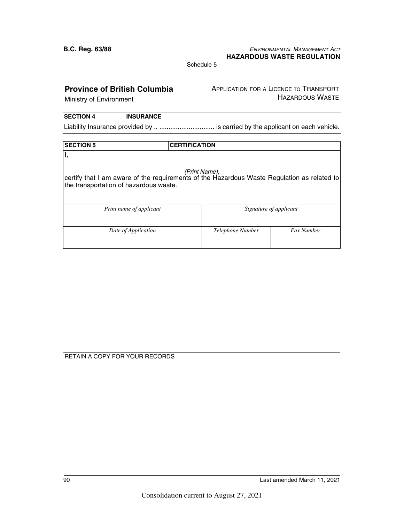# **Province of British Columbia** APPLICATION FOR A LICENCE TO TRANSPORT<br>Ministry of Environment<br>Hazarbous Waste

Ministry of Environment

| <b>SECTION 4</b> | <b>INSURANCE</b>                                                               |
|------------------|--------------------------------------------------------------------------------|
|                  | Liability Insurance provided by   is carried by the applicant on each vehicle. |

| <b>SECTION 5</b>                                                                                                                      | <b>CERTIFICATION</b> |                  |                        |
|---------------------------------------------------------------------------------------------------------------------------------------|----------------------|------------------|------------------------|
| Ι,                                                                                                                                    |                      |                  |                        |
| certify that I am aware of the requirements of the Hazardous Waste Regulation as related to<br>the transportation of hazardous waste. |                      | (Print Name),    |                        |
| Print name of applicant                                                                                                               |                      |                  | Signature of applicant |
| Date of Application                                                                                                                   |                      | Telephone Number | <b>Fax Number</b>      |

RETAIN A COPY FOR YOUR RECORDS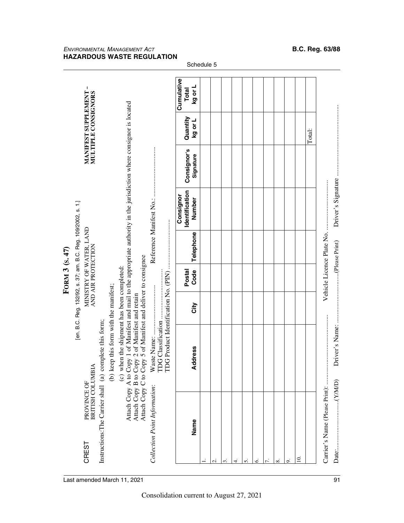#### *ENVIRONMENTAL MANAGEMENT ACT* **B.C. Reg. 63/88 HAZARDOUS WASTE REGULATION**

|                                                         |                                                                                                                                                                                                                                            |                                                              | FORM 3 (s. 47) |                                               |                             |             |                                                   |                     |
|---------------------------------------------------------|--------------------------------------------------------------------------------------------------------------------------------------------------------------------------------------------------------------------------------------------|--------------------------------------------------------------|----------------|-----------------------------------------------|-----------------------------|-------------|---------------------------------------------------|---------------------|
|                                                         |                                                                                                                                                                                                                                            | [en. B.C. Reg. 132/92, s. 37; am. B.C. Reg. 109/2002, s. 1.] |                |                                               |                             |             |                                                   |                     |
| CREST                                                   | PROVINCE OF<br>BRITISH COLUMBI                                                                                                                                                                                                             |                                                              |                | MINISTRY OF WATER, LAND<br>AND AIR PROTECTION |                             |             | <b>MANIFEST SUPPLEMENT</b><br>MULTIPLE CONSIGNORS | J                   |
| Instructions: The Carrier shall (a) complete this form; |                                                                                                                                                                                                                                            |                                                              |                |                                               |                             |             |                                                   |                     |
|                                                         | (b) keep this form with the manifest;                                                                                                                                                                                                      |                                                              |                |                                               |                             |             |                                                   |                     |
|                                                         | (c) when the shipment has been completed:                                                                                                                                                                                                  |                                                              |                |                                               |                             |             |                                                   |                     |
|                                                         | Attach Copy A to Copy 1 of Manifest and mail to the appropriate authority in the jurisdiction where consignor is located<br>Attach Copy C to Copy 5 of Manifest and deliver to consignee<br>Attach Copy B to Copy 2 of Manifest and retain |                                                              |                |                                               |                             |             |                                                   |                     |
| Collection Point Information:                           |                                                                                                                                                                                                                                            |                                                              |                |                                               |                             |             |                                                   |                     |
|                                                         |                                                                                                                                                                                                                                            |                                                              |                |                                               |                             |             |                                                   |                     |
|                                                         |                                                                                                                                                                                                                                            |                                                              | Postal         |                                               | Identification<br>Consignor | Consignor's | Quantity                                          | Cumulative<br>Total |
| Name                                                    | Address                                                                                                                                                                                                                                    | City                                                         | Code           | Telephone                                     | Number                      | Signature   | kg or L                                           | kg or L             |
|                                                         |                                                                                                                                                                                                                                            |                                                              |                |                                               |                             |             |                                                   |                     |
|                                                         |                                                                                                                                                                                                                                            |                                                              |                |                                               |                             |             |                                                   |                     |
|                                                         |                                                                                                                                                                                                                                            |                                                              |                |                                               |                             |             |                                                   |                     |
|                                                         |                                                                                                                                                                                                                                            |                                                              |                |                                               |                             |             |                                                   |                     |
|                                                         |                                                                                                                                                                                                                                            |                                                              |                |                                               |                             |             |                                                   |                     |
| ة                                                       |                                                                                                                                                                                                                                            |                                                              |                |                                               |                             |             |                                                   |                     |
|                                                         |                                                                                                                                                                                                                                            |                                                              |                |                                               |                             |             |                                                   |                     |
| ∞ं                                                      |                                                                                                                                                                                                                                            |                                                              |                |                                               |                             |             |                                                   |                     |
| o,                                                      |                                                                                                                                                                                                                                            |                                                              |                |                                               |                             |             |                                                   |                     |
| $\overline{a}$                                          |                                                                                                                                                                                                                                            |                                                              |                |                                               |                             |             |                                                   |                     |
|                                                         |                                                                                                                                                                                                                                            |                                                              |                |                                               |                             |             | Total:                                            |                     |
| Carrier's Name (Please Print):                          |                                                                                                                                                                                                                                            |                                                              |                | Vehicle Licence Plate No.                     |                             |             |                                                   |                     |
| Date:(Y/MD)                                             |                                                                                                                                                                                                                                            |                                                              |                |                                               |                             |             |                                                   |                     |

Schedule 5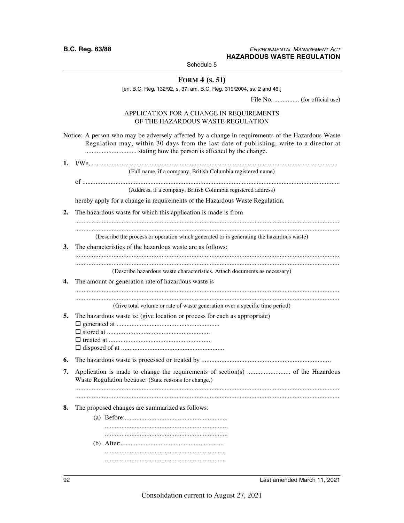#### **FORM 4 (S. 51)**

[en. B.C. Reg. 132/92, s. 37; am. B.C. Reg. 319/2004, ss. 2 and 46.]

File No. ............... (for official use)

#### APPLICATION FOR A CHANGE IN REQUIREMENTS OF THE HAZARDOUS WASTE REGULATION

- Notice: A person who may be adversely affected by a change in requirements of the Hazardous Waste Regulation may, within 30 days from the last date of publishing, write to a director at ............................... stating how the person is affected by the change.
- **1.** I/We, .................................................................................................................................................... (Full name, if a company, British Columbia registered name)

of ........................................................................................................................................................... (Address, if a company, British Columbia registered address)

hereby apply for a change in requirements of the Hazardous Waste Regulation.

**2.** The hazardous waste for which this application is made is from

...............................................................................................................................................................

(Describe the process or operation which generated or is generating the hazardous waste)

- **3.** The characteristics of the hazardous waste are as follows:
	- ...............................................................................................................................................................

(Describe hazardous waste characteristics. Attach documents as necessary)

**4.** The amount or generation rate of hazardous waste is

...............................................................................................................................................................

(Give total volume or rate of waste generation over a specific time period)

- **5.** The hazardous waste is: (give location or process for each as appropriate)
	- generated at ..............................................................
	- stored at ..............................................................
	- treated at ..............................................................
	- disposed of at ..............................................................
- **6.** The hazardous waste is processed or treated by ..............................................................................
- **7.** Application is made to change the requirements of section(s) .......................... of the Hazardous Waste Regulation because: (State reasons for change.)

............................................................................................................................................................... ...............................................................................................................................................................

- **8.** The proposed changes are summarized as follows:
	- (a) Before:.............................................................. .......................................................................... .......................................................................... (b) After:.............................................................. ........................................................................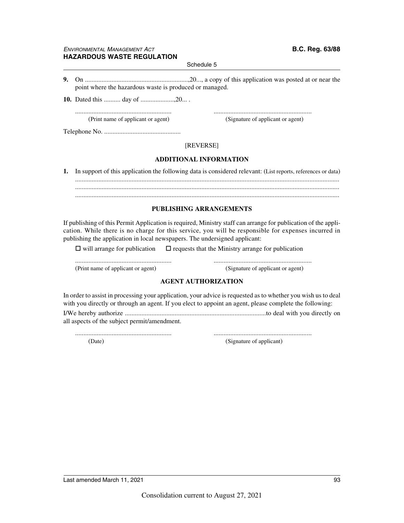|    | <b>HAZANDOUS WASTE NEGULATION</b>                                          | Schedule 5                                                                                                                                                                                                               |
|----|----------------------------------------------------------------------------|--------------------------------------------------------------------------------------------------------------------------------------------------------------------------------------------------------------------------|
| 9. | point where the hazardous waste is produced or managed.                    |                                                                                                                                                                                                                          |
|    |                                                                            |                                                                                                                                                                                                                          |
|    | (Print name of applicant or agent)                                         | (Signature of applicant or agent)                                                                                                                                                                                        |
|    |                                                                            |                                                                                                                                                                                                                          |
|    |                                                                            | [REVERSE]                                                                                                                                                                                                                |
|    |                                                                            | <b>ADDITIONAL INFORMATION</b>                                                                                                                                                                                            |
| 1. |                                                                            | In support of this application the following data is considered relevant: (List reports, references or data)                                                                                                             |
|    |                                                                            |                                                                                                                                                                                                                          |
|    |                                                                            | <b>PUBLISHING ARRANGEMENTS</b>                                                                                                                                                                                           |
|    | publishing the application in local newspapers. The undersigned applicant: | If publishing of this Permit Application is required, Ministry staff can arrange for publication of the appli-<br>cation. While there is no charge for this service, you will be responsible for expenses incurred in    |
|    |                                                                            | $\Box$ will arrange for publication $\Box$ requests that the Ministry arrange for publication                                                                                                                            |
|    | (Print name of applicant or agent)                                         | (Signature of applicant or agent)                                                                                                                                                                                        |
|    |                                                                            | <b>AGENT AUTHORIZATION</b>                                                                                                                                                                                               |
|    |                                                                            | In order to assist in processing your application, your advice is requested as to whether you wish us to deal<br>with you directly or through an agent. If you elect to appoint an agent, please complete the following: |

I/We hereby authorize .....................................................................................to deal with you directly on all aspects of the subject permit/amendment.

.......................................................... ...........................................................

(Date) (Signature of applicant)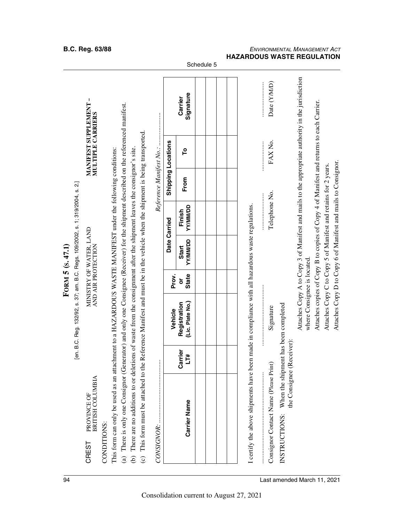|                                                                                                                             |                        | [en. B.C. Reg. 132/92, s. 37; am. B.C. Regs. 109/2002, s. 1; 319/2004, s. 2.]                  | FORM 5 $(s.47.1)$ |                                               |                                                                                        |      |                             |                                                                                                  |            |
|-----------------------------------------------------------------------------------------------------------------------------|------------------------|------------------------------------------------------------------------------------------------|-------------------|-----------------------------------------------|----------------------------------------------------------------------------------------|------|-----------------------------|--------------------------------------------------------------------------------------------------|------------|
| PROVINCE OF<br>BRITISH COLUMBIA<br>CREST                                                                                    |                        |                                                                                                |                   | MINISTRY OF WATER, LAND<br>AND AIR PROTECTION |                                                                                        |      | <b>MANIFEST SUPPLEMENT</b>  | $\mathbf{I}$                                                                                     |            |
| CONDITIONS:                                                                                                                 |                        |                                                                                                |                   |                                               |                                                                                        |      | MULTIPLE CARRIERS           |                                                                                                  |            |
| This form can only be used as an attachment to a HAZARDOUS WASTE MANIFEST under the following conditions:                   |                        |                                                                                                |                   |                                               |                                                                                        |      |                             |                                                                                                  |            |
| (a) There is only one Consignor (Gener                                                                                      |                        | ator) and only one Consignee (Receiver) for the shipment described on the referenced manifest. |                   |                                               |                                                                                        |      |                             |                                                                                                  |            |
| (b) There are no additions to or deletions of waste from the consignment after the shipment leaves the consignor's site.    |                        |                                                                                                |                   |                                               |                                                                                        |      |                             |                                                                                                  |            |
| (c) This form must be attached to the Reference Manifest and must be in the vehicle when the shipment is being transported. |                        |                                                                                                |                   |                                               |                                                                                        |      |                             |                                                                                                  |            |
|                                                                                                                             |                        |                                                                                                |                   |                                               |                                                                                        |      |                             |                                                                                                  |            |
|                                                                                                                             |                        | Vehicle                                                                                        | Prov.             |                                               | Date Carried                                                                           |      | Shipping Locations          |                                                                                                  |            |
| <b>Carrier Name</b>                                                                                                         | Carrier<br>$L_{\rm H}$ | (Lic. Plate No.)<br>Registration                                                               | <b>State</b><br>ŏ | <b>A AVIMINA A</b><br>Start                   | YY/MM/DD<br>Finish                                                                     | From | P                           | Signature<br>Carrier                                                                             |            |
|                                                                                                                             |                        |                                                                                                |                   |                                               |                                                                                        |      |                             |                                                                                                  | Schedule 5 |
|                                                                                                                             |                        |                                                                                                |                   |                                               |                                                                                        |      |                             |                                                                                                  |            |
|                                                                                                                             |                        |                                                                                                |                   |                                               |                                                                                        |      |                             |                                                                                                  |            |
|                                                                                                                             |                        |                                                                                                |                   |                                               |                                                                                        |      |                             |                                                                                                  |            |
| I certify the above shipments have been                                                                                     |                        | made in compliance with all hazardous waste regulations.                                       |                   |                                               |                                                                                        |      |                             |                                                                                                  |            |
| Consignor Contact Name (Please Print)                                                                                       |                        | Signature                                                                                      | .                 |                                               | Telephone No.<br>                                                                      |      | FAX No.<br>:<br>:<br>:<br>: | Date (YM/D)<br>                                                                                  |            |
| INSTRUCTIONS: When the shipment has been completed<br>the Consignee (Rec                                                    | eiver):                |                                                                                                |                   |                                               |                                                                                        |      |                             |                                                                                                  |            |
|                                                                                                                             |                        | where Consignee is located.                                                                    |                   |                                               |                                                                                        |      |                             | Attaches Copy A to Copy 3 of Manifest and mails to the appropriate authority in the jurisdiction |            |
|                                                                                                                             |                        |                                                                                                |                   |                                               | Attaches copies of Copy B to copies of Copy 4 of Manifest and returns to each Carrier. |      |                             |                                                                                                  |            |
|                                                                                                                             |                        |                                                                                                |                   |                                               | Attaches Copy C to Copy 5 of Manifest and retains for 2 years.                         |      |                             |                                                                                                  |            |
|                                                                                                                             |                        |                                                                                                |                   |                                               | Attaches Copy D to Copy 6 of Manifest and mails to Consignor.                          |      |                             |                                                                                                  |            |

Consolidation current to August 27, 2021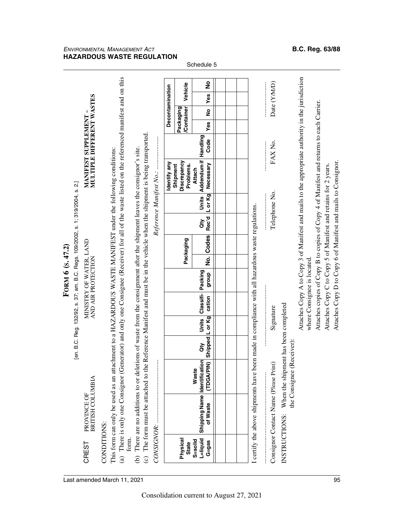#### Schedule 5 There is only one Consignor (Generator) and only one Consignee (Receiver) for all of the waste listed on the referenced manifest and on this Attaches Copy A to Copy 3 of Manifest and mails to the appropriate authority in the jurisdiction (a) There is only one Consignor (Generator) and only one Consignee (Receiver) for all of the waste listed on the referenced manifest and on this Attaches Copy A to Copy 3 of Manifest and mails to the appropriate authority in the jurisdiction  $\frac{1}{2}$ Date (YM/D) **No. Codes Yes No Yes No** Consignor Contact Name (Please Print) Signature Telephone No. FAX No. Date (Y/M/D) Vehicle **/Container Vehicle** *....................................................... ..................................... ...................... .................. .....................* Decontamination **Decontamination Yes** MANIFEST SUPPLEMENT -<br>MULTIPLE DIFFERENT WASTES BRITISH COLUMBIA AND AIR PROTECTION **MULTIPLE DIFFERENT WASTES** Attaches copies of Copy B to copies of Copy 4 of Manifest and returns to each Carrier. Attaches copies of Copy B to copies of Copy 4 of Manifest and returns to each Carrier. Packaging Container **Packaging**  $\frac{1}{2}$ CREST PROVINCE OF MINISTRY OF WATER, LAND **MANIFEST SUPPLEMENT – Yes** The form must be attached to the Reference Manifest and must be in the vehicle when the shipment is being transported. (c) The form must be attached to the Reference Manifest and must be in the vehicle when the shipment is being transported. Addendum if Handling *CONSIGNOR: ...................................... Reference Manifest No.: ....................* **Code** FAX No. There are no additions to or deletions of waste from the consignment after the shipment leaves the consignor's site. This form can only be used as an attachment to a HAZARDOUS WASTE MANIFEST under the following conditions: (b) There are no additions to or deletions of waste from the consignment after the shipment leaves the consignor's site. This form can only be used as an attachment to a HAZARDOUS WASTE MANIFEST under the following conditions: **Discrepancy Addendum if**  Reference Manifest No.: ...... **Identify any**  Attaches Copy D to Copy 6 of Manifest and mails to Consignor. Attaches Copy D to Copy 6 of Manifest and mails to Consignor. Discrepancy Identify any **Problems.**  Necessary **Shipment Shipment Necessary** Problems. Attaches Copy C to Copy 5 of Manifest and retains for 2 years. Attaches Copy C to Copy 5 of Manifest and retains for 2 years. **Attach**  [en. B.C. Reg. 132/92, s. 37; am. B.C. Regs. 109/2002, s. 1; 319/2004, s. 2.] [en. B.C. Reg. 132/92, s. 37; am. B.C. Regs. 109/2002, s. 1; 319/2004, s. 2.] Telephone No. **L or Kg** ............... **Units** certify the above shipments have been made in compliance with all hazardous waste regulations. I certify the above shipments have been made in compliance with all hazardous waste regulations. **Rec'd Qty**  Codes Packaging MINISTRY OF WATER, LAND **Packaging** FORM 6 (s. 47.2) **FORM 6 (S. 47.2) Do.** AND AIR PROTECTION where Consignee is located. where Consignee is located. **Classifi- Packing**<br>cation **group Classifi-**When the shipment has been completed INSTRUCTIONS: When the shipment has been completed Signature . . . . . . . . . . . . . . . . . . **L or Kg Units Shipped** the Consignee (Receiver): the Consignee (Receiver): **Qty**  Identification **Identification** (TDGA/PIN) Consignor Contact Name (Please Print) **(TDGA/PIN) Waste**  BRITISH COLUMBIA PROVINCE OF **Shipping Name Shipping Name**  of Waste **of Waste** INSTRUCTIONS: CONDITIONS: CONDITIONS: form. **L=liquid S=solid Physical G=gas State** CREST  $\hat{e}$  $\odot$  $\widehat{a}$

Last amended March 11, 2021 95

# *ENVIRONMENTAL MANAGEMENT ACT* **B.C. Reg. 63/88 HAZARDOUS WASTE REGULATION**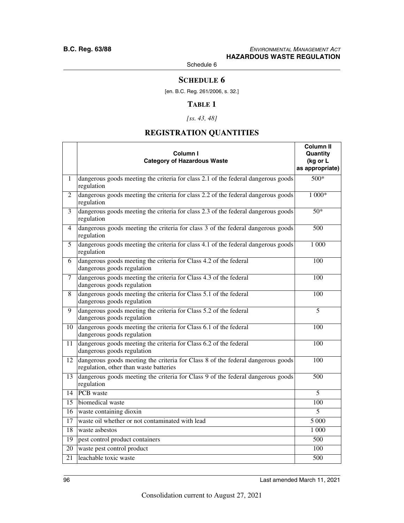# **SCHEDULE 6**

[en. B.C. Reg. 261/2006, s. 32.]

### **TABLE 1**

#### *[ss. 43, 48]*

# **REGISTRATION QUANTITIES**

|                 | Column I<br><b>Category of Hazardous Waste</b>                                                                            | Column II<br>Quantity<br>(kg or L<br>as appropriate) |
|-----------------|---------------------------------------------------------------------------------------------------------------------------|------------------------------------------------------|
| 1               | dangerous goods meeting the criteria for class 2.1 of the federal dangerous goods<br>regulation                           | $500*$                                               |
| 2               | dangerous goods meeting the criteria for class 2.2 of the federal dangerous goods<br>regulation                           | 1 000*                                               |
| 3               | dangerous goods meeting the criteria for class 2.3 of the federal dangerous goods<br>regulation                           | $50*$                                                |
| 4               | dangerous goods meeting the criteria for class 3 of the federal dangerous goods<br>regulation                             | $\overline{500}$                                     |
| 5               | dangerous goods meeting the criteria for class 4.1 of the federal dangerous goods<br>regulation                           | 1 000                                                |
| 6               | dangerous goods meeting the criteria for Class 4.2 of the federal<br>dangerous goods regulation                           | 100                                                  |
| 7               | dangerous goods meeting the criteria for Class 4.3 of the federal<br>dangerous goods regulation                           | 100                                                  |
| 8               | dangerous goods meeting the criteria for Class 5.1 of the federal<br>dangerous goods regulation                           | 100                                                  |
| 9               | dangerous goods meeting the criteria for Class 5.2 of the federal<br>dangerous goods regulation                           | $\overline{5}$                                       |
| 10              | dangerous goods meeting the criteria for Class 6.1 of the federal<br>dangerous goods regulation                           | 100                                                  |
| 11              | dangerous goods meeting the criteria for Class 6.2 of the federal<br>dangerous goods regulation                           | 100                                                  |
| $\overline{12}$ | dangerous goods meeting the criteria for Class 8 of the federal dangerous goods<br>regulation, other than waste batteries | 100                                                  |
| 13              | dangerous goods meeting the criteria for Class 9 of the federal dangerous goods<br>regulation                             | $\overline{500}$                                     |
| 14              | PCB waste                                                                                                                 | 5                                                    |
| $\overline{15}$ | biomedical waste                                                                                                          | 100                                                  |
| 16              | waste containing dioxin                                                                                                   | 5                                                    |
| $\overline{17}$ | waste oil whether or not contaminated with lead                                                                           | 5 0 0 0                                              |
| 18              | waste asbestos                                                                                                            | 1 000                                                |
| 19              | pest control product containers                                                                                           | 500                                                  |
| 20              | waste pest control product                                                                                                | 100                                                  |
| 21              | leachable toxic waste                                                                                                     | $\overline{500}$                                     |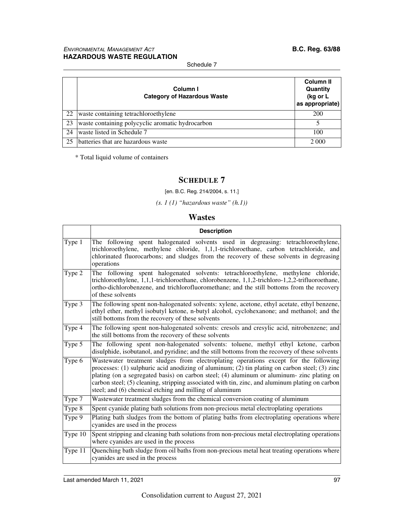#### *ENVIRONMENTAL MANAGEMENT ACT* **B.C. Reg. 63/88 HAZARDOUS WASTE REGULATION**

Schedule 7

|    | Column I<br><b>Category of Hazardous Waste</b>   | <b>Column II</b><br>Quantity<br>(kg or L<br>as appropriate) |
|----|--------------------------------------------------|-------------------------------------------------------------|
| 22 | waste containing tetrachloroethylene             | 200                                                         |
| 23 | waste containing polycyclic aromatic hydrocarbon |                                                             |
| 24 | waste listed in Schedule 7                       | 100                                                         |
| 25 | batteries that are hazardous waste               | 2 0 0 0                                                     |

\* Total liquid volume of containers

# **SCHEDULE 7**

[en. B.C. Reg. 214/2004, s. 11.]

*(s. 1 (1) "hazardous waste" (h.1))*

# **Wastes**

|         | <b>Description</b>                                                                                                                                                                                                                                                                                                                                                                                                                                 |
|---------|----------------------------------------------------------------------------------------------------------------------------------------------------------------------------------------------------------------------------------------------------------------------------------------------------------------------------------------------------------------------------------------------------------------------------------------------------|
| Type 1  | The following spent halogenated solvents used in degreasing: tetrachloroethylene,<br>trichloroethylene, methylene chloride, 1,1,1-trichloroethane, carbon tetrachloride, and<br>chlorinated fluorocarbons; and sludges from the recovery of these solvents in degreasing<br>operations                                                                                                                                                             |
| Type 2  | The following spent halogenated solvents: tetrachloroethylene, methylene chloride,<br>trichloroethylene, 1,1,1-trichloroethane, chlorobenzene, 1,1,2-trichloro-1,2,2-trifluoroethane,<br>ortho-dichlorobenzene, and trichlorofluoromethane; and the still bottoms from the recovery<br>of these solvents                                                                                                                                           |
| Type 3  | The following spent non-halogenated solvents: xylene, acetone, ethyl acetate, ethyl benzene,<br>ethyl ether, methyl isobutyl ketone, n-butyl alcohol, cyclohexanone; and methanol; and the<br>still bottoms from the recovery of these solvents                                                                                                                                                                                                    |
| Type 4  | The following spent non-halogenated solvents: cresols and cresylic acid, nitrobenzene; and<br>the still bottoms from the recovery of these solvents                                                                                                                                                                                                                                                                                                |
| Type 5  | The following spent non-halogenated solvents: toluene, methyl ethyl ketone, carbon<br>disulphide, isobutanol, and pyridine; and the still bottoms from the recovery of these solvents                                                                                                                                                                                                                                                              |
| Type 6  | Wastewater treatment sludges from electroplating operations except for the following<br>processes: (1) sulphuric acid anodizing of aluminum; (2) tin plating on carbon steel; (3) zinc<br>plating (on a segregated basis) on carbon steel; (4) aluminum or aluminum- zinc plating on<br>carbon steel; (5) cleaning, stripping associated with tin, zinc, and aluminum plating on carbon<br>steel; and (6) chemical etching and milling of aluminum |
| Type 7  | Wastewater treatment sludges from the chemical conversion coating of aluminum                                                                                                                                                                                                                                                                                                                                                                      |
| Type 8  | Spent cyanide plating bath solutions from non-precious metal electroplating operations                                                                                                                                                                                                                                                                                                                                                             |
| Type 9  | Plating bath sludges from the bottom of plating baths from electroplating operations where<br>cyanides are used in the process                                                                                                                                                                                                                                                                                                                     |
| Type 10 | Spent stripping and cleaning bath solutions from non-precious metal electroplating operations<br>where cyanides are used in the process                                                                                                                                                                                                                                                                                                            |
| Type 11 | Quenching bath sludge from oil baths from non-precious metal heat treating operations where<br>cyanides are used in the process                                                                                                                                                                                                                                                                                                                    |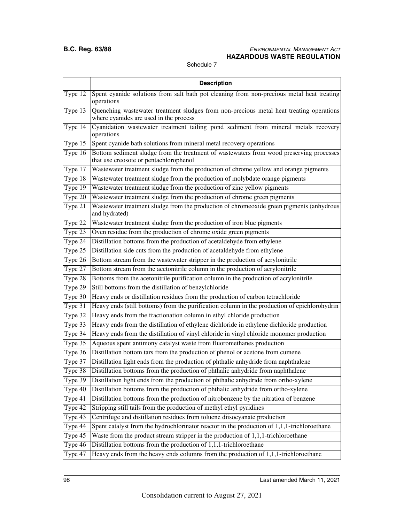Schedule 7

|           | <b>Description</b>                                                                                                                |
|-----------|-----------------------------------------------------------------------------------------------------------------------------------|
| Type $12$ | Spent cyanide solutions from salt bath pot cleaning from non-precious metal heat treating<br>operations                           |
| Type 13   | Quenching wastewater treatment sludges from non-precious metal heat treating operations<br>where cyanides are used in the process |
| Type 14   | Cyanidation wastewater treatment tailing pond sediment from mineral metals recovery<br>operations                                 |
| Type 15   | Spent cyanide bath solutions from mineral metal recovery operations                                                               |
| Type 16   | Bottom sediment sludge from the treatment of wastewaters from wood preserving processes<br>that use creosote or pentachlorophenol |
| Type $17$ | Wastewater treatment sludge from the production of chrome yellow and orange pigments                                              |
| Type 18   | Wastewater treatment sludge from the production of molybdate orange pigments                                                      |
| Type 19   | Wastewater treatment sludge from the production of zinc yellow pigments                                                           |
| Type 20   | Wastewater treatment sludge from the production of chrome green pigments                                                          |
| Type 21   | Wastewater treatment sludge from the production of chromeoxide green pigments (anhydrous<br>and hydrated)                         |
| Type 22   | Wastewater treatment sludge from the production of iron blue pigments                                                             |
| Type 23   | Oven residue from the production of chrome oxide green pigments                                                                   |
| Type 24   | Distillation bottoms from the production of acetaldehyde from ethylene                                                            |
| Type 25   | Distillation side cuts from the production of acetaldehyde from ethylene                                                          |
| Type 26   | Bottom stream from the wastewater stripper in the production of acrylonitrile                                                     |
| Type 27   | Bottom stream from the acetonitrile column in the production of acrylonitrile                                                     |
| Type 28   | Bottoms from the acetonitrile purification column in the production of acrylonitrile                                              |
| Type 29   | Still bottoms from the distillation of benzylchloride                                                                             |
| Type 30   | Heavy ends or distillation residues from the production of carbon tetrachloride                                                   |
| Type 31   | Heavy ends (still bottoms) from the purification column in the production of epichlorohydrin                                      |
| Type 32   | Heavy ends from the fractionation column in ethyl chloride production                                                             |
| Type 33   | Heavy ends from the distillation of ethylene dichloride in ethylene dichloride production                                         |
| Type 34   | Heavy ends from the distillation of vinyl chloride in vinyl chloride monomer production                                           |
| Type 35   | Aqueous spent antimony catalyst waste from fluoromethanes production                                                              |
| Type 36   | Distillation bottom tars from the production of phenol or acetone from cumene                                                     |
| Type 37   | Distillation light ends from the production of phthalic anhydride from naphthalene                                                |
|           | Type 38 Distillation bottoms from the production of phthalic anhydride from naphthalene                                           |
| Type 39   | Distillation light ends from the production of phthalic anhydride from ortho-xylene                                               |
| Type 40   | Distillation bottoms from the production of phthalic anhydride from ortho-xylene                                                  |
| Type 41   | Distillation bottoms from the production of nitrobenzene by the nitration of benzene                                              |
| Type 42   | Stripping still tails from the production of methyl ethyl pyridines                                                               |
| Type 43   | Centrifuge and distillation residues from toluene diisocyanate production                                                         |
| Type 44   | Spent catalyst from the hydrochlorinator reactor in the production of 1,1,1-trichloroethane                                       |
| Type 45   | Waste from the product stream stripper in the production of $1,1,1$ -trichloroethane                                              |
| Type 46   | Distillation bottoms from the production of 1,1,1-trichloroethane                                                                 |
| Type 47   | Heavy ends from the heavy ends columns from the production of 1,1,1-trichloroethane                                               |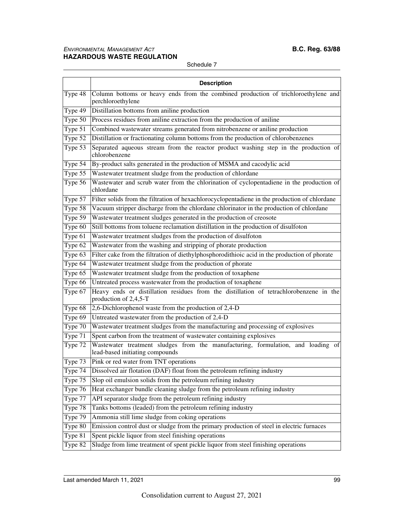# *ENVIRONMENTAL MANAGEMENT ACT* **B.C. Reg. 63/88 HAZARDOUS WASTE REGULATION**

|                      | <b>Description</b>                                                                                                  |
|----------------------|---------------------------------------------------------------------------------------------------------------------|
| Type 48              | Column bottoms or heavy ends from the combined production of trichloroethylene and<br>perchloroethylene             |
| Type $\overline{49}$ | Distillation bottoms from aniline production                                                                        |
| Type 50              | Process residues from aniline extraction from the production of aniline                                             |
| Type 51              | Combined wastewater streams generated from nitrobenzene or aniline production                                       |
| Type $52$            | Distillation or fractionating column bottoms from the production of chlorobenzenes                                  |
| Type 53              | Separated aqueous stream from the reactor product washing step in the production of<br>chlorobenzene                |
| Type 54              | By-product salts generated in the production of MSMA and cacodylic acid                                             |
| Type 55              | Wastewater treatment sludge from the production of chlordane                                                        |
| Type 56              | Wastewater and scrub water from the chlorination of cyclopentadiene in the production of<br>chlordane               |
| Type 57              | Filter solids from the filtration of hexachlorocyclopentadiene in the production of chlordane                       |
| Type 58              | Vacuum stripper discharge from the chlordane chlorinator in the production of chlordane                             |
| Type 59              | Wastewater treatment sludges generated in the production of creosote                                                |
| Type 60              | Still bottoms from toluene reclamation distillation in the production of disulfoton                                 |
| Type 61              | Wastewater treatment sludges from the production of disulfoton                                                      |
| Type 62              | Wastewater from the washing and stripping of phorate production                                                     |
| Type 63              | Filter cake from the filtration of diethylphosphorodithioic acid in the production of phorate                       |
| Type 64              | Wastewater treatment sludge from the production of phorate                                                          |
| Type 65              | Wastewater treatment sludge from the production of toxaphene                                                        |
| Type 66              | Untreated process wastewater from the production of toxaphene                                                       |
| Type 67              | Heavy ends or distillation residues from the distillation of tetrachlorobenzene in the<br>production of 2,4,5-T     |
| Type 68              | 2,6-Dichlorophenol waste from the production of 2,4-D                                                               |
| Type 69              | Untreated wastewater from the production of 2,4-D                                                                   |
| Type 70              | Wastewater treatment sludges from the manufacturing and processing of explosives                                    |
| Type 71              | Spent carbon from the treatment of wastewater containing explosives                                                 |
| Type 72              | Wastewater treatment sludges from the manufacturing, formulation, and loading of<br>lead-based initiating compounds |
| Type 73              | Pink or red water from TNT operations                                                                               |
| Type 74              | Dissolved air flotation (DAF) float from the petroleum refining industry                                            |
| Type 75              | Slop oil emulsion solids from the petroleum refining industry                                                       |
| Type 76              | Heat exchanger bundle cleaning sludge from the petroleum refining industry                                          |
| Type 77              | API separator sludge from the petroleum refining industry                                                           |
| Type 78              | Tanks bottoms (leaded) from the petroleum refining industry                                                         |
| Type 79              | Ammonia still lime sludge from coking operations                                                                    |
| Type 80              | Emission control dust or sludge from the primary production of steel in electric furnaces                           |
| Type 81              | Spent pickle liquor from steel finishing operations                                                                 |
| Type 82              | Sludge from lime treatment of spent pickle liquor from steel finishing operations                                   |